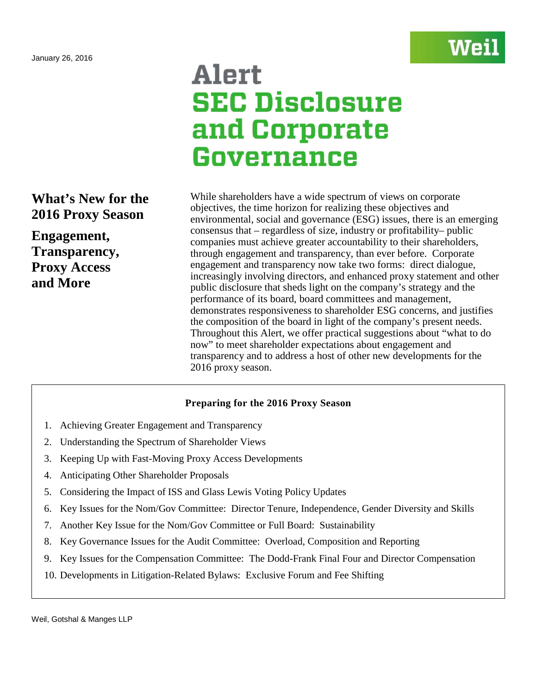

# Alert **SEC Disclosure** and Corporate Governance

# **What's New for the 2016 Proxy Season**

**Engagement, Transparency, Proxy Access and More**

While shareholders have a wide spectrum of views on corporate objectives, the time horizon for realizing these objectives and environmental, social and governance (ESG) issues, there is an emerging consensus that – regardless of size, industry or profitability– public companies must achieve greater accountability to their shareholders, through engagement and transparency, than ever before. Corporate engagement and transparency now take two forms: direct dialogue, increasingly involving directors, and enhanced proxy statement and other public disclosure that sheds light on the company's strategy and the performance of its board, board committees and management, demonstrates responsiveness to shareholder ESG concerns, and justifies the composition of the board in light of the company's present needs. Throughout this Alert, we offer practical suggestions about "what to do now" to meet shareholder expectations about engagement and transparency and to address a host of other new developments for the 2016 proxy season.

## **Preparing for the 2016 Proxy Season**

- 1. Achieving Greater Engagement and Transparency
- 2. Understanding the Spectrum of Shareholder Views
- 3. Keeping Up with Fast-Moving Proxy Access Developments
- 4. Anticipating Other Shareholder Proposals
- 5. Considering the Impact of ISS and Glass Lewis Voting Policy Updates
- 6. Key Issues for the Nom/Gov Committee: Director Tenure, Independence, Gender Diversity and Skills
- 7. Another Key Issue for the Nom/Gov Committee or Full Board: Sustainability
- 8. Key Governance Issues for the Audit Committee: Overload, Composition and Reporting
- 9. Key Issues for the Compensation Committee: The Dodd-Frank Final Four and Director Compensation
- 10. Developments in Litigation-Related Bylaws: Exclusive Forum and Fee Shifting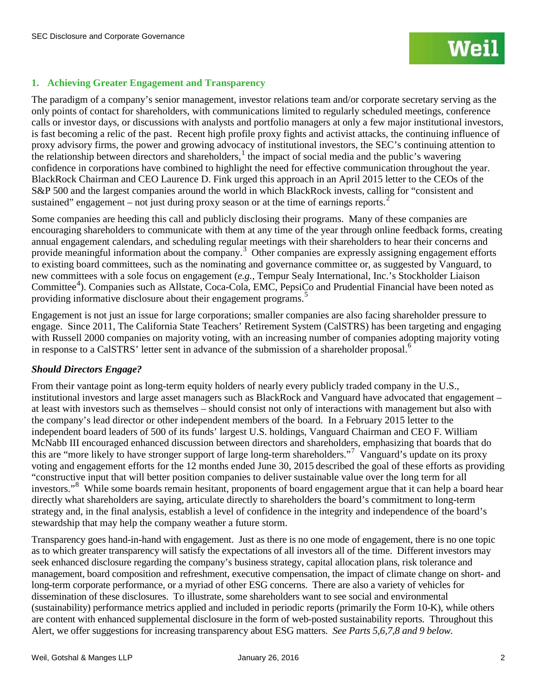## **1. Achieving Greater Engagement and Transparency**

The paradigm of a company's senior management, investor relations team and/or corporate secretary serving as the only points of contact for shareholders, with communications limited to regularly scheduled meetings, conference calls or investor days, or discussions with analysts and portfolio managers at only a few major institutional investors, is fast becoming a relic of the past. Recent high profile proxy fights and activist attacks, the continuing influence of proxy advisory firms, the power and growing advocacy of institutional investors, the SEC's continuing attention to the relationship between directors and shareholders, [1](#page-30-0) the impact of social media and the public's wavering confidence in corporations have combined to highlight the need for effective communication throughout the year. BlackRock Chairman and CEO Laurence D. Fink urged this approach in an April 2015 letter to the CEOs of the S&P 500 and the largest companies around the world in which BlackRock invests, calling for "consistent and sustained" engagement  $-$  not just during proxy season or at the time of earnings reports.<sup>[2](#page-30-1)</sup>

Some companies are heeding this call and publicly disclosing their programs. Many of these companies are encouraging shareholders to communicate with them at any time of the year through online feedback forms, creating annual engagement calendars, and scheduling regular meetings with their shareholders to hear their concerns and provide meaningful information about the company.<sup>[3](#page-30-2)</sup> Other companies are expressly assigning engagement efforts to existing board committees, such as the nominating and governance committee or, as suggested by Vanguard, to new committees with a sole focus on engagement (*e.g.,* Tempur Sealy International, Inc.'s Stockholder Liaison Committee<sup>[4](#page-30-3)</sup>). Companies such as Allstate, Coca-Cola, EMC, PepsiCo and Prudential Financial have been noted as providing informative disclosure about their engagement programs.<sup>[5](#page-30-4)</sup>

Engagement is not just an issue for large corporations; smaller companies are also facing shareholder pressure to engage. Since 2011, The California State Teachers' Retirement System (CalSTRS) has been targeting and engaging with Russell 2000 companies on majority voting, with an increasing number of companies adopting majority voting in response to a CalSTRS' letter sent in advance of the submission of a shareholder proposal.<sup>[6](#page-30-5)</sup>

## *Should Directors Engage?*

From their vantage point as long-term equity holders of nearly every publicly traded company in the U.S., institutional investors and large asset managers such as BlackRock and Vanguard have advocated that engagement – at least with investors such as themselves – should consist not only of interactions with management but also with the company's lead director or other independent members of the board. In a February 2015 letter to the independent board leaders of 500 of its funds' largest U.S. holdings, Vanguard Chairman and CEO F. William McNabb III encouraged enhanced discussion between directors and shareholders, emphasizing that boards that do this are "more likely to have stronger support of large long-term shareholders."<sup>[7](#page-30-6)</sup> Vanguard's update on its proxy voting and engagement efforts for the 12 months ended June 30, 2015 described the goal of these efforts as providing "constructive input that will better position companies to deliver sustainable value over the long term for all investors."<sup>[8](#page-30-7)</sup> While some boards remain hesitant, proponents of board engagement argue that it can help a board hear directly what shareholders are saying, articulate directly to shareholders the board's commitment to long-term strategy and, in the final analysis, establish a level of confidence in the integrity and independence of the board's stewardship that may help the company weather a future storm.

Transparency goes hand-in-hand with engagement. Just as there is no one mode of engagement, there is no one topic as to which greater transparency will satisfy the expectations of all investors all of the time. Different investors may seek enhanced disclosure regarding the company's business strategy, capital allocation plans, risk tolerance and management, board composition and refreshment, executive compensation, the impact of climate change on short- and long-term corporate performance, or a myriad of other ESG concerns. There are also a variety of vehicles for dissemination of these disclosures. To illustrate, some shareholders want to see social and environmental (sustainability) performance metrics applied and included in periodic reports (primarily the Form 10-K), while others are content with enhanced supplemental disclosure in the form of web-posted sustainability reports. Throughout this Alert, we offer suggestions for increasing transparency about ESG matters. *See Parts 5,6,7,8 and 9 below.*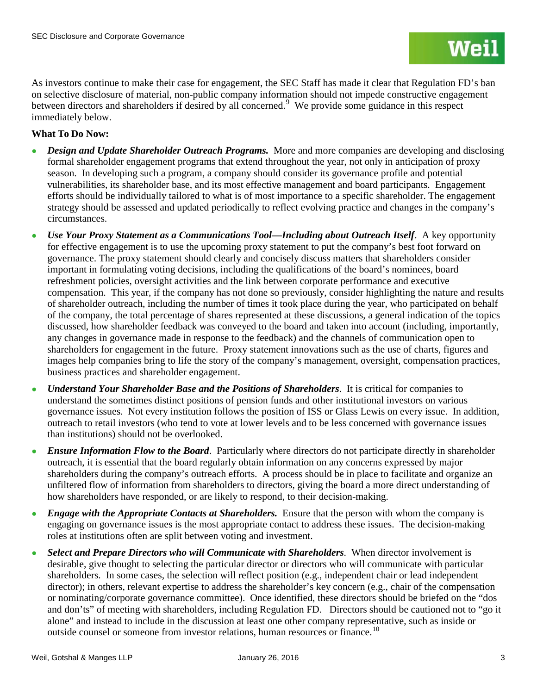As investors continue to make their case for engagement, the SEC Staff has made it clear that Regulation FD's ban on selective disclosure of material, non-public company information should not impede constructive engagement between directors and shareholders if desired by all concerned.<sup>[9](#page-31-0)</sup> We provide some guidance in this respect immediately below.

## **What To Do Now:**

- *Design and Update Shareholder Outreach Programs.* More and more companies are developing and disclosing formal shareholder engagement programs that extend throughout the year, not only in anticipation of proxy season. In developing such a program, a company should consider its governance profile and potential vulnerabilities, its shareholder base, and its most effective management and board participants. Engagement efforts should be individually tailored to what is of most importance to a specific shareholder. The engagement strategy should be assessed and updated periodically to reflect evolving practice and changes in the company's circumstances.
- *Use Your Proxy Statement as a Communications Tool—Including about Outreach Itself.* A key opportunity for effective engagement is to use the upcoming proxy statement to put the company's best foot forward on governance. The proxy statement should clearly and concisely discuss matters that shareholders consider important in formulating voting decisions, including the qualifications of the board's nominees, board refreshment policies, oversight activities and the link between corporate performance and executive compensation. This year, if the company has not done so previously, consider highlighting the nature and results of shareholder outreach, including the number of times it took place during the year, who participated on behalf of the company, the total percentage of shares represented at these discussions, a general indication of the topics discussed, how shareholder feedback was conveyed to the board and taken into account (including, importantly, any changes in governance made in response to the feedback) and the channels of communication open to shareholders for engagement in the future. Proxy statement innovations such as the use of charts, figures and images help companies bring to life the story of the company's management, oversight, compensation practices, business practices and shareholder engagement.
- *Understand Your Shareholder Base and the Positions of Shareholders*. It is critical for companies to understand the sometimes distinct positions of pension funds and other institutional investors on various governance issues. Not every institution follows the position of ISS or Glass Lewis on every issue. In addition, outreach to retail investors (who tend to vote at lower levels and to be less concerned with governance issues than institutions) should not be overlooked.
- *Ensure Information Flow to the Board*. Particularly where directors do not participate directly in shareholder outreach, it is essential that the board regularly obtain information on any concerns expressed by major shareholders during the company's outreach efforts. A process should be in place to facilitate and organize an unfiltered flow of information from shareholders to directors, giving the board a more direct understanding of how shareholders have responded, or are likely to respond, to their decision-making.
- *Engage with the Appropriate Contacts at Shareholders.* Ensure that the person with whom the company is engaging on governance issues is the most appropriate contact to address these issues. The decision-making roles at institutions often are split between voting and investment.
- **Select and Prepare Directors who will Communicate with Shareholders.** When director involvement is desirable, give thought to selecting the particular director or directors who will communicate with particular shareholders. In some cases, the selection will reflect position (e.g., independent chair or lead independent director); in others, relevant expertise to address the shareholder's key concern (e.g., chair of the compensation or nominating/corporate governance committee). Once identified, these directors should be briefed on the "dos and don'ts" of meeting with shareholders, including Regulation FD. Directors should be cautioned not to "go it alone" and instead to include in the discussion at least one other company representative, such as inside or outside counsel or someone from investor relations, human resources or finance.<sup>[10](#page-31-1)</sup>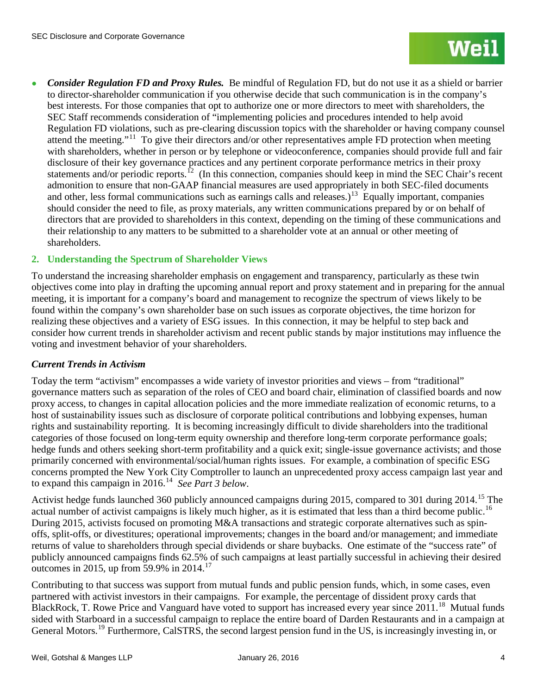*Consider Regulation FD and Proxy Rules.* Be mindful of Regulation FD, but do not use it as a shield or barrier to director-shareholder communication if you otherwise decide that such communication is in the company's best interests. For those companies that opt to authorize one or more directors to meet with shareholders, the SEC Staff recommends consideration of "implementing policies and procedures intended to help avoid Regulation FD violations, such as pre-clearing discussion topics with the shareholder or having company counsel attend the meeting."<sup>[11](#page-32-0)</sup> To give their directors and/or other representatives ample FD protection when meeting with shareholders, whether in person or by telephone or videoconference, companies should provide full and fair disclosure of their key governance practices and any pertinent corporate performance metrics in their proxy statements and/or periodic reports.<sup>[12](#page-32-1)</sup> (In this connection, companies should keep in mind the SEC Chair's recent admonition to ensure that non-GAAP financial measures are used appropriately in both SEC-filed documents and other, less formal communications such as earnings calls and releases.)<sup>[13](#page-32-2)</sup> Equally important, companies should consider the need to file, as proxy materials, any written communications prepared by or on behalf of directors that are provided to shareholders in this context, depending on the timing of these communications and their relationship to any matters to be submitted to a shareholder vote at an annual or other meeting of shareholders.

## **2. Understanding the Spectrum of Shareholder Views**

To understand the increasing shareholder emphasis on engagement and transparency, particularly as these twin objectives come into play in drafting the upcoming annual report and proxy statement and in preparing for the annual meeting, it is important for a company's board and management to recognize the spectrum of views likely to be found within the company's own shareholder base on such issues as corporate objectives, the time horizon for realizing these objectives and a variety of ESG issues. In this connection, it may be helpful to step back and consider how current trends in shareholder activism and recent public stands by major institutions may influence the voting and investment behavior of your shareholders.

## *Current Trends in Activism*

Today the term "activism" encompasses a wide variety of investor priorities and views – from "traditional" governance matters such as separation of the roles of CEO and board chair, elimination of classified boards and now proxy access, to changes in capital allocation policies and the more immediate realization of economic returns, to a host of sustainability issues such as disclosure of corporate political contributions and lobbying expenses, human rights and sustainability reporting. It is becoming increasingly difficult to divide shareholders into the traditional categories of those focused on long-term equity ownership and therefore long-term corporate performance goals; hedge funds and others seeking short-term profitability and a quick exit; single-issue governance activists; and those primarily concerned with environmental/social/human rights issues. For example, a combination of specific ESG concerns prompted the New York City Comptroller to launch an unprecedented proxy access campaign last year and to expand this campaign in 2016.[14](#page-32-3) *See Part 3 below*.

Activist hedge funds launched 360 publicly announced campaigns during 20[15](#page-32-4), compared to 301 during 2014.<sup>15</sup> The actual number of activist campaigns is likely much higher, as it is estimated that less than a third become public.<sup>[16](#page-32-5)</sup> During 2015, activists focused on promoting M&A transactions and strategic corporate alternatives such as spinoffs, split-offs, or divestitures; operational improvements; changes in the board and/or management; and immediate returns of value to shareholders through special dividends or share buybacks. One estimate of the "success rate" of publicly announced campaigns finds 62.5% of such campaigns at least partially successful in achieving their desired outcomes in 2015, up from 59.9% in 2014.<sup>17</sup>

Contributing to that success was support from mutual funds and public pension funds, which, in some cases, even partnered with activist investors in their campaigns. For example, the percentage of dissident proxy cards that BlackRock, T. Rowe Price and Vanguard have voted to support has increased every year since 2011.<sup>18</sup> Mutual funds sided with Starboard in a successful campaign to replace the entire board of Darden Restaurants and in a campaign at General Motors.<sup>[19](#page-32-8)</sup> Furthermore, CalSTRS, the second largest pension fund in the US, is increasingly investing in, or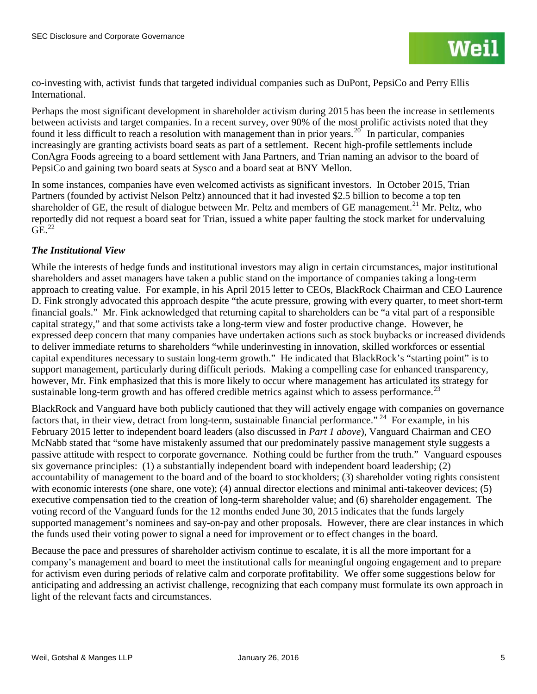co-investing with, activist funds that targeted individual companies such as DuPont, PepsiCo and Perry Ellis International.

Perhaps the most significant development in shareholder activism during 2015 has been the increase in settlements between activists and target companies. In a recent survey, over 90% of the most prolific activists noted that they found it less difficult to reach a resolution with management than in prior years.<sup>[20](#page-33-0)</sup> In particular, companies increasingly are granting activists board seats as part of a settlement. Recent high-profile settlements include ConAgra Foods agreeing to a board settlement with Jana Partners, and Trian naming an advisor to the board of PepsiCo and gaining two board seats at Sysco and a board seat at BNY Mellon.

In some instances, companies have even welcomed activists as significant investors. In October 2015, Trian Partners (founded by activist Nelson Peltz) announced that it had invested \$2.5 billion to become a top ten shareholder of GE, the result of dialogue between Mr. Peltz and members of GE management.<sup>[21](#page-33-1)</sup> Mr. Peltz, who reportedly did not request a board seat for Trian, issued a white paper faulting the stock market for undervaluing  $GE.<sup>22</sup>$  $GE.<sup>22</sup>$  $GE.<sup>22</sup>$ 

## *The Institutional View*

While the interests of hedge funds and institutional investors may align in certain circumstances, major institutional shareholders and asset managers have taken a public stand on the importance of companies taking a long-term approach to creating value. For example, in his April 2015 letter to CEOs, BlackRock Chairman and CEO Laurence D. Fink strongly advocated this approach despite "the acute pressure, growing with every quarter, to meet short-term financial goals." Mr. Fink acknowledged that returning capital to shareholders can be "a vital part of a responsible capital strategy," and that some activists take a long-term view and foster productive change. However, he expressed deep concern that many companies have undertaken actions such as stock buybacks or increased dividends to deliver immediate returns to shareholders "while underinvesting in innovation, skilled workforces or essential capital expenditures necessary to sustain long-term growth." He indicated that BlackRock's "starting point" is to support management, particularly during difficult periods. Making a compelling case for enhanced transparency, however, Mr. Fink emphasized that this is more likely to occur where management has articulated its strategy for sustainable long-term growth and has offered credible metrics against which to assess performance.<sup>[23](#page-33-3)</sup>

BlackRock and Vanguard have both publicly cautioned that they will actively engage with companies on governance factors that, in their view, detract from long-term, sustainable financial performance." <sup>[24](#page-33-4)</sup> For example, in his February 2015 letter to independent board leaders (also discussed in *Part 1 above*), Vanguard Chairman and CEO McNabb stated that "some have mistakenly assumed that our predominately passive management style suggests a passive attitude with respect to corporate governance. Nothing could be further from the truth." Vanguard espouses six governance principles: (1) a substantially independent board with independent board leadership; (2) accountability of management to the board and of the board to stockholders; (3) shareholder voting rights consistent with economic interests (one share, one vote); (4) annual director elections and minimal anti-takeover devices; (5) executive compensation tied to the creation of long-term shareholder value; and (6) shareholder engagement. The voting record of the Vanguard funds for the 12 months ended June 30, 2015 indicates that the funds largely supported management's nominees and say-on-pay and other proposals. However, there are clear instances in which the funds used their voting power to signal a need for improvement or to effect changes in the board.

Because the pace and pressures of shareholder activism continue to escalate, it is all the more important for a company's management and board to meet the institutional calls for meaningful ongoing engagement and to prepare for activism even during periods of relative calm and corporate profitability. We offer some suggestions below for anticipating and addressing an activist challenge, recognizing that each company must formulate its own approach in light of the relevant facts and circumstances.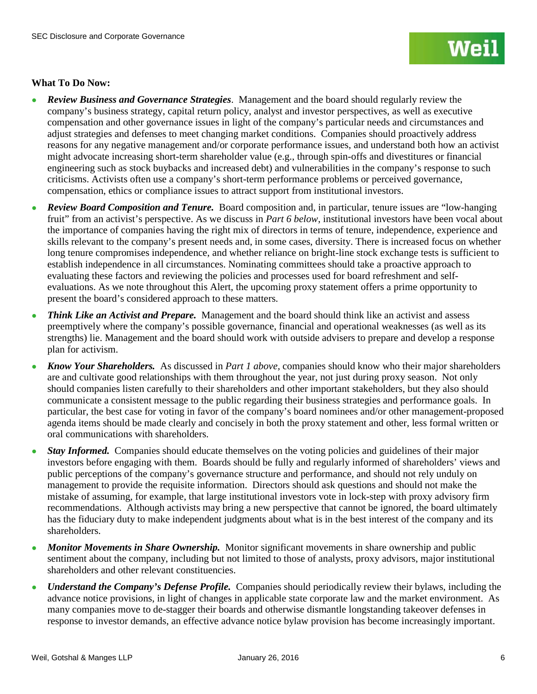## **What To Do Now:**

- **Review Business and Governance Strategies.** Management and the board should regularly review the company's business strategy, capital return policy, analyst and investor perspectives, as well as executive compensation and other governance issues in light of the company's particular needs and circumstances and adjust strategies and defenses to meet changing market conditions. Companies should proactively address reasons for any negative management and/or corporate performance issues, and understand both how an activist might advocate increasing short-term shareholder value (e.g., through spin-offs and divestitures or financial engineering such as stock buybacks and increased debt) and vulnerabilities in the company's response to such criticisms. Activists often use a company's short-term performance problems or perceived governance, compensation, ethics or compliance issues to attract support from institutional investors.
- *Review Board Composition and Tenure.* Board composition and, in particular, tenure issues are "low-hanging" fruit" from an activist's perspective. As we discuss in *Part 6 below*, institutional investors have been vocal about the importance of companies having the right mix of directors in terms of tenure, independence, experience and skills relevant to the company's present needs and, in some cases, diversity. There is increased focus on whether long tenure compromises independence, and whether reliance on bright-line stock exchange tests is sufficient to establish independence in all circumstances. Nominating committees should take a proactive approach to evaluating these factors and reviewing the policies and processes used for board refreshment and selfevaluations. As we note throughout this Alert, the upcoming proxy statement offers a prime opportunity to present the board's considered approach to these matters.
- *Think Like an Activist and Prepare.* Management and the board should think like an activist and assess preemptively where the company's possible governance, financial and operational weaknesses (as well as its strengths) lie. Management and the board should work with outside advisers to prepare and develop a response plan for activism.
- *Know Your Shareholders.* As discussed in *Part 1 above*, companies should know who their major shareholders are and cultivate good relationships with them throughout the year, not just during proxy season. Not only should companies listen carefully to their shareholders and other important stakeholders, but they also should communicate a consistent message to the public regarding their business strategies and performance goals. In particular, the best case for voting in favor of the company's board nominees and/or other management-proposed agenda items should be made clearly and concisely in both the proxy statement and other, less formal written or oral communications with shareholders.
- *Stay Informed.* Companies should educate themselves on the voting policies and guidelines of their major investors before engaging with them. Boards should be fully and regularly informed of shareholders' views and public perceptions of the company's governance structure and performance, and should not rely unduly on management to provide the requisite information. Directors should ask questions and should not make the mistake of assuming, for example, that large institutional investors vote in lock-step with proxy advisory firm recommendations. Although activists may bring a new perspective that cannot be ignored, the board ultimately has the fiduciary duty to make independent judgments about what is in the best interest of the company and its shareholders.
- *Monitor Movements in Share Ownership.* Monitor significant movements in share ownership and public sentiment about the company, including but not limited to those of analysts, proxy advisors, major institutional shareholders and other relevant constituencies.
- *Understand the Company's Defense Profile.* Companies should periodically review their bylaws, including the advance notice provisions, in light of changes in applicable state corporate law and the market environment. As many companies move to de-stagger their boards and otherwise dismantle longstanding takeover defenses in response to investor demands, an effective advance notice bylaw provision has become increasingly important.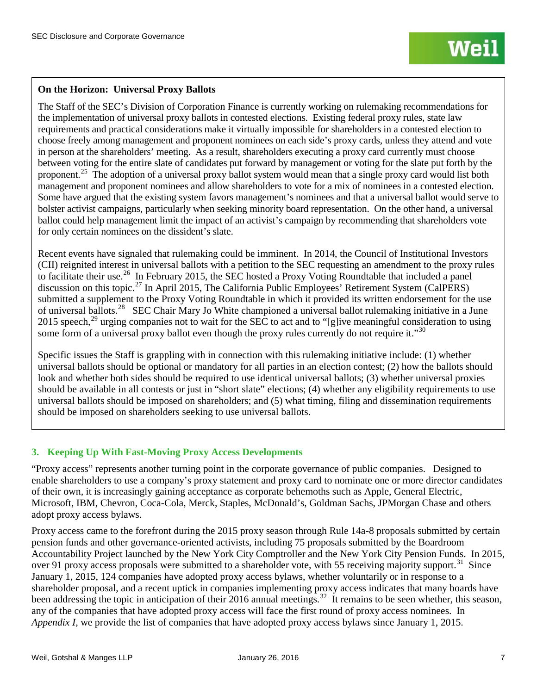## **On the Horizon: Universal Proxy Ballots**

The Staff of the SEC's Division of Corporation Finance is currently working on rulemaking recommendations for the implementation of universal proxy ballots in contested elections. Existing federal proxy rules, state law requirements and practical considerations make it virtually impossible for shareholders in a contested election to choose freely among management and proponent nominees on each side's proxy cards, unless they attend and vote in person at the shareholders' meeting. As a result, shareholders executing a proxy card currently must choose between voting for the entire slate of candidates put forward by management or voting for the slate put forth by the proponent.<sup>25</sup> The adoption of a universal proxy ballot system would mean that a single proxy card would list both management and proponent nominees and allow shareholders to vote for a mix of nominees in a contested election. Some have argued that the existing system favors management's nominees and that a universal ballot would serve to bolster activist campaigns, particularly when seeking minority board representation. On the other hand, a universal ballot could help management limit the impact of an activist's campaign by recommending that shareholders vote for only certain nominees on the dissident's slate.

Recent events have signaled that rulemaking could be imminent. In 2014, the Council of Institutional Investors (CII) reignited interest in universal ballots with a petition to the SEC requesting an amendment to the proxy rules to facilitate their use.<sup>[26](#page-34-1)</sup> In February 2015, the SEC hosted a Proxy Voting Roundtable that included a panel discussion on this topic.[27](#page-34-2) In April 2015, The California Public Employees' Retirement System (CalPERS) submitted a supplement to the Proxy Voting Roundtable in which it provided its written endorsement for the use of universal ballots.[28](#page-34-3) SEC Chair Mary Jo White championed a universal ballot rulemaking initiative in a June 2015 speech,  $^{29}$  $^{29}$  $^{29}$  urging companies not to wait for the SEC to act and to "[g]ive meaningful consideration to using some form of a universal proxy ballot even though the proxy rules currently do not require it."<sup>[30](#page-34-5)</sup>

Specific issues the Staff is grappling with in connection with this rulemaking initiative include: (1) whether universal ballots should be optional or mandatory for all parties in an election contest; (2) how the ballots should look and whether both sides should be required to use identical universal ballots; (3) whether universal proxies should be available in all contests or just in "short slate" elections; (4) whether any eligibility requirements to use universal ballots should be imposed on shareholders; and (5) what timing, filing and dissemination requirements should be imposed on shareholders seeking to use universal ballots.

## **3. Keeping Up With Fast-Moving Proxy Access Developments**

"Proxy access" represents another turning point in the corporate governance of public companies. Designed to enable shareholders to use a company's proxy statement and proxy card to nominate one or more director candidates of their own, it is increasingly gaining acceptance as corporate behemoths such as Apple, General Electric, Microsoft, IBM, Chevron, Coca-Cola, Merck, Staples, McDonald's, Goldman Sachs, JPMorgan Chase and others adopt proxy access bylaws.

Proxy access came to the forefront during the 2015 proxy season through Rule 14a-8 proposals submitted by certain pension funds and other governance-oriented activists, including 75 proposals submitted by the Boardroom Accountability Project launched by the New York City Comptroller and the New York City Pension Funds. In 2015, over 91 proxy access proposals were submitted to a shareholder vote, with 55 receiving majority support.<sup>31</sup> Since January 1, 2015, 124 companies have adopted proxy access bylaws, whether voluntarily or in response to a shareholder proposal, and a recent uptick in companies implementing proxy access indicates that many boards have been addressing the topic in anticipation of their 2016 annual meetings.<sup>32</sup> It remains to be seen whether, this season, any of the companies that have adopted proxy access will face the first round of proxy access nominees. In *Appendix I*, we provide the list of companies that have adopted proxy access bylaws since January 1, 2015.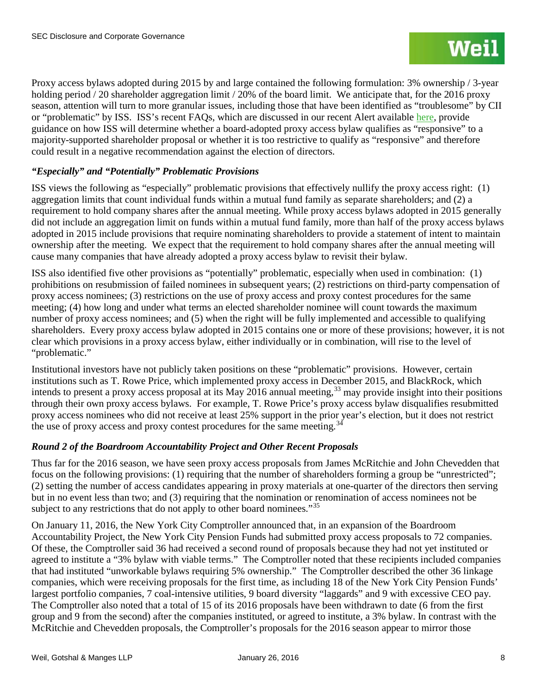Proxy access bylaws adopted during 2015 by and large contained the following formulation: 3% ownership / 3-year holding period / 20 shareholder aggregation limit / 20% of the board limit. We anticipate that, for the 2016 proxy season, attention will turn to more granular issues, including those that have been identified as "troublesome" by CII or "problematic" by ISS. ISS's recent FAQs, which are discussed in our recent Alert available [here,](http://www.weil.com/%7E/media/files/pdfs/alert--iss-new-faqs-reproxy-access-formatted-versionfinal.pdf) provide guidance on how ISS will determine whether a board-adopted proxy access bylaw qualifies as "responsive" to a majority-supported shareholder proposal or whether it is too restrictive to qualify as "responsive" and therefore could result in a negative recommendation against the election of directors.

## *"Especially" and "Potentially" Problematic Provisions*

ISS views the following as "especially" problematic provisions that effectively nullify the proxy access right: (1) aggregation limits that count individual funds within a mutual fund family as separate shareholders; and (2) a requirement to hold company shares after the annual meeting. While proxy access bylaws adopted in 2015 generally did not include an aggregation limit on funds within a mutual fund family, more than half of the proxy access bylaws adopted in 2015 include provisions that require nominating shareholders to provide a statement of intent to maintain ownership after the meeting. We expect that the requirement to hold company shares after the annual meeting will cause many companies that have already adopted a proxy access bylaw to revisit their bylaw.

ISS also identified five other provisions as "potentially" problematic, especially when used in combination: (1) prohibitions on resubmission of failed nominees in subsequent years; (2) restrictions on third-party compensation of proxy access nominees; (3) restrictions on the use of proxy access and proxy contest procedures for the same meeting; (4) how long and under what terms an elected shareholder nominee will count towards the maximum number of proxy access nominees; and (5) when the right will be fully implemented and accessible to qualifying shareholders. Every proxy access bylaw adopted in 2015 contains one or more of these provisions; however, it is not clear which provisions in a proxy access bylaw, either individually or in combination, will rise to the level of "problematic."

Institutional investors have not publicly taken positions on these "problematic" provisions. However, certain institutions such as T. Rowe Price, which implemented proxy access in December 2015, and BlackRock, which intends to present a proxy access proposal at its May 2016 annual meeting,<sup>[33](#page-35-0)</sup> may provide insight into their positions through their own proxy access bylaws. For example, T. Rowe Price's proxy access bylaw disqualifies resubmitted proxy access nominees who did not receive at least 25% support in the prior year's election, but it does not restrict the use of proxy access and proxy contest procedures for the same meeting.<sup>[34](#page-35-1)</sup>

## *Round 2 of the Boardroom Accountability Project and Other Recent Proposals*

Thus far for the 2016 season, we have seen proxy access proposals from James McRitchie and John Chevedden that focus on the following provisions: (1) requiring that the number of shareholders forming a group be "unrestricted"; (2) setting the number of access candidates appearing in proxy materials at one-quarter of the directors then serving but in no event less than two; and (3) requiring that the nomination or renomination of access nominees not be subject to any restrictions that do not apply to other board nominees."<sup>35</sup>

On January 11, 2016, the New York City Comptroller announced that, in an expansion of the Boardroom Accountability Project, the New York City Pension Funds had submitted proxy access proposals to 72 companies. Of these, the Comptroller said 36 had received a second round of proposals because they had not yet instituted or agreed to institute a "3% bylaw with viable terms." The Comptroller noted that these recipients included companies that had instituted "unworkable bylaws requiring 5% ownership." The Comptroller described the other 36 linkage companies, which were receiving proposals for the first time, as including 18 of the New York City Pension Funds' largest portfolio companies, 7 coal-intensive utilities, 9 board diversity "laggards" and 9 with excessive CEO pay. The Comptroller also noted that a total of 15 of its 2016 proposals have been withdrawn to date (6 from the first group and 9 from the second) after the companies instituted, or agreed to institute, a 3% bylaw. In contrast with the McRitchie and Chevedden proposals, the Comptroller's proposals for the 2016 season appear to mirror those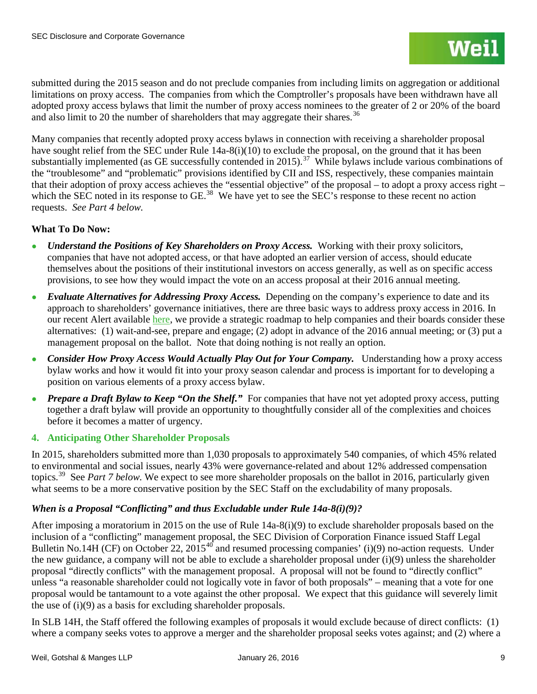submitted during the 2015 season and do not preclude companies from including limits on aggregation or additional limitations on proxy access. The companies from which the Comptroller's proposals have been withdrawn have all adopted proxy access bylaws that limit the number of proxy access nominees to the greater of 2 or 20% of the board and also limit to 20 the number of shareholders that may aggregate their shares.<sup>[36](#page-36-0)</sup>

Many companies that recently adopted proxy access bylaws in connection with receiving a shareholder proposal have sought relief from the SEC under Rule 14a-8(i)(10) to exclude the proposal, on the ground that it has been substantially implemented (as GE successfully contended in 2015).<sup>[37](#page-36-1)</sup> While bylaws include various combinations of the "troublesome" and "problematic" provisions identified by CII and ISS, respectively, these companies maintain that their adoption of proxy access achieves the "essential objective" of the proposal – to adopt a proxy access right – which the SEC noted in its response to GE.<sup>[38](#page-36-2)</sup> We have yet to see the SEC's response to these recent no action requests. *See Part 4 below.*

## **What To Do Now:**

- *Understand the Positions of Key Shareholders on Proxy Access.* Working with their proxy solicitors, companies that have not adopted access, or that have adopted an earlier version of access, should educate themselves about the positions of their institutional investors on access generally, as well as on specific access provisions, to see how they would impact the vote on an access proposal at their 2016 annual meeting.
- *Evaluate Alternatives for Addressing Proxy Access.* Depending on the company's experience to date and its approach to shareholders' governance initiatives, there are three basic ways to address proxy access in 2016. In our recent Alert available [here,](http://www.weil.com/%7E/media/files/pdfs/150660_pcag_alert_oct2015_v15_final.pdf) we provide a strategic roadmap to help companies and their boards consider these alternatives: (1) wait-and-see, prepare and engage; (2) adopt in advance of the 2016 annual meeting; or (3) put a management proposal on the ballot. Note that doing nothing is not really an option.
- *Consider How Proxy Access Would Actually Play Out for Your Company.* Understanding how a proxy access bylaw works and how it would fit into your proxy season calendar and process is important for to developing a position on various elements of a proxy access bylaw.
- *Prepare a Draft Bylaw to Keep "On the Shelf."* For companies that have not yet adopted proxy access, putting together a draft bylaw will provide an opportunity to thoughtfully consider all of the complexities and choices before it becomes a matter of urgency.

## **4. Anticipating Other Shareholder Proposals**

In 2015, shareholders submitted more than 1,030 proposals to approximately 540 companies, of which 45% related to environmental and social issues, nearly 43% were governance-related and about 12% addressed compensation topics.[39](#page-36-3) See *Part 7 below.* We expect to see more shareholder proposals on the ballot in 2016, particularly given what seems to be a more conservative position by the SEC Staff on the excludability of many proposals.

## *When is a Proposal "Conflicting" and thus Excludable under Rule 14a-8(i)(9)?*

After imposing a moratorium in 2015 on the use of Rule 14a-8(i)(9) to exclude shareholder proposals based on the inclusion of a "conflicting" management proposal, the SEC Division of Corporation Finance issued Staff Legal Bulletin No.14H (CF) on October 22,  $2015^{40}$  $2015^{40}$  $2015^{40}$  and resumed processing companies' (i)(9) no-action requests. Under the new guidance, a company will not be able to exclude a shareholder proposal under (i)(9) unless the shareholder proposal "directly conflicts" with the management proposal. A proposal will not be found to "directly conflict" unless "a reasonable shareholder could not logically vote in favor of both proposals" – meaning that a vote for one proposal would be tantamount to a vote against the other proposal. We expect that this guidance will severely limit the use of (i)(9) as a basis for excluding shareholder proposals.

In SLB 14H, the Staff offered the following examples of proposals it would exclude because of direct conflicts: (1) where a company seeks votes to approve a merger and the shareholder proposal seeks votes against; and (2) where a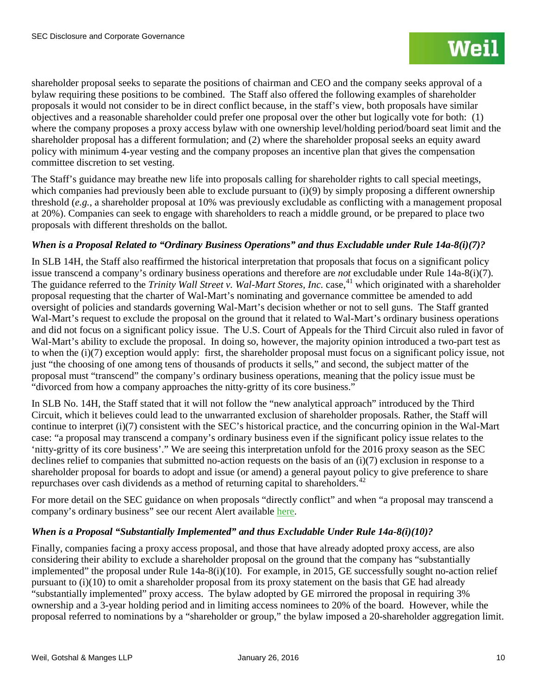shareholder proposal seeks to separate the positions of chairman and CEO and the company seeks approval of a bylaw requiring these positions to be combined. The Staff also offered the following examples of shareholder proposals it would not consider to be in direct conflict because, in the staff's view, both proposals have similar objectives and a reasonable shareholder could prefer one proposal over the other but logically vote for both: (1) where the company proposes a proxy access bylaw with one ownership level/holding period/board seat limit and the shareholder proposal has a different formulation; and (2) where the shareholder proposal seeks an equity award policy with minimum 4-year vesting and the company proposes an incentive plan that gives the compensation committee discretion to set vesting.

The Staff's guidance may breathe new life into proposals calling for shareholder rights to call special meetings, which companies had previously been able to exclude pursuant to (i)(9) by simply proposing a different ownership threshold (*e.g.*, a shareholder proposal at 10% was previously excludable as conflicting with a management proposal at 20%). Companies can seek to engage with shareholders to reach a middle ground, or be prepared to place two proposals with different thresholds on the ballot.

## *When is a Proposal Related to "Ordinary Business Operations" and thus Excludable under Rule 14a-8(i)(7)?*

In SLB 14H, the Staff also reaffirmed the historical interpretation that proposals that focus on a significant policy issue transcend a company's ordinary business operations and therefore are *not* excludable under Rule 14a-8(i)(7). The guidance referred to the *Trinity Wall Street v. Wal-Mart Stores, Inc.* case,<sup>[41](#page-37-0)</sup> which originated with a shareholder proposal requesting that the charter of Wal-Mart's nominating and governance committee be amended to add oversight of policies and standards governing Wal-Mart's decision whether or not to sell guns. The Staff granted Wal-Mart's request to exclude the proposal on the ground that it related to Wal-Mart's ordinary business operations and did not focus on a significant policy issue. The U.S. Court of Appeals for the Third Circuit also ruled in favor of Wal-Mart's ability to exclude the proposal. In doing so, however, the majority opinion introduced a two-part test as to when the (i)(7) exception would apply: first, the shareholder proposal must focus on a significant policy issue, not just "the choosing of one among tens of thousands of products it sells," and second, the subject matter of the proposal must "transcend" the company's ordinary business operations, meaning that the policy issue must be "divorced from how a company approaches the nitty-gritty of its core business."

In SLB No. 14H, the Staff stated that it will not follow the "new analytical approach" introduced by the Third Circuit, which it believes could lead to the unwarranted exclusion of shareholder proposals. Rather, the Staff will continue to interpret (i)(7) consistent with the SEC's historical practice, and the concurring opinion in the Wal-Mart case: "a proposal may transcend a company's ordinary business even if the significant policy issue relates to the 'nitty-gritty of its core business'." We are seeing this interpretation unfold for the 2016 proxy season as the SEC declines relief to companies that submitted no-action requests on the basis of an (i)(7) exclusion in response to a shareholder proposal for boards to adopt and issue (or amend) a general payout policy to give preference to share repurchases over cash dividends as a method of returning capital to shareholders.<sup>[42](#page-37-1)</sup>

For more detail on the SEC guidance on when proposals "directly conflict" and when "a proposal may transcend a company's ordinary business" see our recent Alert available [here.](http://www.weil.com/%7E/media/publications/sec-disclosure-corporate-governance/pcag_alert_oct2015.pdf)

## *When is a Proposal "Substantially Implemented" and thus Excludable Under Rule 14a-8(i)(10)?*

Finally, companies facing a proxy access proposal, and those that have already adopted proxy access, are also considering their ability to exclude a shareholder proposal on the ground that the company has "substantially implemented" the proposal under Rule 14a-8(i)(10). For example, in 2015, GE successfully sought no-action relief pursuant to (i)(10) to omit a shareholder proposal from its proxy statement on the basis that GE had already "substantially implemented" proxy access. The bylaw adopted by GE mirrored the proposal in requiring 3% ownership and a 3-year holding period and in limiting access nominees to 20% of the board. However, while the proposal referred to nominations by a "shareholder or group," the bylaw imposed a 20-shareholder aggregation limit.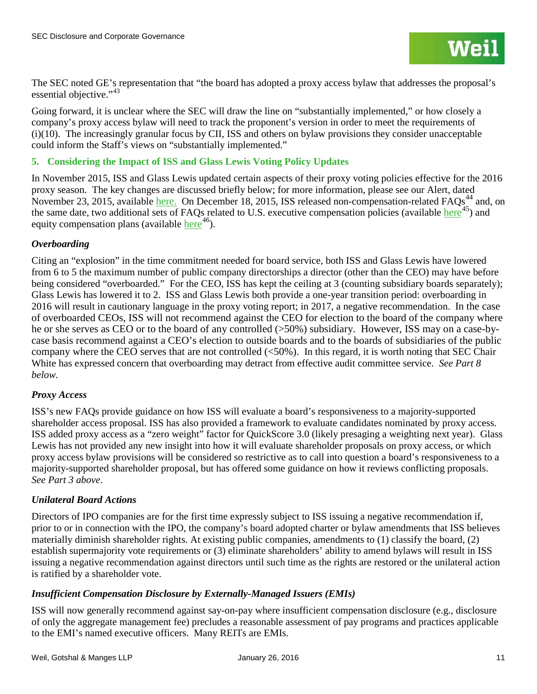The SEC noted GE's representation that "the board has adopted a proxy access bylaw that addresses the proposal's essential objective."<sup>[43](#page-38-0)</sup>

Going forward, it is unclear where the SEC will draw the line on "substantially implemented," or how closely a company's proxy access bylaw will need to track the proponent's version in order to meet the requirements of (i)(10). The increasingly granular focus by CII, ISS and others on bylaw provisions they consider unacceptable could inform the Staff's views on "substantially implemented."

## **5. Considering the Impact of ISS and Glass Lewis Voting Policy Updates**

In November 2015, ISS and Glass Lewis updated certain aspects of their proxy voting policies effective for the 2016 proxy season. The key changes are discussed briefly below; for more information, please see our Alert, dated November 23, 2015, available [here.](http://www.weil.com/%7E/media/files/pdfs/revised-pcag-alert--112315.pdf) On December 18, 2015, ISS released non-compensation-related FAQs<sup>[44](#page-38-1)</sup> and, on the same date, two additional sets of FAQs related to U.S. executive compensation policies (available [here](http://www.issgovernance.com/file/policy/us-executive-compensation-policies-faq-dec-2015.pdf) $^{45}$  $^{45}$  $^{45}$ ) and equity compensation plans (available  $here<sup>46</sup>$  $here<sup>46</sup>$  $here<sup>46</sup>$ ).

## *Overboarding*

Citing an "explosion" in the time commitment needed for board service, both ISS and Glass Lewis have lowered from 6 to 5 the maximum number of public company directorships a director (other than the CEO) may have before being considered "overboarded." For the CEO, ISS has kept the ceiling at 3 (counting subsidiary boards separately); Glass Lewis has lowered it to 2. ISS and Glass Lewis both provide a one-year transition period: overboarding in 2016 will result in cautionary language in the proxy voting report; in 2017, a negative recommendation. In the case of overboarded CEOs, ISS will not recommend against the CEO for election to the board of the company where he or she serves as CEO or to the board of any controlled (>50%) subsidiary. However, ISS may on a case-bycase basis recommend against a CEO's election to outside boards and to the boards of subsidiaries of the public company where the CEO serves that are not controlled (<50%). In this regard, it is worth noting that SEC Chair White has expressed concern that overboarding may detract from effective audit committee service. *See Part 8 below.*

## *Proxy Access*

ISS's new FAQs provide guidance on how ISS will evaluate a board's responsiveness to a majority-supported shareholder access proposal. ISS has also provided a framework to evaluate candidates nominated by proxy access. ISS added proxy access as a "zero weight" factor for QuickScore 3.0 (likely presaging a weighting next year).Glass Lewis has not provided any new insight into how it will evaluate shareholder proposals on proxy access, or which proxy access bylaw provisions will be considered so restrictive as to call into question a board's responsiveness to a majority-supported shareholder proposal, but has offered some guidance on how it reviews conflicting proposals. *See Part 3 above*.

## *Unilateral Board Actions*

Directors of IPO companies are for the first time expressly subject to ISS issuing a negative recommendation if, prior to or in connection with the IPO, the company's board adopted charter or bylaw amendments that ISS believes materially diminish shareholder rights. At existing public companies, amendments to (1) classify the board, (2) establish supermajority vote requirements or (3) eliminate shareholders' ability to amend bylaws will result in ISS issuing a negative recommendation against directors until such time as the rights are restored or the unilateral action is ratified by a shareholder vote.

## *Insufficient Compensation Disclosure by Externally-Managed Issuers (EMIs)*

ISS will now generally recommend against say-on-pay where insufficient compensation disclosure (e.g., disclosure of only the aggregate management fee) precludes a reasonable assessment of pay programs and practices applicable to the EMI's named executive officers. Many REITs are EMIs.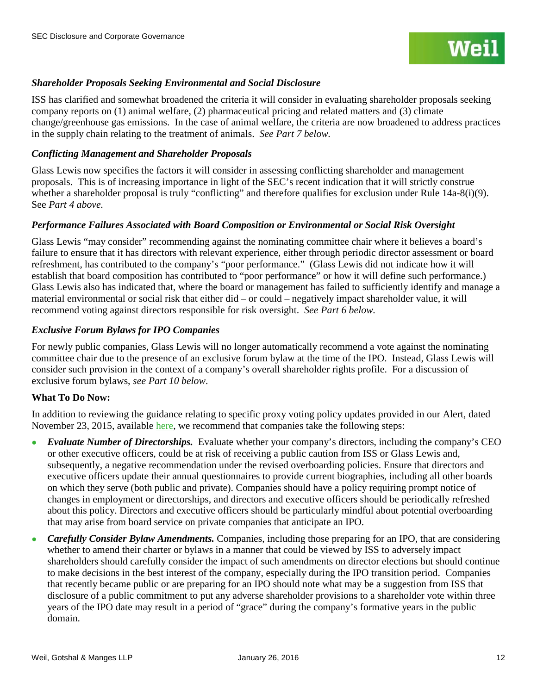

## *Shareholder Proposals Seeking Environmental and Social Disclosure*

ISS has clarified and somewhat broadened the criteria it will consider in evaluating shareholder proposals seeking company reports on (1) animal welfare, (2) pharmaceutical pricing and related matters and (3) climate change/greenhouse gas emissions. In the case of animal welfare, the criteria are now broadened to address practices in the supply chain relating to the treatment of animals. *See Part 7 below.*

## *Conflicting Management and Shareholder Proposals*

Glass Lewis now specifies the factors it will consider in assessing conflicting shareholder and management proposals. This is of increasing importance in light of the SEC's recent indication that it will strictly construe whether a shareholder proposal is truly "conflicting" and therefore qualifies for exclusion under Rule 14a-8(i)(9). See *Part 4 above.*

### *Performance Failures Associated with Board Composition or Environmental or Social Risk Oversight*

Glass Lewis "may consider" recommending against the nominating committee chair where it believes a board's failure to ensure that it has directors with relevant experience, either through periodic director assessment or board refreshment, has contributed to the company's "poor performance." (Glass Lewis did not indicate how it will establish that board composition has contributed to "poor performance" or how it will define such performance.) Glass Lewis also has indicated that, where the board or management has failed to sufficiently identify and manage a material environmental or social risk that either did – or could – negatively impact shareholder value, it will recommend voting against directors responsible for risk oversight. *See Part 6 below.*

## *Exclusive Forum Bylaws for IPO Companies*

For newly public companies, Glass Lewis will no longer automatically recommend a vote against the nominating committee chair due to the presence of an exclusive forum bylaw at the time of the IPO. Instead, Glass Lewis will consider such provision in the context of a company's overall shareholder rights profile. For a discussion of exclusive forum bylaws, *see Part 10 below*.

### **What To Do Now:**

In addition to reviewing the guidance relating to specific proxy voting policy updates provided in our Alert, dated November 23, 2015, available [here,](http://www.weil.com/%7E/media/files/pdfs/alert_iss_glass_lewis_policy_updates_2016_quickscore2.pdf) we recommend that companies take the following steps:

- *Evaluate Number of Directorships.* Evaluate whether your company's directors, including the company's CEO or other executive officers, could be at risk of receiving a public caution from ISS or Glass Lewis and, subsequently, a negative recommendation under the revised overboarding policies. Ensure that directors and executive officers update their annual questionnaires to provide current biographies, including all other boards on which they serve (both public and private). Companies should have a policy requiring prompt notice of changes in employment or directorships, and directors and executive officers should be periodically refreshed about this policy. Directors and executive officers should be particularly mindful about potential overboarding that may arise from board service on private companies that anticipate an IPO.
- *Carefully Consider Bylaw Amendments.* Companies, including those preparing for an IPO, that are considering whether to amend their charter or bylaws in a manner that could be viewed by ISS to adversely impact shareholders should carefully consider the impact of such amendments on director elections but should continue to make decisions in the best interest of the company, especially during the IPO transition period. Companies that recently became public or are preparing for an IPO should note what may be a suggestion from ISS that disclosure of a public commitment to put any adverse shareholder provisions to a shareholder vote within three years of the IPO date may result in a period of "grace" during the company's formative years in the public domain.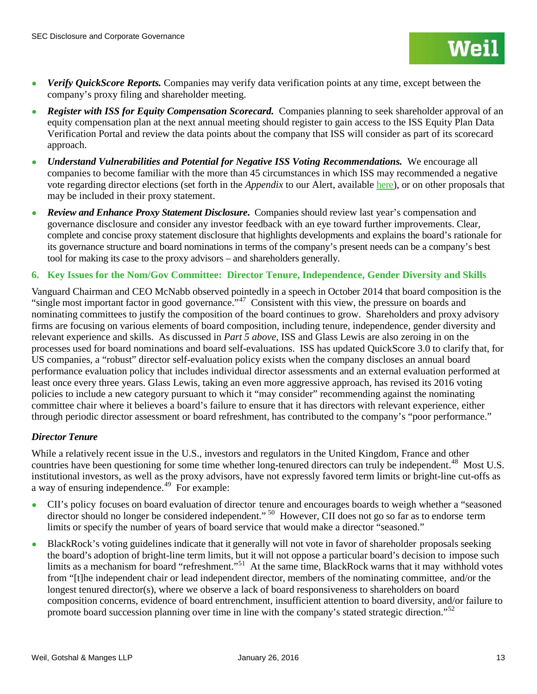

- *Verify QuickScore Reports.* Companies may verify data verification points at any time, except between the company's proxy filing and shareholder meeting.
- *Register with ISS for Equity Compensation Scorecard.* Companies planning to seek shareholder approval of an equity compensation plan at the next annual meeting should register to gain access to the ISS Equity Plan Data Verification Portal and review the data points about the company that ISS will consider as part of its scorecard approach.
- *Understand Vulnerabilities and Potential for Negative ISS Voting Recommendations.* We encourage all companies to become familiar with the more than 45 circumstances in which ISS may recommended a negative vote regarding director elections (set forth in the *Appendix* to our Alert, available [here\)](http://www.weil.com/%7E/media/files/pdfs/revised-pcag-alert--112315.pdf), or on other proposals that may be included in their proxy statement.
- *Review and Enhance Proxy Statement Disclosure***.** Companies should review last year's compensation and governance disclosure and consider any investor feedback with an eye toward further improvements. Clear, complete and concise proxy statement disclosure that highlights developments and explains the board's rationale for its governance structure and board nominations in terms of the company's present needs can be a company's best tool for making its case to the proxy advisors – and shareholders generally.

## **6. Key Issues for the Nom/Gov Committee: Director Tenure, Independence, Gender Diversity and Skills**

Vanguard Chairman and CEO McNabb observed pointedly in a speech in October 2014 that board composition is the "single most important factor in good governance."<sup>[47](#page-38-4)</sup> Consistent with this view, the pressure on boards and nominating committees to justify the composition of the board continues to grow. Shareholders and proxy advisory firms are focusing on various elements of board composition, including tenure, independence, gender diversity and relevant experience and skills. As discussed in *Part 5 above*, ISS and Glass Lewis are also zeroing in on the processes used for board nominations and board self-evaluations. ISS has updated QuickScore 3.0 to clarify that, for US companies, a "robust" director self-evaluation policy exists when the company discloses an annual board performance evaluation policy that includes individual director assessments and an external evaluation performed at least once every three years. Glass Lewis, taking an even more aggressive approach, has revised its 2016 voting policies to include a new category pursuant to which it "may consider" recommending against the nominating committee chair where it believes a board's failure to ensure that it has directors with relevant experience, either through periodic director assessment or board refreshment, has contributed to the company's "poor performance."

### *Director Tenure*

While a relatively recent issue in the U.S., investors and regulators in the United Kingdom, France and other countries have been questioning for some time whether long-tenured directors can truly be independent.<sup>48</sup> Most U.S. institutional investors, as well as the proxy advisors, have not expressly favored term limits or bright-line cut-offs as a way of ensuring independence.<sup>[49](#page-38-6)</sup> For example:

- CII's policy focuses on board evaluation of director tenure and encourages boards to weigh whether a "seasoned director should no longer be considered independent." <sup>[50](#page-38-7)</sup> However, CII does not go so far as to endorse term limits or specify the number of years of board service that would make a director "seasoned."
- BlackRock's voting guidelines indicate that it generally will not vote in favor of shareholder proposals seeking the board's adoption of bright-line term limits, but it will not oppose a particular board's decision to impose such limits as a mechanism for board "refreshment."<sup>51</sup> At the same time, BlackRock warns that it may withhold votes from "[t]he independent chair or lead independent director, members of the nominating committee, and/or the longest tenured director(s), where we observe a lack of board responsiveness to shareholders on board composition concerns, evidence of board entrenchment, insufficient attention to board diversity, and/or failure to promote board succession planning over time in line with the company's stated strategic direction."<sup>[52](#page-38-9)</sup>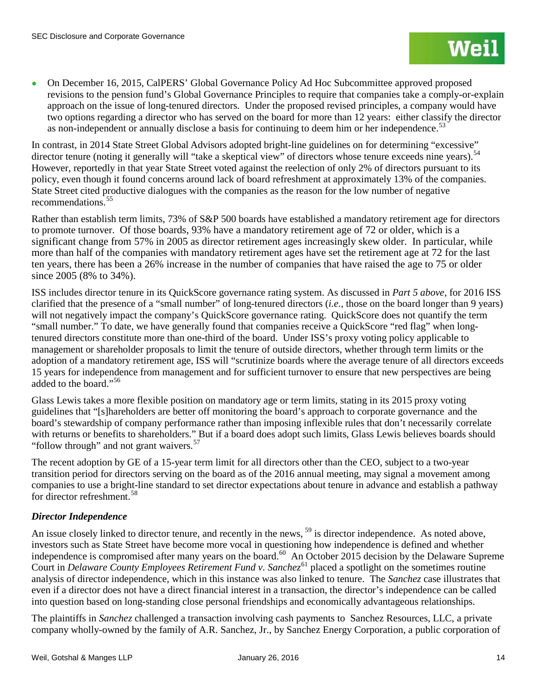On December 16, 2015, CalPERS' Global Governance Policy Ad Hoc Subcommittee approved proposed revisions to the pension fund's Global Governance Principles to require that companies take a comply-or-explain approach on the issue of long-tenured directors. Under the proposed revised principles, a company would have two options regarding a director who has served on the board for more than 12 years: either classify the director as non-independent or annually disclose a basis for continuing to deem him or her independence.<sup>[53](#page-39-0)</sup>

In contrast, in 2014 State Street Global Advisors adopted bright-line guidelines on for determining "excessive" director tenure (noting it generally will "take a skeptical view" of directors whose tenure exceeds nine years).<sup>54</sup> However, reportedly in that year State Street voted against the reelection of only 2% of directors pursuant to its policy, even though it found concerns around lack of board refreshment at approximately 13% of the companies. State Street cited productive dialogues with the companies as the reason for the low number of negative recommendations.[55](#page-39-2) 

Rather than establish term limits, 73% of S&P 500 boards have established a mandatory retirement age for directors to promote turnover. Of those boards, 93% have a mandatory retirement age of 72 or older, which is a significant change from 57% in 2005 as director retirement ages increasingly skew older. In particular, while more than half of the companies with mandatory retirement ages have set the retirement age at 72 for the last ten years, there has been a 26% increase in the number of companies that have raised the age to 75 or older since 2005 (8% to 34%).

ISS includes director tenure in its QuickScore governance rating system. As discussed in *Part 5 above*, for 2016 ISS clarified that the presence of a "small number" of long-tenured directors (*i.e.*, those on the board longer than 9 years) will not negatively impact the company's QuickScore governance rating. QuickScore does not quantify the term "small number." To date, we have generally found that companies receive a QuickScore "red flag" when longtenured directors constitute more than one-third of the board. Under ISS's proxy voting policy applicable to management or shareholder proposals to limit the tenure of outside directors, whether through term limits or the adoption of a mandatory retirement age, ISS will "scrutinize boards where the average tenure of all directors exceeds 15 years for independence from management and for sufficient turnover to ensure that new perspectives are being added to the board."<sup>[56](#page-39-3)</sup>

Glass Lewis takes a more flexible position on mandatory age or term limits, stating in its 2015 proxy voting guidelines that "[s]hareholders are better off monitoring the board's approach to corporate governance and the board's stewardship of company performance rather than imposing inflexible rules that don't necessarily correlate with returns or benefits to shareholders." But if a board does adopt such limits, Glass Lewis believes boards should "follow through" and not grant waivers.<sup>[57](#page-39-4)</sup>

The recent adoption by GE of a 15-year term limit for all directors other than the CEO, subject to a two-year transition period for directors serving on the board as of the 2016 annual meeting, may signal a movement among companies to use a bright-line standard to set director expectations about tenure in advance and establish a pathway for director refreshment.<sup>[58](#page-39-5)</sup>

## *Director Independence*

An issue closely linked to director tenure, and recently in the news, <sup>[59](#page-39-6)</sup> is director independence. As noted above, investors such as State Street have become more vocal in questioning how independence is defined and whether independence is compromised after many years on the board.<sup>[60](#page-39-7)</sup> An October 2015 decision by the Delaware Supreme Court in *Delaware County Employees Retirement Fund v. Sanchez*<sup>[61](#page-39-8)</sup> placed a spotlight on the sometimes routine analysis of director independence, which in this instance was also linked to tenure. The *Sanchez* case illustrates that even if a director does not have a direct financial interest in a transaction, the director's independence can be called into question based on long-standing close personal friendships and economically advantageous relationships.

The plaintiffs in *Sanchez* challenged a transaction involving cash payments to Sanchez Resources, LLC, a private company wholly-owned by the family of A.R. Sanchez, Jr., by Sanchez Energy Corporation, a public corporation of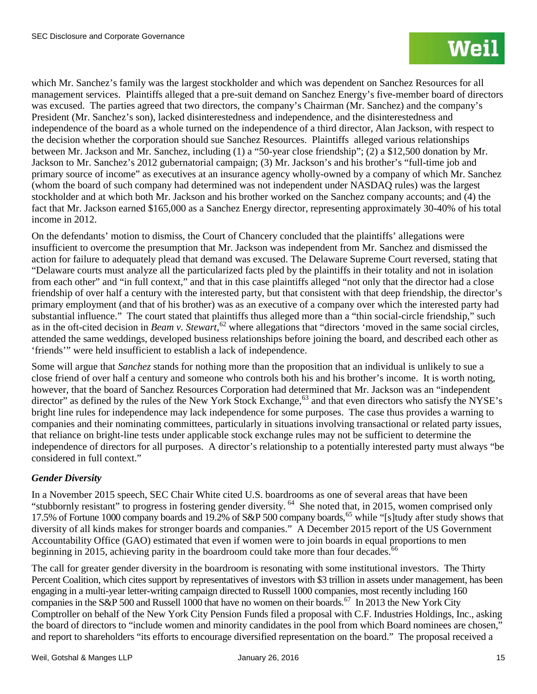which Mr. Sanchez's family was the largest stockholder and which was dependent on Sanchez Resources for all management services. Plaintiffs alleged that a pre-suit demand on Sanchez Energy's five-member board of directors was excused. The parties agreed that two directors, the company's Chairman (Mr. Sanchez) and the company's President (Mr. Sanchez's son), lacked disinterestedness and independence, and the disinterestedness and independence of the board as a whole turned on the independence of a third director, Alan Jackson, with respect to the decision whether the corporation should sue Sanchez Resources. Plaintiffs alleged various relationships between Mr. Jackson and Mr. Sanchez, including (1) a "50-year close friendship"; (2) a \$12,500 donation by Mr. Jackson to Mr. Sanchez's 2012 gubernatorial campaign; (3) Mr. Jackson's and his brother's "full-time job and primary source of income" as executives at an insurance agency wholly-owned by a company of which Mr. Sanchez (whom the board of such company had determined was not independent under NASDAQ rules) was the largest stockholder and at which both Mr. Jackson and his brother worked on the Sanchez company accounts; and (4) the fact that Mr. Jackson earned \$165,000 as a Sanchez Energy director, representing approximately 30-40% of his total income in 2012.

On the defendants' motion to dismiss, the Court of Chancery concluded that the plaintiffs' allegations were insufficient to overcome the presumption that Mr. Jackson was independent from Mr. Sanchez and dismissed the action for failure to adequately plead that demand was excused. The Delaware Supreme Court reversed, stating that "Delaware courts must analyze all the particularized facts pled by the plaintiffs in their totality and not in isolation from each other" and "in full context," and that in this case plaintiffs alleged "not only that the director had a close friendship of over half a century with the interested party, but that consistent with that deep friendship, the director's primary employment (and that of his brother) was as an executive of a company over which the interested party had substantial influence." The court stated that plaintiffs thus alleged more than a "thin social-circle friendship," such as in the oft-cited decision in *Beam v. Stewart*, [62](#page-40-0) where allegations that "directors 'moved in the same social circles, attended the same weddings, developed business relationships before joining the board, and described each other as 'friends'" were held insufficient to establish a lack of independence.

Some will argue that *Sanchez* stands for nothing more than the proposition that an individual is unlikely to sue a close friend of over half a century and someone who controls both his and his brother's income. It is worth noting, however, that the board of Sanchez Resources Corporation had determined that Mr. Jackson was an "independent director" as defined by the rules of the New York Stock Exchange,<sup>[63](#page-40-1)</sup> and that even directors who satisfy the NYSE's bright line rules for independence may lack independence for some purposes. The case thus provides a warning to companies and their nominating committees, particularly in situations involving transactional or related party issues, that reliance on bright-line tests under applicable stock exchange rules may not be sufficient to determine the independence of directors for all purposes. A director's relationship to a potentially interested party must always "be considered in full context."

## *Gender Diversity*

In a November 2015 speech, SEC Chair White cited U.S. boardrooms as one of several areas that have been "stubbornly resistant" to progress in fostering gender diversity. <sup>64</sup> She noted that, in 2015, women comprised only 17.5% of Fortune 1000 company boards and 19.2% of S&P 500 company boards,<sup>[65](#page-40-3)</sup> while "[s]tudy after study shows that diversity of all kinds makes for stronger boards and companies." A December 2015 report of the US Government Accountability Office (GAO) estimated that even if women were to join boards in equal proportions to men beginning in 2015, achieving parity in the boardroom could take more than four decades.<sup>[66](#page-40-4)</sup>

The call for greater gender diversity in the boardroom is resonating with some institutional investors. The Thirty Percent Coalition, which cites support by representatives of investors with \$3 trillion in assets under management, has been engaging in a multi-year letter-writing campaign directed to Russell 1000 companies, most recently including 160 companies in the S&P 500 and Russell 1000 that have no women on their boards.<sup>[67](#page-40-5)</sup> In 2013 the New York City Comptroller on behalf of the New York City Pension Funds filed a proposal with C.F. Industries Holdings, Inc., asking the board of directors to "include women and minority candidates in the pool from which Board nominees are chosen," and report to shareholders "its efforts to encourage diversified representation on the board." The proposal received a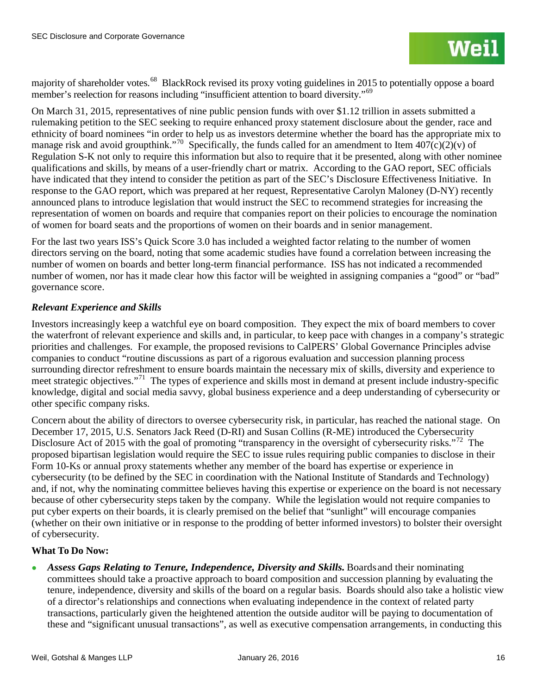majority of shareholder votes.<sup>[68](#page-41-0)</sup> BlackRock revised its proxy voting guidelines in 2015 to potentially oppose a board member's reelection for reasons including "insufficient attention to board diversity."[69](#page-41-1)

On March 31, 2015, representatives of nine public pension funds with over \$1.12 trillion in assets submitted a rulemaking petition to the SEC seeking to require enhanced proxy statement disclosure about the gender, race and ethnicity of board nominees "in order to help us as investors determine whether the board has the appropriate mix to manage risk and avoid groupthink."<sup>[70](#page-41-2)</sup> Specifically, the funds called for an amendment to Item  $407(c)(2)(v)$  of Regulation S-K not only to require this information but also to require that it be presented, along with other nominee qualifications and skills, by means of a user-friendly chart or matrix. According to the GAO report, SEC officials have indicated that they intend to consider the petition as part of the SEC's Disclosure Effectiveness Initiative. In response to the GAO report, which was prepared at her request, Representative Carolyn Maloney (D-NY) recently announced plans to introduce legislation that would instruct the SEC to recommend strategies for increasing the representation of women on boards and require that companies report on their policies to encourage the nomination of women for board seats and the proportions of women on their boards and in senior management.

For the last two years ISS's Quick Score 3.0 has included a weighted factor relating to the number of women directors serving on the board, noting that some academic studies have found a correlation between increasing the number of women on boards and better long-term financial performance. ISS has not indicated a recommended number of women, nor has it made clear how this factor will be weighted in assigning companies a "good" or "bad" governance score.

## *Relevant Experience and Skills*

Investors increasingly keep a watchful eye on board composition. They expect the mix of board members to cover the waterfront of relevant experience and skills and, in particular, to keep pace with changes in a company's strategic priorities and challenges. For example, the proposed revisions to CalPERS' Global Governance Principles advise companies to conduct "routine discussions as part of a rigorous evaluation and succession planning process surrounding director refreshment to ensure boards maintain the necessary mix of skills, diversity and experience to meet strategic objectives."[71](#page-41-3) The types of experience and skills most in demand at present include industry-specific knowledge, digital and social media savvy, global business experience and a deep understanding of cybersecurity or other specific company risks.

Concern about the ability of directors to oversee cybersecurity risk, in particular, has reached the national stage. On December 17, 2015, U.S. Senators Jack Reed (D-RI) and Susan Collins (R-ME) introduced the Cybersecurity Disclosure Act of 2015 with the goal of promoting "transparency in the oversight of cybersecurity risks."<sup>[72](#page-41-4)</sup> The proposed bipartisan legislation would require the SEC to issue rules requiring public companies to disclose in their Form 10-Ks or annual proxy statements whether any member of the board has expertise or experience in cybersecurity (to be defined by the SEC in coordination with the National Institute of Standards and Technology) and, if not, why the nominating committee believes having this expertise or experience on the board is not necessary because of other cybersecurity steps taken by the company. While the legislation would not require companies to put cyber experts on their boards, it is clearly premised on the belief that "sunlight" will encourage companies (whether on their own initiative or in response to the prodding of better informed investors) to bolster their oversight of cybersecurity.

## **What To Do Now:**

• Assess Gaps Relating to Tenure, Independence, Diversity and Skills. Boards and their nominating committees should take a proactive approach to board composition and succession planning by evaluating the tenure, independence, diversity and skills of the board on a regular basis. Boards should also take a holistic view of a director's relationships and connections when evaluating independence in the context of related party transactions, particularly given the heightened attention the outside auditor will be paying to documentation of these and "significant unusual transactions", as well as executive compensation arrangements, in conducting this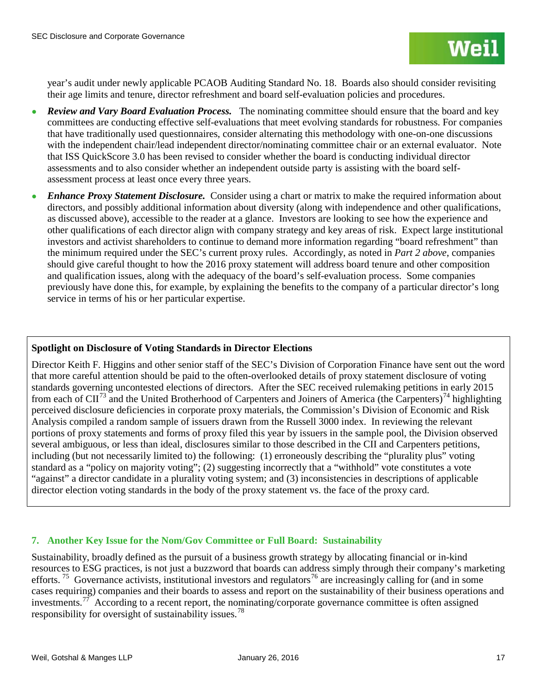year's audit under newly applicable PCAOB Auditing Standard No. 18. Boards also should consider revisiting their age limits and tenure, director refreshment and board self-evaluation policies and procedures.

- *Review and Vary Board Evaluation Process.* The nominating committee should ensure that the board and key committees are conducting effective self-evaluations that meet evolving standards for robustness. For companies that have traditionally used questionnaires, consider alternating this methodology with one-on-one discussions with the independent chair/lead independent director/nominating committee chair or an external evaluator. Note that ISS QuickScore 3.0 has been revised to consider whether the board is conducting individual director assessments and to also consider whether an independent outside party is assisting with the board selfassessment process at least once every three years.
- *Enhance Proxy Statement Disclosure.* Consider using a chart or matrix to make the required information about directors, and possibly additional information about diversity (along with independence and other qualifications, as discussed above), accessible to the reader at a glance. Investors are looking to see how the experience and other qualifications of each director align with company strategy and key areas of risk. Expect large institutional investors and activist shareholders to continue to demand more information regarding "board refreshment" than the minimum required under the SEC's current proxy rules. Accordingly, as noted in *Part 2 above*, companies should give careful thought to how the 2016 proxy statement will address board tenure and other composition and qualification issues, along with the adequacy of the board's self-evaluation process. Some companies previously have done this, for example, by explaining the benefits to the company of a particular director's long service in terms of his or her particular expertise.

## **Spotlight on Disclosure of Voting Standards in Director Elections**

Director Keith F. Higgins and other senior staff of the SEC's Division of Corporation Finance have sent out the word that more careful attention should be paid to the often-overlooked details of proxy statement disclosure of voting standards governing uncontested elections of directors. After the SEC received rulemaking petitions in early 2015 from each of  $\text{CII}^{73}$  $\text{CII}^{73}$  $\text{CII}^{73}$  and the United Brotherhood of Carpenters and Joiners of America (the Carpenters)<sup>[74](#page-42-1)</sup> highlighting perceived disclosure deficiencies in corporate proxy materials, the Commission's Division of Economic and Risk Analysis compiled a random sample of issuers drawn from the Russell 3000 index. In reviewing the relevant portions of proxy statements and forms of proxy filed this year by issuers in the sample pool, the Division observed several ambiguous, or less than ideal, disclosures similar to those described in the CII and Carpenters petitions, including (but not necessarily limited to) the following: (1) erroneously describing the "plurality plus" voting standard as a "policy on majority voting"; (2) suggesting incorrectly that a "withhold" vote constitutes a vote "against" a director candidate in a plurality voting system; and (3) inconsistencies in descriptions of applicable director election voting standards in the body of the proxy statement vs. the face of the proxy card.

## **7. Another Key Issue for the Nom/Gov Committee or Full Board: Sustainability**

Sustainability, broadly defined as the pursuit of a business growth strategy by allocating financial or in-kind resources to ESG practices, is not just a buzzword that boards can address simply through their company's marketing efforts.<sup>75</sup> Governance activists, institutional investors and regulators<sup>[76](#page-42-3)</sup> are increasingly calling for (and in some cases requiring) companies and their boards to assess and report on the sustainability of their business operations and investments.<sup>[77](#page-42-4)</sup> According to a recent report, the nominating/corporate governance committee is often assigned responsibility for oversight of sustainability issues.<sup>78</sup>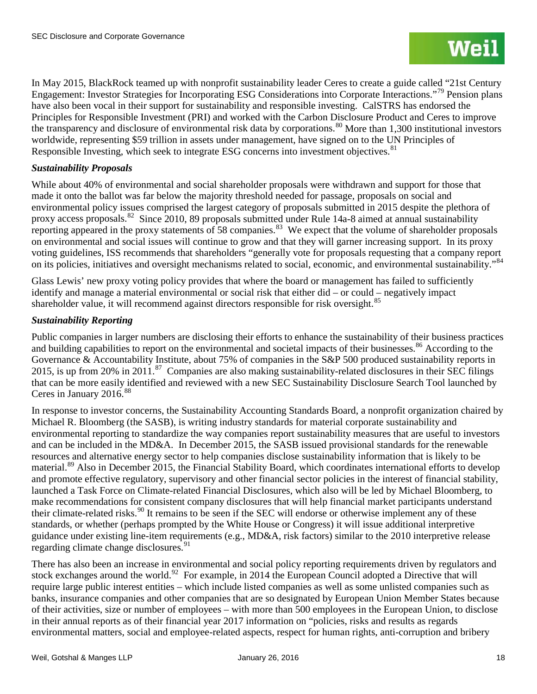In May 2015, BlackRock teamed up with nonprofit sustainability leader Ceres to create a guide called "21st Century Engagement: Investor Strategies for Incorporating ESG Considerations into Corporate Interactions."[79](#page-43-0) Pension plans have also been vocal in their support for sustainability and responsible investing. CalSTRS has endorsed the Principles for Responsible Investment (PRI) and worked with the Carbon Disclosure Product and Ceres to improve the transparency and disclosure of environmental risk data by corporations.<sup>[80](#page-43-1)</sup> More than 1,300 institutional investors worldwide, representing \$59 trillion in assets under management, have signed on to the UN Principles of Responsible Investing, which seek to integrate ESG concerns into investment objectives.<sup>[81](#page-43-2)</sup>

## *Sustainability Proposals*

While about 40% of environmental and social shareholder proposals were withdrawn and support for those that made it onto the ballot was far below the majority threshold needed for passage, proposals on social and environmental policy issues comprised the largest category of proposals submitted in 2015 despite the plethora of proxy access proposals.<sup>[82](#page-43-3)</sup> Since 2010, 89 proposals submitted under Rule 14a-8 aimed at annual sustainability reporting appeared in the proxy statements of 58 companies.<sup>[83](#page-43-4)</sup> We expect that the volume of shareholder proposals on environmental and social issues will continue to grow and that they will garner increasing support. In its proxy voting guidelines, ISS recommends that shareholders "generally vote for proposals requesting that a company report on its policies, initiatives and oversight mechanisms related to social, economic, and environmental sustainability."<sup>[84](#page-43-5)</sup>

Glass Lewis' new proxy voting policy provides that where the board or management has failed to sufficiently identify and manage a material environmental or social risk that either did – or could – negatively impact shareholder value, it will recommend against directors responsible for risk oversight.<sup>85</sup>

## *Sustainability Reporting*

Public companies in larger numbers are disclosing their efforts to enhance the sustainability of their business practices and building capabilities to report on the environmental and societal impacts of their businesses.<sup>[86](#page-43-7)</sup> According to the Governance & Accountability Institute, about 75% of companies in the S&P 500 produced sustainability reports in 2015, is up from 20% in 2011.<sup>87</sup> Companies are also making sustainability-related disclosures in their SEC filings that can be more easily identified and reviewed with a new SEC Sustainability Disclosure Search Tool launched by Ceres in January 2016. [88](#page-43-9) 

In response to investor concerns, the Sustainability Accounting Standards Board, a nonprofit organization chaired by Michael R. Bloomberg (the SASB), is writing industry standards for material corporate sustainability and environmental reporting to standardize the way companies report sustainability measures that are useful to investors and can be included in the MD&A. In December 2015, the SASB issued provisional standards for the renewable resources and alternative energy sector to help companies disclose sustainability information that is likely to be material.<sup>[89](#page-43-10)</sup> Also in December 2015, the Financial Stability Board, which coordinates international efforts to develop and promote effective regulatory, supervisory and other financial sector policies in the interest of financial stability, launched a Task Force on Climate-related Financial Disclosures, which also will be led by Michael Bloomberg, to make recommendations for consistent company disclosures that will help financial market participants understand their climate-related risks.<sup>[90](#page-43-11)</sup> It remains to be seen if the SEC will endorse or otherwise implement any of these standards, or whether (perhaps prompted by the White House or Congress) it will issue additional interpretive guidance under existing line-item requirements (e.g., MD&A, risk factors) similar to the 2010 interpretive release regarding climate change disclosures.<sup>[91](#page-43-12)</sup>

There has also been an increase in environmental and social policy reporting requirements driven by regulators and stock exchanges around the world.<sup>92</sup> For example, in 2014 the European Council adopted a Directive that will require large public interest entities – which include listed companies as well as some unlisted companies such as banks, insurance companies and other companies that are so designated by European Union Member States because of their activities, size or number of employees – with more than 500 employees in the European Union, to disclose in their annual reports as of their financial year 2017 information on "policies, risks and results as regards environmental matters, social and employee-related aspects, respect for human rights, anti-corruption and bribery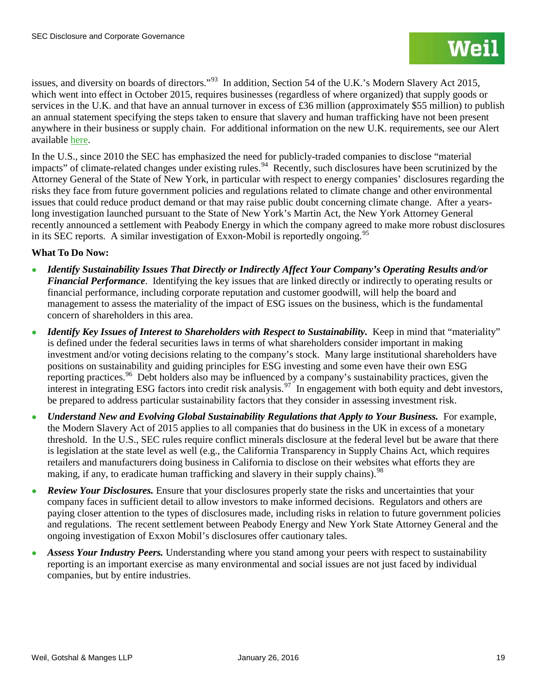issues, and diversity on boards of directors."[93](#page-44-0) In addition, Section 54 of the U.K.'s Modern Slavery Act 2015, which went into effect in October 2015, requires businesses (regardless of where organized) that supply goods or services in the U.K. and that have an annual turnover in excess of £36 million (approximately \$55 million) to publish an annual statement specifying the steps taken to ensure that slavery and human trafficking have not been present anywhere in their business or supply chain. For additional information on the new U.K. requirements, see our [Alert](http://www.weil.com/%7E/media/files/pdfs/151104--modern-slavery-act-2015-simon-taylor-v2.pdf) available here.

In the U.S., since 2010 the SEC has emphasized the need for publicly-traded companies to disclose "material impacts" of climate-related changes under existing rules.<sup>94</sup> Recently, such disclosures have been scrutinized by the Attorney General of the State of New York, in particular with respect to energy companies' disclosures regarding the risks they face from future government policies and regulations related to climate change and other environmental issues that could reduce product demand or that may raise public doubt concerning climate change. After a yearslong investigation launched pursuant to the State of New York's Martin Act, the New York Attorney General recently announced a settlement with Peabody Energy in which the company agreed to make more robust disclosures in its SEC reports. A similar investigation of Exxon-Mobil is reportedly ongoing.<sup>[95](#page-44-2)</sup>

## **What To Do Now:**

- *Identify Sustainability Issues That Directly or Indirectly Affect Your Company's Operating Results and/or Financial Performance*. Identifying the key issues that are linked directly or indirectly to operating results or financial performance, including corporate reputation and customer goodwill, will help the board and management to assess the materiality of the impact of ESG issues on the business, which is the fundamental concern of shareholders in this area.
- *Identify Key Issues of Interest to Shareholders with Respect to Sustainability.* Keep in mind that "materiality" is defined under the federal securities laws in terms of what shareholders consider important in making investment and/or voting decisions relating to the company's stock. Many large institutional shareholders have positions on sustainability and guiding principles for ESG investing and some even have their own ESG reporting practices.<sup>96</sup> Debt holders also may be influenced by a company's sustainability practices, given the interest in integrating ESG factors into credit risk analysis.<sup>[97](#page-44-4)</sup> In engagement with both equity and debt investors, be prepared to address particular sustainability factors that they consider in assessing investment risk.
- *Understand New and Evolving Global Sustainability Regulations that Apply to Your Business.* For example, the Modern Slavery Act of 2015 applies to all companies that do business in the UK in excess of a monetary threshold. In the U.S., SEC rules require conflict minerals disclosure at the federal level but be aware that there is legislation at the state level as well (e.g., the California Transparency in Supply Chains Act, which requires retailers and manufacturers doing business in California to disclose on their websites what efforts they are making, if any, to eradicate human trafficking and slavery in their supply chains).<sup>[98](#page-44-5)</sup>
- **Review Your Disclosures.** Ensure that your disclosures properly state the risks and uncertainties that your company faces in sufficient detail to allow investors to make informed decisions. Regulators and others are paying closer attention to the types of disclosures made, including risks in relation to future government policies and regulations. The recent settlement between Peabody Energy and New York State Attorney General and the ongoing investigation of Exxon Mobil's disclosures offer cautionary tales.
- Assess Your Industry Peers. Understanding where you stand among your peers with respect to sustainability reporting is an important exercise as many environmental and social issues are not just faced by individual companies, but by entire industries.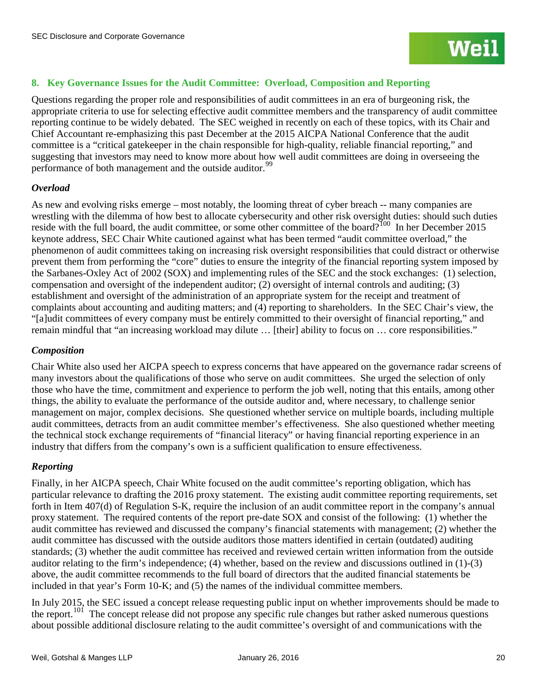## **8. Key Governance Issues for the Audit Committee: Overload, Composition and Reporting**

Questions regarding the proper role and responsibilities of audit committees in an era of burgeoning risk, the appropriate criteria to use for selecting effective audit committee members and the transparency of audit committee reporting continue to be widely debated. The SEC weighed in recently on each of these topics, with its Chair and Chief Accountant re-emphasizing this past December at the 2015 AICPA National Conference that the audit committee is a "critical gatekeeper in the chain responsible for high-quality, reliable financial reporting," and suggesting that investors may need to know more about how well audit committees are doing in overseeing the performance of both management and the outside auditor.<sup>[99](#page-45-0)</sup>

## *Overload*

As new and evolving risks emerge – most notably, the looming threat of cyber breach -- many companies are wrestling with the dilemma of how best to allocate cybersecurity and other risk oversight duties: should such duties reside with the full board, the audit committee, or some other committee of the board?<sup>[100](#page-45-1)</sup> In her December 2015 keynote address, SEC Chair White cautioned against what has been termed "audit committee overload," the phenomenon of audit committees taking on increasing risk oversight responsibilities that could distract or otherwise prevent them from performing the "core" duties to ensure the integrity of the financial reporting system imposed by the Sarbanes-Oxley Act of 2002 (SOX) and implementing rules of the SEC and the stock exchanges: (1) selection, compensation and oversight of the independent auditor; (2) oversight of internal controls and auditing; (3) establishment and oversight of the administration of an appropriate system for the receipt and treatment of complaints about accounting and auditing matters; and (4) reporting to shareholders. In the SEC Chair's view, the "[a]udit committees of every company must be entirely committed to their oversight of financial reporting," and remain mindful that "an increasing workload may dilute … [their] ability to focus on … core responsibilities."

## *Composition*

Chair White also used her AICPA speech to express concerns that have appeared on the governance radar screens of many investors about the qualifications of those who serve on audit committees. She urged the selection of only those who have the time, commitment and experience to perform the job well, noting that this entails, among other things, the ability to evaluate the performance of the outside auditor and, where necessary, to challenge senior management on major, complex decisions. She questioned whether service on multiple boards, including multiple audit committees, detracts from an audit committee member's effectiveness. She also questioned whether meeting the technical stock exchange requirements of "financial literacy" or having financial reporting experience in an industry that differs from the company's own is a sufficient qualification to ensure effectiveness.

## *Reporting*

Finally, in her AICPA speech, Chair White focused on the audit committee's reporting obligation, which has particular relevance to drafting the 2016 proxy statement. The existing audit committee reporting requirements, set forth in Item 407(d) of Regulation S-K, require the inclusion of an audit committee report in the company's annual proxy statement. The required contents of the report pre-date SOX and consist of the following: (1) whether the audit committee has reviewed and discussed the company's financial statements with management; (2) whether the audit committee has discussed with the outside auditors those matters identified in certain (outdated) auditing standards; (3) whether the audit committee has received and reviewed certain written information from the outside auditor relating to the firm's independence; (4) whether, based on the review and discussions outlined in (1)-(3) above, the audit committee recommends to the full board of directors that the audited financial statements be included in that year's Form 10-K; and (5) the names of the individual committee members.

In July 2015, the SEC issued a concept release requesting public input on whether improvements should be made to the report.<sup>[101](#page-45-2)</sup> The concept release did not propose any specific rule changes but rather asked numerous questions about possible additional disclosure relating to the audit committee's oversight of and communications with the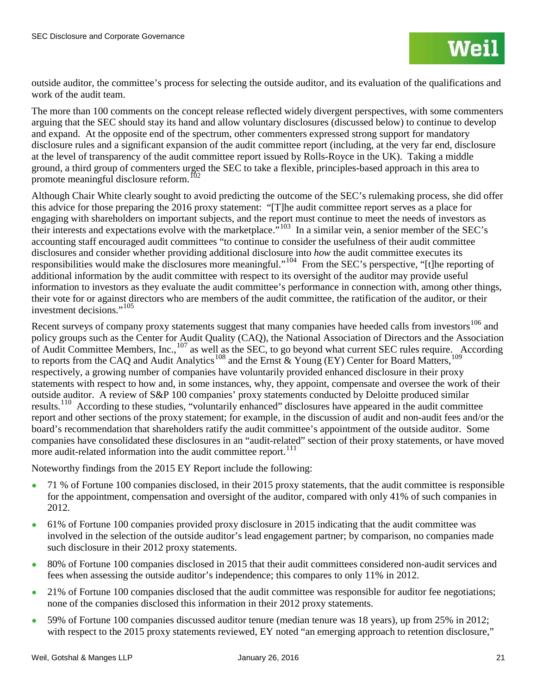outside auditor, the committee's process for selecting the outside auditor, and its evaluation of the qualifications and work of the audit team.

The more than 100 comments on the concept release reflected widely divergent perspectives, with some commenters arguing that the SEC should stay its hand and allow voluntary disclosures (discussed below) to continue to develop and expand. At the opposite end of the spectrum, other commenters expressed strong support for mandatory disclosure rules and a significant expansion of the audit committee report (including, at the very far end, disclosure at the level of transparency of the audit committee report issued by Rolls-Royce in the UK). Taking a middle ground, a third group of commenters urged the SEC to take a flexible, principles-based approach in this area to promote meaningful disclosure reform.<sup>102</sup>

Although Chair White clearly sought to avoid predicting the outcome of the SEC's rulemaking process, she did offer this advice for those preparing the 2016 proxy statement: "[T]he audit committee report serves as a place for engaging with shareholders on important subjects, and the report must continue to meet the needs of investors as their interests and expectations evolve with the marketplace.<sup>5103</sup> In a similar vein, a senior member of the SEC's accounting staff encouraged audit committees "to continue to consider the usefulness of their audit committee disclosures and consider whether providing additional disclosure into *how* the audit committee executes its responsibilities would make the disclosures more meaningful."[104](#page-46-2) From the SEC's perspective, "[t]he reporting of additional information by the audit committee with respect to its oversight of the auditor may provide useful information to investors as they evaluate the audit committee's performance in connection with, among other things, their vote for or against directors who are members of the audit committee, the ratification of the auditor, or their investment decisions."<sup>[105](#page-46-3)</sup>

Recent surveys of company proxy statements suggest that many companies have heeded calls from investors<sup>[106](#page-46-4)</sup> and policy groups such as the Center for Audit Quality (CAQ), the National Association of Directors and the Association of Audit Committee Members, Inc.,<sup>[107](#page-46-5)</sup> as well as the SEC, to go beyond what current SEC rules require. According to reports from the CAQ and Audit Analytics<sup>[108](#page-46-6)</sup> and the Ernst & Young (EY) Center for Board Matters,<sup>[109](#page-46-7)</sup> respectively, a growing number of companies have voluntarily provided enhanced disclosure in their proxy statements with respect to how and, in some instances, why, they appoint, compensate and oversee the work of their outside auditor. A review of S&P 100 companies' proxy statements conducted by Deloitte produced similar results.<sup>110</sup> According to these studies, "voluntarily enhanced" disclosures have appeared in the audit committee report and other sections of the proxy statement; for example, in the discussion of audit and non-audit fees and/or the board's recommendation that shareholders ratify the audit committee's appointment of the outside auditor. Some companies have consolidated these disclosures in an "audit-related" section of their proxy statements, or have moved more audit-related information into the audit committee report.<sup>[111](#page-46-9)</sup>

Noteworthy findings from the 2015 EY Report include the following:

- 71 % of Fortune 100 companies disclosed, in their 2015 proxy statements, that the audit committee is responsible for the appointment, compensation and oversight of the auditor, compared with only 41% of such companies in 2012.
- 61% of Fortune 100 companies provided proxy disclosure in 2015 indicating that the audit committee was involved in the selection of the outside auditor's lead engagement partner; by comparison, no companies made such disclosure in their 2012 proxy statements.
- 80% of Fortune 100 companies disclosed in 2015 that their audit committees considered non-audit services and fees when assessing the outside auditor's independence; this compares to only 11% in 2012.
- 21% of Fortune 100 companies disclosed that the audit committee was responsible for auditor fee negotiations; none of the companies disclosed this information in their 2012 proxy statements.
- 59% of Fortune 100 companies discussed auditor tenure (median tenure was 18 years), up from 25% in 2012; with respect to the 2015 proxy statements reviewed, EY noted "an emerging approach to retention disclosure,"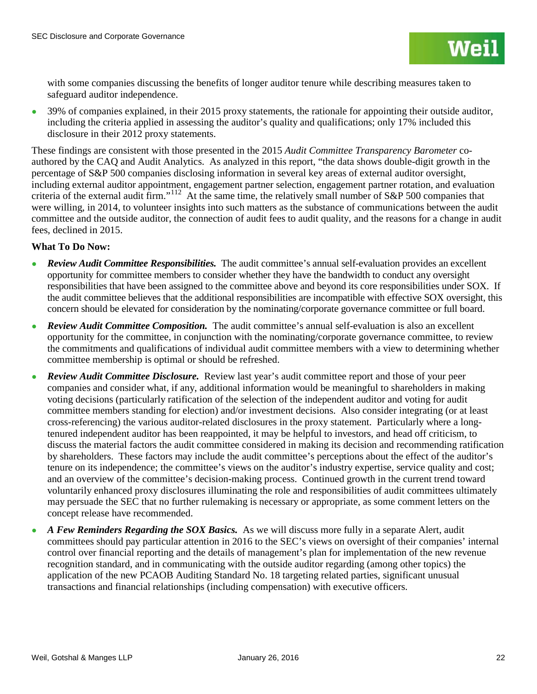with some companies discussing the benefits of longer auditor tenure while describing measures taken to safeguard auditor independence.

• 39% of companies explained, in their 2015 proxy statements, the rationale for appointing their outside auditor, including the criteria applied in assessing the auditor's quality and qualifications; only 17% included this disclosure in their 2012 proxy statements.

These findings are consistent with those presented in the 2015 *Audit Committee Transparency Barometer* coauthored by the CAQ and Audit Analytics. As analyzed in this report, "the data shows double-digit growth in the percentage of S&P 500 companies disclosing information in several key areas of external auditor oversight, including external auditor appointment, engagement partner selection, engagement partner rotation, and evaluation criteria of the external audit firm."<sup>[112](#page-47-0)</sup> At the same time, the relatively small number of S&P 500 companies that were willing, in 2014, to volunteer insights into such matters as the substance of communications between the audit committee and the outside auditor, the connection of audit fees to audit quality, and the reasons for a change in audit fees, declined in 2015.

## **What To Do Now:**

- *Review Audit Committee Responsibilities.* The audit committee's annual self-evaluation provides an excellent opportunity for committee members to consider whether they have the bandwidth to conduct any oversight responsibilities that have been assigned to the committee above and beyond its core responsibilities under SOX. If the audit committee believes that the additional responsibilities are incompatible with effective SOX oversight, this concern should be elevated for consideration by the nominating/corporate governance committee or full board.
- *Review Audit Committee Composition.* The audit committee's annual self-evaluation is also an excellent opportunity for the committee, in conjunction with the nominating/corporate governance committee, to review the commitments and qualifications of individual audit committee members with a view to determining whether committee membership is optimal or should be refreshed.
- Review Audit Committee Disclosure. Review last year's audit committee report and those of your peer companies and consider what, if any, additional information would be meaningful to shareholders in making voting decisions (particularly ratification of the selection of the independent auditor and voting for audit committee members standing for election) and/or investment decisions. Also consider integrating (or at least cross-referencing) the various auditor-related disclosures in the proxy statement. Particularly where a longtenured independent auditor has been reappointed, it may be helpful to investors, and head off criticism, to discuss the material factors the audit committee considered in making its decision and recommending ratification by shareholders. These factors may include the audit committee's perceptions about the effect of the auditor's tenure on its independence; the committee's views on the auditor's industry expertise, service quality and cost; and an overview of the committee's decision-making process. Continued growth in the current trend toward voluntarily enhanced proxy disclosures illuminating the role and responsibilities of audit committees ultimately may persuade the SEC that no further rulemaking is necessary or appropriate, as some comment letters on the concept release have recommended.
- *A Few Reminders Regarding the SOX Basics.* As we will discuss more fully in a separate Alert, audit committees should pay particular attention in 2016 to the SEC's views on oversight of their companies' internal control over financial reporting and the details of management's plan for implementation of the new revenue recognition standard, and in communicating with the outside auditor regarding (among other topics) the application of the new PCAOB Auditing Standard No. 18 targeting related parties, significant unusual transactions and financial relationships (including compensation) with executive officers.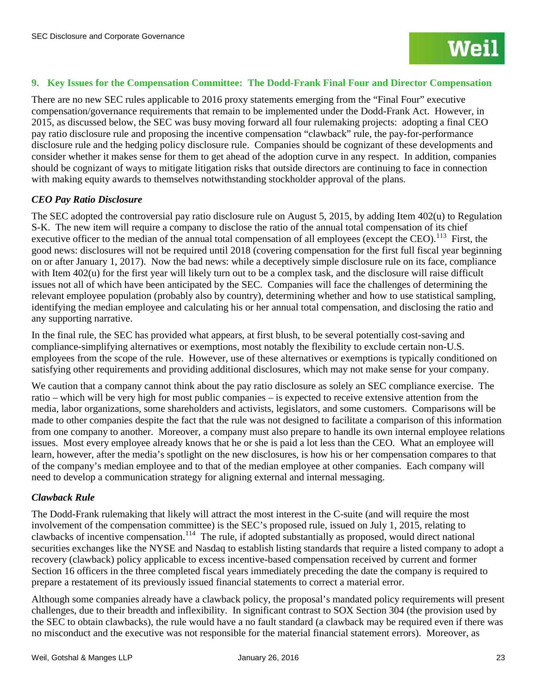## **9. Key Issues for the Compensation Committee: The Dodd-Frank Final Four and Director Compensation**

There are no new SEC rules applicable to 2016 proxy statements emerging from the "Final Four" executive compensation/governance requirements that remain to be implemented under the Dodd-Frank Act. However, in 2015, as discussed below, the SEC was busy moving forward all four rulemaking projects: adopting a final CEO pay ratio disclosure rule and proposing the incentive compensation "clawback" rule, the pay-for-performance disclosure rule and the hedging policy disclosure rule. Companies should be cognizant of these developments and consider whether it makes sense for them to get ahead of the adoption curve in any respect. In addition, companies should be cognizant of ways to mitigate litigation risks that outside directors are continuing to face in connection with making equity awards to themselves notwithstanding stockholder approval of the plans.

## *CEO Pay Ratio Disclosure*

The SEC adopted the controversial pay ratio disclosure rule on August 5, 2015, by adding Item 402(u) to Regulation S-K. The new item will require a company to disclose the ratio of the annual total compensation of its chief executive officer to the median of the annual total compensation of all employees (except the CEO).<sup>[113](#page-47-1)</sup> First, the good news: disclosures will not be required until 2018 (covering compensation for the first full fiscal year beginning on or after January 1, 2017). Now the bad news: while a deceptively simple disclosure rule on its face, compliance with Item 402(u) for the first year will likely turn out to be a complex task, and the disclosure will raise difficult issues not all of which have been anticipated by the SEC. Companies will face the challenges of determining the relevant employee population (probably also by country), determining whether and how to use statistical sampling, identifying the median employee and calculating his or her annual total compensation, and disclosing the ratio and any supporting narrative.

In the final rule, the SEC has provided what appears, at first blush, to be several potentially cost-saving and compliance-simplifying alternatives or exemptions, most notably the flexibility to exclude certain non-U.S. employees from the scope of the rule. However, use of these alternatives or exemptions is typically conditioned on satisfying other requirements and providing additional disclosures, which may not make sense for your company.

We caution that a company cannot think about the pay ratio disclosure as solely an SEC compliance exercise. The ratio – which will be very high for most public companies – is expected to receive extensive attention from the media, labor organizations, some shareholders and activists, legislators, and some customers. Comparisons will be made to other companies despite the fact that the rule was not designed to facilitate a comparison of this information from one company to another. Moreover, a company must also prepare to handle its own internal employee relations issues. Most every employee already knows that he or she is paid a lot less than the CEO. What an employee will learn, however, after the media's spotlight on the new disclosures, is how his or her compensation compares to that of the company's median employee and to that of the median employee at other companies. Each company will need to develop a communication strategy for aligning external and internal messaging.

### *Clawback Rule*

The Dodd-Frank rulemaking that likely will attract the most interest in the C-suite (and will require the most involvement of the compensation committee) is the SEC's proposed rule, issued on July 1, 2015, relating to clawbacks of incentive compensation.[114](#page-47-2) The rule, if adopted substantially as proposed, would direct national securities exchanges like the NYSE and Nasdaq to establish listing standards that require a listed company to adopt a recovery (clawback) policy applicable to excess incentive-based compensation received by current and former Section 16 officers in the three completed fiscal years immediately preceding the date the company is required to prepare a restatement of its previously issued financial statements to correct a material error.

Although some companies already have a clawback policy, the proposal's mandated policy requirements will present challenges, due to their breadth and inflexibility. In significant contrast to SOX Section 304 (the provision used by the SEC to obtain clawbacks), the rule would have a no fault standard (a clawback may be required even if there was no misconduct and the executive was not responsible for the material financial statement errors). Moreover, as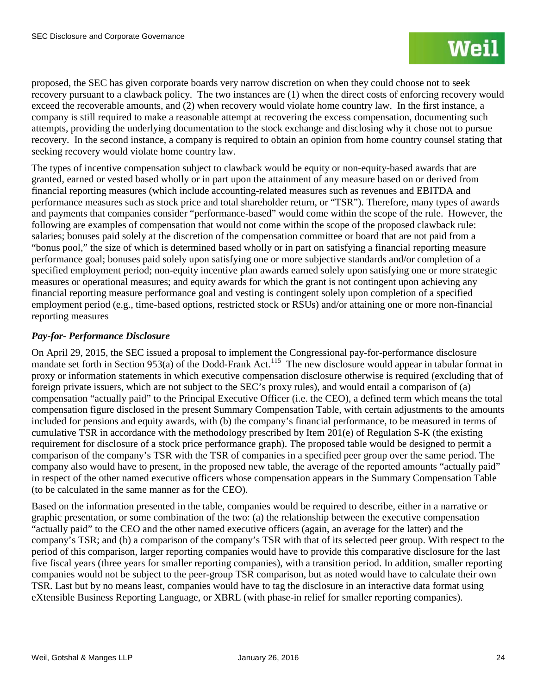proposed, the SEC has given corporate boards very narrow discretion on when they could choose not to seek recovery pursuant to a clawback policy. The two instances are (1) when the direct costs of enforcing recovery would exceed the recoverable amounts, and (2) when recovery would violate home country law. In the first instance, a company is still required to make a reasonable attempt at recovering the excess compensation, documenting such attempts, providing the underlying documentation to the stock exchange and disclosing why it chose not to pursue recovery. In the second instance, a company is required to obtain an opinion from home country counsel stating that seeking recovery would violate home country law.

The types of incentive compensation subject to clawback would be equity or non-equity-based awards that are granted, earned or vested based wholly or in part upon the attainment of any measure based on or derived from financial reporting measures (which include accounting-related measures such as revenues and EBITDA and performance measures such as stock price and total shareholder return, or "TSR"). Therefore, many types of awards and payments that companies consider "performance-based" would come within the scope of the rule. However, the following are examples of compensation that would not come within the scope of the proposed clawback rule: salaries; bonuses paid solely at the discretion of the compensation committee or board that are not paid from a "bonus pool," the size of which is determined based wholly or in part on satisfying a financial reporting measure performance goal; bonuses paid solely upon satisfying one or more subjective standards and/or completion of a specified employment period; non-equity incentive plan awards earned solely upon satisfying one or more strategic measures or operational measures; and equity awards for which the grant is not contingent upon achieving any financial reporting measure performance goal and vesting is contingent solely upon completion of a specified employment period (e.g., time-based options, restricted stock or RSUs) and/or attaining one or more non-financial reporting measures

## *Pay-for- Performance Disclosure*

On April 29, 2015, the SEC issued a proposal to implement the Congressional pay-for-performance disclosure mandate set forth in Section 953(a) of the Dodd-Frank Act.<sup>115</sup> The new disclosure would appear in tabular format in proxy or information statements in which executive compensation disclosure otherwise is required (excluding that of foreign private issuers, which are not subject to the SEC's proxy rules), and would entail a comparison of (a) compensation "actually paid" to the Principal Executive Officer (i.e. the CEO), a defined term which means the total compensation figure disclosed in the present Summary Compensation Table, with certain adjustments to the amounts included for pensions and equity awards, with (b) the company's financial performance, to be measured in terms of cumulative TSR in accordance with the methodology prescribed by Item 201(e) of Regulation S-K (the existing requirement for disclosure of a stock price performance graph). The proposed table would be designed to permit a comparison of the company's TSR with the TSR of companies in a specified peer group over the same period. The company also would have to present, in the proposed new table, the average of the reported amounts "actually paid" in respect of the other named executive officers whose compensation appears in the Summary Compensation Table (to be calculated in the same manner as for the CEO).

Based on the information presented in the table, companies would be required to describe, either in a narrative or graphic presentation, or some combination of the two: (a) the relationship between the executive compensation "actually paid" to the CEO and the other named executive officers (again, an average for the latter) and the company's TSR; and (b) a comparison of the company's TSR with that of its selected peer group. With respect to the period of this comparison, larger reporting companies would have to provide this comparative disclosure for the last five fiscal years (three years for smaller reporting companies), with a transition period. In addition, smaller reporting companies would not be subject to the peer-group TSR comparison, but as noted would have to calculate their own TSR. Last but by no means least, companies would have to tag the disclosure in an interactive data format using eXtensible Business Reporting Language, or XBRL (with phase-in relief for smaller reporting companies).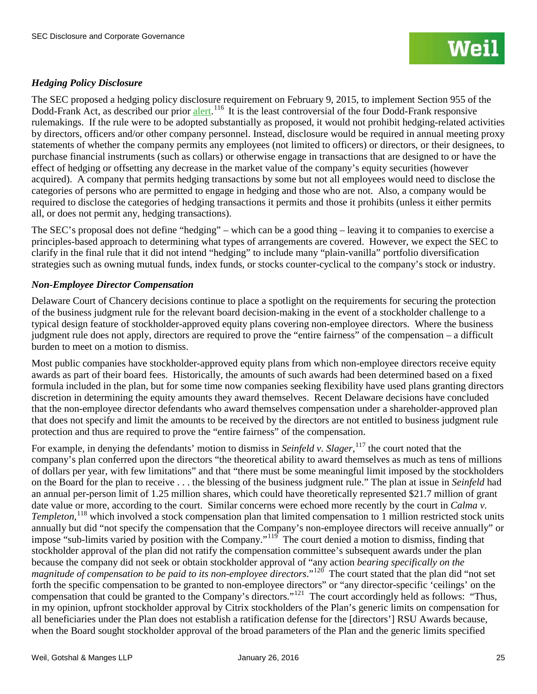## *Hedging Policy Disclosure*

The SEC proposed a hedging policy disclosure requirement on February 9, 2015, to implement Section 955 of the Dodd-Frank Act, as described our prior [alert.](http://www.weil.com/%7E/media/files/pdfs/pcag_sec_discl_alert_feb_2015_.pdf)<sup>116</sup> It is the least controversial of the four Dodd-Frank responsive rulemakings. If the rule were to be adopted substantially as proposed, it would not prohibit hedging-related activities by directors, officers and/or other company personnel. Instead, disclosure would be required in annual meeting proxy statements of whether the company permits any employees (not limited to officers) or directors, or their designees, to purchase financial instruments (such as collars) or otherwise engage in transactions that are designed to or have the effect of hedging or offsetting any decrease in the market value of the company's equity securities (however acquired). A company that permits hedging transactions by some but not all employees would need to disclose the categories of persons who are permitted to engage in hedging and those who are not. Also, a company would be required to disclose the categories of hedging transactions it permits and those it prohibits (unless it either permits all, or does not permit any, hedging transactions).

The SEC's proposal does not define "hedging" – which can be a good thing – leaving it to companies to exercise a principles-based approach to determining what types of arrangements are covered. However, we expect the SEC to clarify in the final rule that it did not intend "hedging" to include many "plain-vanilla" portfolio diversification strategies such as owning mutual funds, index funds, or stocks counter-cyclical to the company's stock or industry.

## *Non-Employee Director Compensation*

Delaware Court of Chancery decisions continue to place a spotlight on the requirements for securing the protection of the business judgment rule for the relevant board decision-making in the event of a stockholder challenge to a typical design feature of stockholder-approved equity plans covering non-employee directors. Where the business judgment rule does not apply, directors are required to prove the "entire fairness" of the compensation – a difficult burden to meet on a motion to dismiss.

Most public companies have stockholder-approved equity plans from which non-employee directors receive equity awards as part of their board fees. Historically, the amounts of such awards had been determined based on a fixed formula included in the plan, but for some time now companies seeking flexibility have used plans granting directors discretion in determining the equity amounts they award themselves. Recent Delaware decisions have concluded that the non-employee director defendants who award themselves compensation under a shareholder-approved plan that does not specify and limit the amounts to be received by the directors are not entitled to business judgment rule protection and thus are required to prove the "entire fairness" of the compensation.

For example, in denying the defendants' motion to dismiss in *Seinfeld v. Slager*, <sup>[117](#page-49-1)</sup> the court noted that the company's plan conferred upon the directors "the theoretical ability to award themselves as much as tens of millions of dollars per year, with few limitations" and that "there must be some meaningful limit imposed by the stockholders on the Board for the plan to receive . . . the blessing of the business judgment rule." The plan at issue in *Seinfeld* had an annual per-person limit of 1.25 million shares, which could have theoretically represented \$21.7 million of grant date value or more, according to the court. Similar concerns were echoed more recently by the court in *Calma v. Templeton*, [118](#page-49-2) which involved a stock compensation plan that limited compensation to 1 million restricted stock units annually but did "not specify the compensation that the Company's non-employee directors will receive annually" or impose "sub-limits varied by position with the Company."<sup>[119](#page-49-3)</sup> The court denied a motion to dismiss, finding that stockholder approval of the plan did not ratify the compensation committee's subsequent awards under the plan because the company did not seek or obtain stockholder approval of "any action *bearing specifically on the magnitude of compensation to be paid to its non-employee directors*."[120](#page-49-4) The court stated that the plan did "not set forth the specific compensation to be granted to non-employee directors" or "any director-specific 'ceilings' on the compensation that could be granted to the Company's directors."<sup>[121](#page-49-5)</sup> The court accordingly held as follows: "Thus, in my opinion, upfront stockholder approval by Citrix stockholders of the Plan's generic limits on compensation for all beneficiaries under the Plan does not establish a ratification defense for the [directors'] RSU Awards because, when the Board sought stockholder approval of the broad parameters of the Plan and the generic limits specified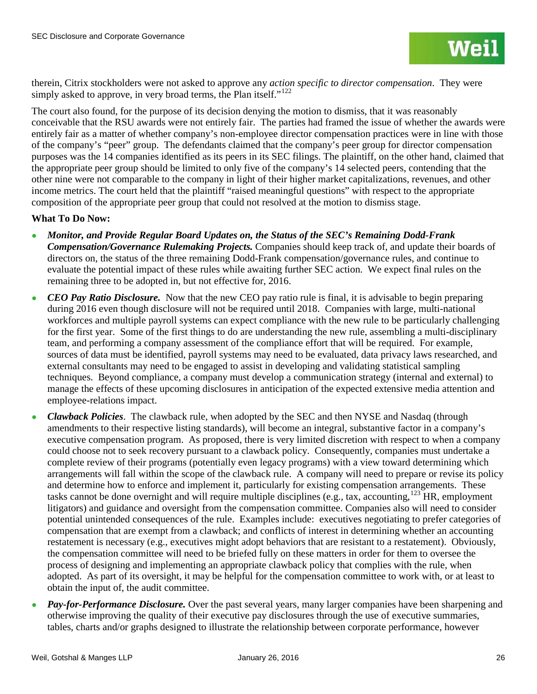

therein, Citrix stockholders were not asked to approve any *action specific to director compensation*. They were simply asked to approve, in very broad terms, the Plan itself."<sup>[122](#page-50-0)</sup>

The court also found, for the purpose of its decision denying the motion to dismiss, that it was reasonably conceivable that the RSU awards were not entirely fair. The parties had framed the issue of whether the awards were entirely fair as a matter of whether company's non-employee director compensation practices were in line with those of the company's "peer" group. The defendants claimed that the company's peer group for director compensation purposes was the 14 companies identified as its peers in its SEC filings. The plaintiff, on the other hand, claimed that the appropriate peer group should be limited to only five of the company's 14 selected peers, contending that the other nine were not comparable to the company in light of their higher market capitalizations, revenues, and other income metrics. The court held that the plaintiff "raised meaningful questions" with respect to the appropriate composition of the appropriate peer group that could not resolved at the motion to dismiss stage.

### **What To Do Now:**

- *Monitor, and Provide Regular Board Updates on, the Status of the SEC's Remaining Dodd-Frank Compensation/Governance Rulemaking Projects.* Companies should keep track of, and update their boards of directors on, the status of the three remaining Dodd-Frank compensation/governance rules, and continue to evaluate the potential impact of these rules while awaiting further SEC action. We expect final rules on the remaining three to be adopted in, but not effective for, 2016.
- *CEO Pay Ratio Disclosure*. Now that the new CEO pay ratio rule is final, it is advisable to begin preparing during 2016 even though disclosure will not be required until 2018. Companies with large, multi-national workforces and multiple payroll systems can expect compliance with the new rule to be particularly challenging for the first year. Some of the first things to do are understanding the new rule, assembling a multi-disciplinary team, and performing a company assessment of the compliance effort that will be required. For example, sources of data must be identified, payroll systems may need to be evaluated, data privacy laws researched, and external consultants may need to be engaged to assist in developing and validating statistical sampling techniques. Beyond compliance, a company must develop a communication strategy (internal and external) to manage the effects of these upcoming disclosures in anticipation of the expected extensive media attention and employee-relations impact.
- *Clawback Policies*. The clawback rule, when adopted by the SEC and then NYSE and Nasdaq (through amendments to their respective listing standards), will become an integral, substantive factor in a company's executive compensation program. As proposed, there is very limited discretion with respect to when a company could choose not to seek recovery pursuant to a clawback policy. Consequently, companies must undertake a complete review of their programs (potentially even legacy programs) with a view toward determining which arrangements will fall within the scope of the clawback rule. A company will need to prepare or revise its policy and determine how to enforce and implement it, particularly for existing compensation arrangements. These tasks cannot be done overnight and will require multiple disciplines (e.g., tax, accounting,  $^{123}$  $^{123}$  $^{123}$  HR, employment litigators) and guidance and oversight from the compensation committee. Companies also will need to consider potential unintended consequences of the rule. Examples include: executives negotiating to prefer categories of compensation that are exempt from a clawback; and conflicts of interest in determining whether an accounting restatement is necessary (e.g., executives might adopt behaviors that are resistant to a restatement). Obviously, the compensation committee will need to be briefed fully on these matters in order for them to oversee the process of designing and implementing an appropriate clawback policy that complies with the rule, when adopted. As part of its oversight, it may be helpful for the compensation committee to work with, or at least to obtain the input of, the audit committee.
- *Pay-for-Performance Disclosure*. Over the past several years, many larger companies have been sharpening and otherwise improving the quality of their executive pay disclosures through the use of executive summaries, tables, charts and/or graphs designed to illustrate the relationship between corporate performance, however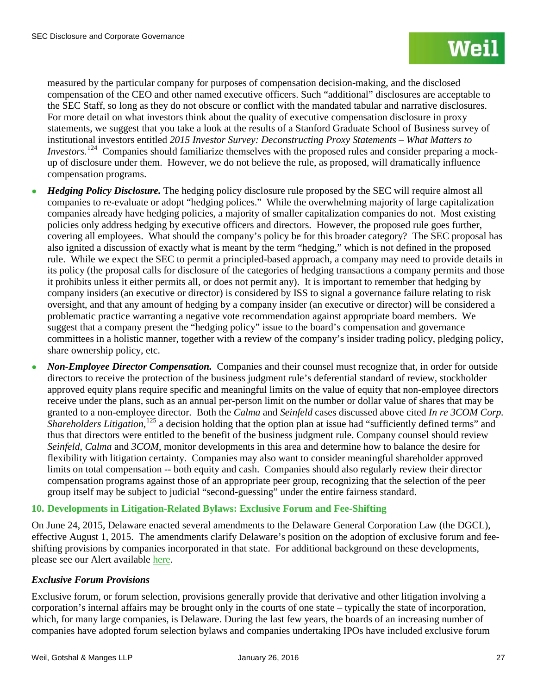measured by the particular company for purposes of compensation decision-making, and the disclosed compensation of the CEO and other named executive officers. Such "additional" disclosures are acceptable to the SEC Staff, so long as they do not obscure or conflict with the mandated tabular and narrative disclosures. For more detail on what investors think about the quality of executive compensation disclosure in proxy statements, we suggest that you take a look at the results of a Stanford Graduate School of Business survey of institutional investors entitled *2015 Investor Survey: Deconstructing Proxy Statements – What Matters to Investors.*<sup>[124](#page-51-0)</sup> Companies should familiarize themselves with the proposed rules and consider preparing a mockup of disclosure under them. However, we do not believe the rule, as proposed, will dramatically influence compensation programs.

- *Hedging Policy Disclosure*. The hedging policy disclosure rule proposed by the SEC will require almost all companies to re-evaluate or adopt "hedging polices." While the overwhelming majority of large capitalization companies already have hedging policies, a majority of smaller capitalization companies do not. Most existing policies only address hedging by executive officers and directors. However, the proposed rule goes further, covering all employees. What should the company's policy be for this broader category? The SEC proposal has also ignited a discussion of exactly what is meant by the term "hedging," which is not defined in the proposed rule. While we expect the SEC to permit a principled-based approach, a company may need to provide details in its policy (the proposal calls for disclosure of the categories of hedging transactions a company permits and those it prohibits unless it either permits all, or does not permit any). It is important to remember that hedging by company insiders (an executive or director) is considered by ISS to signal a governance failure relating to risk oversight, and that any amount of hedging by a company insider (an executive or director) will be considered a problematic practice warranting a negative vote recommendation against appropriate board members. We suggest that a company present the "hedging policy" issue to the board's compensation and governance committees in a holistic manner, together with a review of the company's insider trading policy, pledging policy, share ownership policy, etc.
- *Non-Employee Director Compensation.* Companies and their counsel must recognize that, in order for outside directors to receive the protection of the business judgment rule's deferential standard of review, stockholder approved equity plans require specific and meaningful limits on the value of equity that non-employee directors receive under the plans, such as an annual per-person limit on the number or dollar value of shares that may be granted to a non-employee director. Both the *Calma* and *Seinfeld* cases discussed above cited *In re 3COM Corp.*  Shareholders Litigation,<sup>[125](#page-51-1)</sup> a decision holding that the option plan at issue had "sufficiently defined terms" and thus that directors were entitled to the benefit of the business judgment rule. Company counsel should review *Seinfeld*, *Calma* and *3COM*, monitor developments in this area and determine how to balance the desire for flexibility with litigation certainty. Companies may also want to consider meaningful shareholder approved limits on total compensation -- both equity and cash. Companies should also regularly review their director compensation programs against those of an appropriate peer group, recognizing that the selection of the peer group itself may be subject to judicial "second-guessing" under the entire fairness standard.

## **10. Developments in Litigation-Related Bylaws: Exclusive Forum and Fee-Shifting**

On June 24, 2015, Delaware enacted several amendments to the Delaware General Corporation Law (the DGCL), effective August 1, 2015. The amendments clarify Delaware's position on the adoption of exclusive forum and feeshifting provisions by companies incorporated in that state. For additional background on these developments, please see our Alert available [here.](http://www.weil.com/%7E/media/files/pdfs/15_04_30_pcag_alert.pdf)

### *Exclusive Forum Provisions*

Exclusive forum, or forum selection, provisions generally provide that derivative and other litigation involving a corporation's internal affairs may be brought only in the courts of one state – typically the state of incorporation, which, for many large companies, is Delaware. During the last few years, the boards of an increasing number of companies have adopted forum selection bylaws and companies undertaking IPOs have included exclusive forum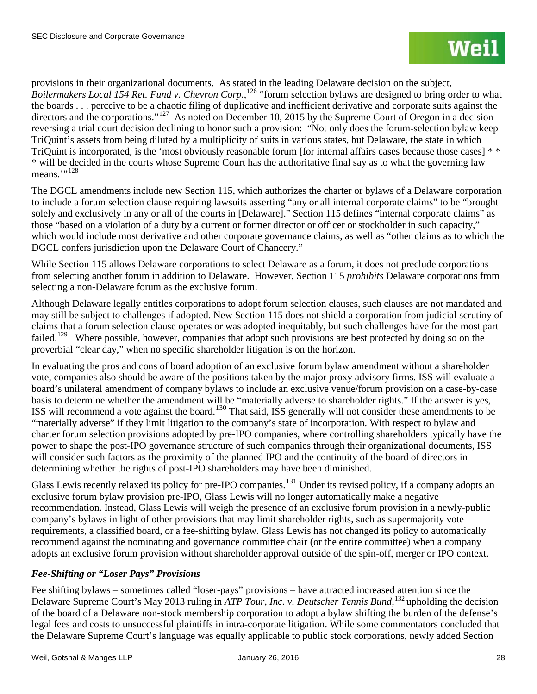provisions in their organizational documents. As stated in the leading Delaware decision on the subject, *Boilermakers Local 154 Ret. Fund v. Chevron Corp.*, [126](#page-52-0) "forum selection bylaws are designed to bring order to what the boards . . . perceive to be a chaotic filing of duplicative and inefficient derivative and corporate suits against the directors and the corporations."<sup>[127](#page-52-1)</sup> As noted on December 10, 2015 by the Supreme Court of Oregon in a decision reversing a trial court decision declining to honor such a provision: "Not only does the forum-selection bylaw keep TriQuint's assets from being diluted by a multiplicity of suits in various states, but Delaware, the state in which TriQuint is incorporated, is the 'most obviously reasonable forum [for internal affairs cases because those cases] \* \* \* will be decided in the courts whose Supreme Court has the authoritative final say as to what the governing law means. $\cdot$ <sup>[128](#page-52-2)</sup>

The DGCL amendments include new Section 115, which authorizes the charter or bylaws of a Delaware corporation to include a forum selection clause requiring lawsuits asserting "any or all internal corporate claims" to be "brought solely and exclusively in any or all of the courts in [Delaware]." Section 115 defines "internal corporate claims" as those "based on a violation of a duty by a current or former director or officer or stockholder in such capacity," which would include most derivative and other corporate governance claims, as well as "other claims as to which the DGCL confers jurisdiction upon the Delaware Court of Chancery."

While Section 115 allows Delaware corporations to select Delaware as a forum, it does not preclude corporations from selecting another forum in addition to Delaware. However, Section 115 *prohibits* Delaware corporations from selecting a non-Delaware forum as the exclusive forum.

Although Delaware legally entitles corporations to adopt forum selection clauses, such clauses are not mandated and may still be subject to challenges if adopted. New Section 115 does not shield a corporation from judicial scrutiny of claims that a forum selection clause operates or was adopted inequitably, but such challenges have for the most part failed.<sup>[129](#page-52-3)</sup> Where possible, however, companies that adopt such provisions are best protected by doing so on the proverbial "clear day," when no specific shareholder litigation is on the horizon.

In evaluating the pros and cons of board adoption of an exclusive forum bylaw amendment without a shareholder vote, companies also should be aware of the positions taken by the major proxy advisory firms. ISS will evaluate a board's unilateral amendment of company bylaws to include an exclusive venue/forum provision on a case-by-case basis to determine whether the amendment will be "materially adverse to shareholder rights." If the answer is yes, ISS will recommend a vote against the board.[130](#page-52-4) That said, ISS generally will not consider these amendments to be "materially adverse" if they limit litigation to the company's state of incorporation. With respect to bylaw and charter forum selection provisions adopted by pre-IPO companies, where controlling shareholders typically have the power to shape the post-IPO governance structure of such companies through their organizational documents, ISS will consider such factors as the proximity of the planned IPO and the continuity of the board of directors in determining whether the rights of post-IPO shareholders may have been diminished.

Glass Lewis recently relaxed its policy for pre-IPO companies.<sup>[131](#page-52-5)</sup> Under its revised policy, if a company adopts an exclusive forum bylaw provision pre-IPO, Glass Lewis will no longer automatically make a negative recommendation. Instead, Glass Lewis will weigh the presence of an exclusive forum provision in a newly-public company's bylaws in light of other provisions that may limit shareholder rights, such as supermajority vote requirements, a classified board, or a fee-shifting bylaw. Glass Lewis has not changed its policy to automatically recommend against the nominating and governance committee chair (or the entire committee) when a company adopts an exclusive forum provision without shareholder approval outside of the spin-off, merger or IPO context.

## *Fee-Shifting or "Loser Pays" Provisions*

Fee shifting bylaws – sometimes called "loser-pays" provisions – have attracted increased attention since the Delaware Supreme Court's May 2013 ruling in *ATP Tour, Inc. v. Deutscher Tennis Bund*, <sup>[132](#page-52-6)</sup> upholding the decision of the board of a Delaware non-stock membership corporation to adopt a bylaw shifting the burden of the defense's legal fees and costs to unsuccessful plaintiffs in intra-corporate litigation. While some commentators concluded that the Delaware Supreme Court's language was equally applicable to public stock corporations, newly added Section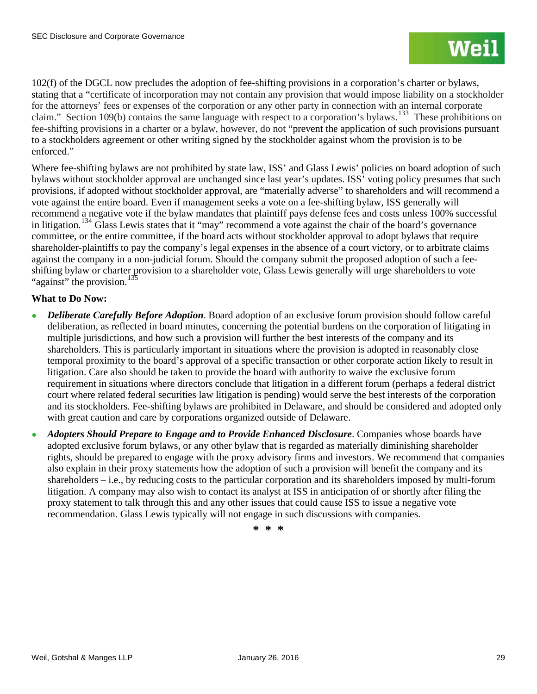102(f) of the DGCL now precludes the adoption of fee-shifting provisions in a corporation's charter or bylaws, stating that a "certificate of incorporation may not contain any provision that would impose liability on a stockholder for the attorneys' fees or expenses of the corporation or any other party in connection with an internal corporate claim." Section 109(b) contains the same language with respect to a corporation's bylaws.<sup>[133](#page-53-0)</sup> These prohibitions on fee-shifting provisions in a charter or a bylaw, however, do not "prevent the application of such provisions pursuant to a stockholders agreement or other writing signed by the stockholder against whom the provision is to be enforced."

Where fee-shifting bylaws are not prohibited by state law, ISS' and Glass Lewis' policies on board adoption of such bylaws without stockholder approval are unchanged since last year's updates. ISS' voting policy presumes that such provisions, if adopted without stockholder approval, are "materially adverse" to shareholders and will recommend a vote against the entire board. Even if management seeks a vote on a fee-shifting bylaw, ISS generally will recommend a negative vote if the bylaw mandates that plaintiff pays defense fees and costs unless 100% successful in litigation.[134](#page-53-1) Glass Lewis states that it "may" recommend a vote against the chair of the board's governance committee, or the entire committee, if the board acts without stockholder approval to adopt bylaws that require shareholder-plaintiffs to pay the company's legal expenses in the absence of a court victory, or to arbitrate claims against the company in a non-judicial forum. Should the company submit the proposed adoption of such a feeshifting bylaw or charter provision to a shareholder vote, Glass Lewis generally will urge shareholders to vote "against" the provision. $^{135}$  $^{135}$  $^{135}$ 

## **What to Do Now:**

- *Deliberate Carefully Before Adoption*. Board adoption of an exclusive forum provision should follow careful deliberation, as reflected in board minutes, concerning the potential burdens on the corporation of litigating in multiple jurisdictions, and how such a provision will further the best interests of the company and its shareholders. This is particularly important in situations where the provision is adopted in reasonably close temporal proximity to the board's approval of a specific transaction or other corporate action likely to result in litigation. Care also should be taken to provide the board with authority to waive the exclusive forum requirement in situations where directors conclude that litigation in a different forum (perhaps a federal district court where related federal securities law litigation is pending) would serve the best interests of the corporation and its stockholders. Fee-shifting bylaws are prohibited in Delaware, and should be considered and adopted only with great caution and care by corporations organized outside of Delaware.
- Adopters Should Prepare to Engage and to Provide Enhanced Disclosure. Companies whose boards have adopted exclusive forum bylaws, or any other bylaw that is regarded as materially diminishing shareholder rights, should be prepared to engage with the proxy advisory firms and investors. We recommend that companies also explain in their proxy statements how the adoption of such a provision will benefit the company and its shareholders – i.e., by reducing costs to the particular corporation and its shareholders imposed by multi-forum litigation. A company may also wish to contact its analyst at ISS in anticipation of or shortly after filing the proxy statement to talk through this and any other issues that could cause ISS to issue a negative vote recommendation. Glass Lewis typically will not engage in such discussions with companies.

**\* \* \***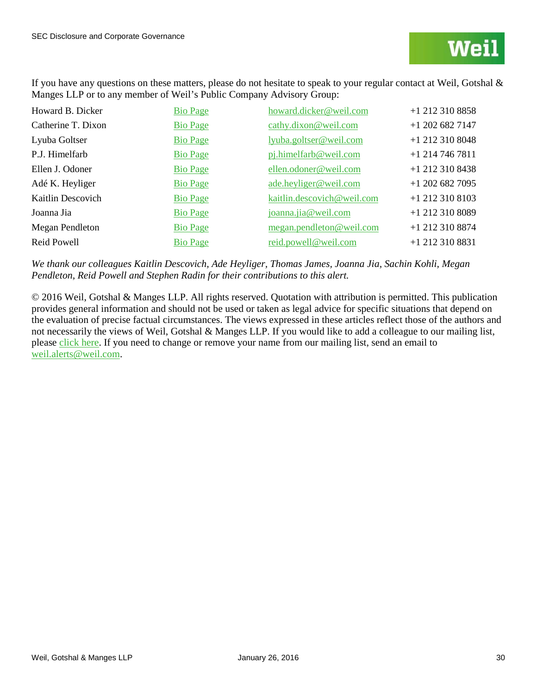If you have any questions on these matters, please do not hesitate to speak to your regular contact at Weil, Gotshal & Manges LLP or to any member of Weil's Public Company Advisory Group:

| Howard B. Dicker   | <b>Bio Page</b> | howard.dicker@weil.com     | $+1$ 212 310 8858 |
|--------------------|-----------------|----------------------------|-------------------|
| Catherine T. Dixon | <b>Bio Page</b> | cathy.dixon@weil.com       | $+1$ 202 682 7147 |
| Lyuba Goltser      | <b>Bio Page</b> | lyuba.goltser@weil.com     | +1 212 310 8048   |
| P.J. Himelfarb     | <b>Bio Page</b> | pj.himelfarb@weil.com      | $+1$ 214 746 7811 |
| Ellen J. Odoner    | <b>Bio Page</b> | ellen.odoner@weil.com      | +1 212 310 8438   |
| Adé K. Heyliger    | <b>Bio Page</b> | ade.heyliger@weil.com      | $+1$ 202 682 7095 |
| Kaitlin Descovich  | <b>Bio Page</b> | kaitlin.descovich@weil.com | +1 212 310 8103   |
| Joanna Jia         | <b>Bio Page</b> | joanna.jia@weil.com        | +1 212 310 8089   |
| Megan Pendleton    | <b>Bio Page</b> | megan.pendleton@weil.com   | +1 212 310 8874   |
| Reid Powell        | <b>Bio Page</b> | reid.powell@weil.com       | +1 212 310 8831   |

*We thank our colleagues Kaitlin Descovich, Ade Heyliger, Thomas James, Joanna Jia, Sachin Kohli, Megan Pendleton, Reid Powell and Stephen Radin for their contributions to this alert.*

© 2016 Weil, Gotshal & Manges LLP. All rights reserved. Quotation with attribution is permitted. This publication provides general information and should not be used or taken as legal advice for specific situations that depend on the evaluation of precise factual circumstances. The views expressed in these articles reflect those of the authors and not necessarily the views of Weil, Gotshal & Manges LLP. If you would like to add a colleague to our mailing list, please [click here.](https://interact.weil.com/reaction/RSGenPage.asp?RSID=8C8408E4C1EC1D85C2291B25C4111DB9A3432810B098665FD786811) If you need to change or remove your name from our mailing list, send an email to [weil.alerts@weil.com.](mailto:weil.alerts@weil.com)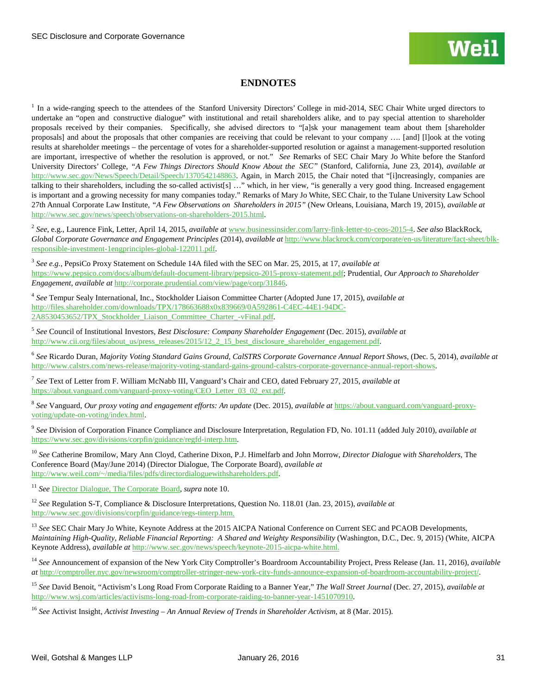## **ENDNOTES**

<span id="page-30-0"></span><sup>1</sup> In a wide-ranging speech to the attendees of the Stanford University Directors' College in mid-2014, SEC Chair White urged directors to undertake an "open and constructive dialogue" with institutional and retail shareholders alike, and to pay special attention to shareholder proposals received by their companies. Specifically, she advised directors to "[a]sk your management team about them [shareholder proposals] and about the proposals that other companies are receiving that could be relevant to your company …. [and] [l]ook at the voting results at shareholder meetings – the percentage of votes for a shareholder-supported resolution or against a management-supported resolution are important, irrespective of whether the resolution is approved, or not." *See* Remarks of SEC Chair Mary Jo White before the Stanford University Directors' College, *"A Few Things Directors Should Know About the SEC"* (Stanford, California, June 23, 2014), *available at* [http://www.sec.gov/News/Speech/Detail/Speech/1370542148863.](http://www.sec.gov/News/Speech/Detail/Speech/1370542148863) Again, in March 2015, the Chair noted that "[i]ncreasingly, companies are talking to their shareholders, including the so-called activist[s] …" which, in her view, "is generally a very good thing. Increased engagement is important and a growing necessity for many companies today." Remarks of Mary Jo White, SEC Chair, to the Tulane University Law School 27th Annual Corporate Law Institute, *"A Few Observations on Shareholders in 2015"* (New Orleans, Louisiana, March 19, 2015), *available at* [http://www.sec.gov/news/speech/observations-on-shareholders-2015.html.](http://www.sec.gov/news/speech/observations-on-shareholders-2015.html)

<span id="page-30-1"></span><sup>2</sup> *See*, e.g., Laurence Fink, Letter, April 14, 2015, *available at* [www.businessinsider.com/larry-fink-letter-to-ceos-2015-4.](http://www.businessinsider.com/larry-fink-letter-to-ceos-2015-4) *See also* BlackRock, *Global Corporate Governance and Engagement Principles* (2014), *available at* [http://www.blackrock.com/corporate/en-us/literature/fact-sheet/blk](http://www.blackrock.com/corporate/en-us/literature/fact-sheet/blk-responsible-investment-1engprinciples-global-122011.pdf)[responsible-investment-1engprinciples-global-122011.pdf.](http://www.blackrock.com/corporate/en-us/literature/fact-sheet/blk-responsible-investment-1engprinciples-global-122011.pdf)

<span id="page-30-2"></span><sup>3</sup> *See e.g.*, PepsiCo Proxy Statement on Schedule 14A filed with the SEC on Mar. 25, 2015, at 17, *available at* [https://www.pepsico.com/docs/album/default-document-library/pepsico-2015-proxy-statement.pdf;](https://www.pepsico.com/docs/album/default-document-library/pepsico-2015-proxy-statement.pdf) Prudential, *Our Approach to Shareholder Engagement*, *available at* [http://corporate.prudential.com/view/page/corp/31846.](http://corporate.prudential.com/view/page/corp/31846) 

<span id="page-30-3"></span><sup>4</sup> *See* Tempur Sealy International, Inc., Stockholder Liaison Committee Charter (Adopted June 17, 2015), *available at* [http://files.shareholder.com/downloads/TPX/178663688x0x839669/0A592861-C4EC-44E1-94DC-](http://files.shareholder.com/downloads/TPX/178663688x0x839669/0A592861-C4EC-44E1-94DC-2A8530453652/TPX_Stockholder_Liaison_Committee_Charter_-vFinal.pdf)[2A8530453652/TPX\\_Stockholder\\_Liaison\\_Committee\\_Charter\\_-vFinal.pdf.](http://files.shareholder.com/downloads/TPX/178663688x0x839669/0A592861-C4EC-44E1-94DC-2A8530453652/TPX_Stockholder_Liaison_Committee_Charter_-vFinal.pdf)

<span id="page-30-4"></span><sup>5</sup> *See* Council of Institutional Investors, *Best Disclosure: Company Shareholder Engagement* (Dec. 2015), *available at* [http://www.cii.org/files/about\\_us/press\\_releases/2015/12\\_2\\_15\\_best\\_disclosure\\_shareholder\\_engagement.pdf.](http://www.cii.org/files/about_us/press_releases/2015/12_2_15_best_disclosure_shareholder_engagement.pdf)

<span id="page-30-5"></span><sup>6</sup> *See* Ricardo Duran, *Majority Voting Standard Gains Ground, CalSTRS Corporate Governance Annual Report Shows*, (Dec. 5, 2014), *available at* [http://www.calstrs.com/news-release/majority-voting-standard-gains-ground-calstrs-corporate-governance-annual-report-shows.](http://www.calstrs.com/news-release/majority-voting-standard-gains-ground-calstrs-corporate-governance-annual-report-shows) 

<span id="page-30-6"></span><sup>7</sup> *See* Text of Letter from F. William McNabb III, Vanguard's Chair and CEO, dated February 27, 2015, *available at*  https://about.vanguard.com/vanguard-proxy-voting/CEO\_Letter\_03\_02\_ext.pdf.

<span id="page-30-7"></span><sup>8</sup> *See* Vanguard, *Our proxy voting and engagement efforts: An update* (Dec. 2015), *available at* [https://about.vanguard.com/vanguard-proxy](https://about.vanguard.com/vanguard-proxy-voting/update-on-voting/index.html)[voting/update-on-voting/index.html.](https://about.vanguard.com/vanguard-proxy-voting/update-on-voting/index.html)

<sup>9</sup> *See* Division of Corporation Finance Compliance and Disclosure Interpretation, Regulation FD, No. 101.11 (added July 2010), *available at* [https://www.sec.gov/divisions/corpfin/guidance/regfd-interp.htm.](https://www.sec.gov/divisions/corpfin/guidance/regfd-interp.htm)

<sup>10</sup> *See* Catherine Bromilow, Mary Ann Cloyd, Catherine Dixon, P.J. Himelfarb and John Morrow, *Director Dialogue with Shareholders*, The Conference Board (May/June 2014) (Director Dialogue, The Corporate Board), *available at* [http://www.weil.com/~/media/files/pdfs/directordialoguewithshareholders.pdf.](http://www.weil.com/%7E/media/files/pdfs/directordialoguewithshareholders.pdf)

<sup>11</sup> *See* [Director Dialogue, The Corporate Board,](http://www.weil.com/%7E/media/files/pdfs/directordialoguewithshareholders.pdf) *supra* note 10.

<sup>12</sup> *See* Regulation S-T, Compliance & Disclosure Interpretations, Question No. 118.01 (Jan. 23, 2015), *available at* [http://www.sec.gov/divisions/corpfin/guidance/regs-tinterp.htm.](http://www.sec.gov/divisions/corpfin/guidance/regs-tinterp.htm)

<sup>13</sup> See SEC Chair Mary Jo White, Keynote Address at the 2015 AICPA National Conference on Current SEC and PCAOB Developments, *Maintaining High-Quality, Reliable Financial Reporting: A Shared and Weighty Responsibility* (Washington, D.C., Dec. 9, 2015) (White, AICPA Keynote Address), *available at* [http://www.sec.gov/news/speech/keynote-2015-aicpa-white.html.](http://www.sec.gov/news/speech/keynote-2015-aicpa-white.html)

<sup>14</sup> *See* Announcement of expansion of the New York City Comptroller's Boardroom Accountability Project, Press Release (Jan. 11, 2016), *available at* [http://comptroller.nyc.gov/newsroom/comptroller-stringer-new-york-city-funds-announce-expansion-of-boardroom-accountability-project/.](http://comptroller.nyc.gov/newsroom/comptroller-stringer-new-york-city-funds-announce-expansion-of-boardroom-accountability-project/)

<sup>15</sup> *See* David Benoit, "Activism's Long Road From Corporate Raiding to a Banner Year," *The Wall Street Journal* (Dec. 27, 2015), *available at* [http://www.wsj.com/articles/activisms-long-road-from-corporate-raiding-to-banner-year-1451070910.](http://www.wsj.com/articles/activisms-long-road-from-corporate-raiding-to-banner-year-1451070910)

<sup>16</sup> *See* Activist Insight, *Activist Investing – An Annual Review of Trends in Shareholder Activism*, at 8 (Mar. 2015).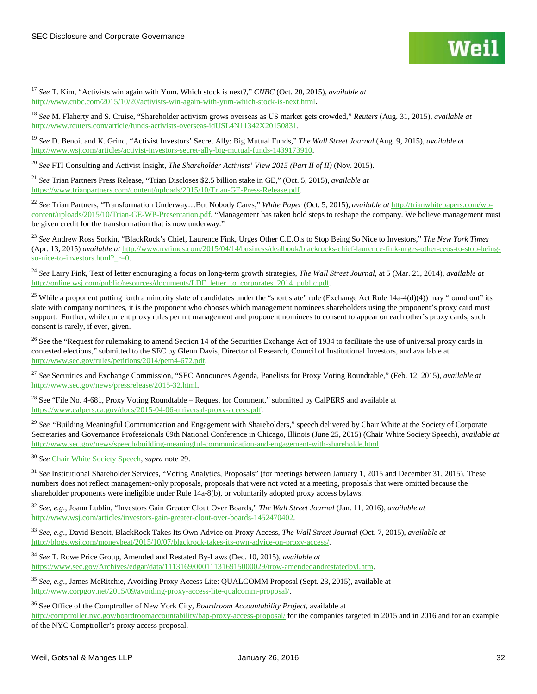<sup>17</sup> *See* T. Kim, "Activists win again with Yum. Which stock is next?," *CNBC* (Oct. 20, 2015), *available at*  [http://www.cnbc.com/2015/10/20/activists-win-again-with-yum-which-stock-is-next.html.](http://www.cnbc.com/2015/10/20/activists-win-again-with-yum-which-stock-is-next.html)

<sup>18</sup> *See* M. Flaherty and S. Cruise, "Shareholder activism grows overseas as US market gets crowded," *Reuters* (Aug. 31, 2015), *available at*  [http://www.reuters.com/article/funds-activists-overseas-idUSL4N11342X20150831.](http://www.reuters.com/article/funds-activists-overseas-idUSL4N11342X20150831) 

<sup>19</sup> *See* D. Benoit and K. Grind, "Activist Investors' Secret Ally: Big Mutual Funds," *The Wall Street Journal* (Aug. 9, 2015), *available at*  [http://www.wsj.com/articles/activist-investors-secret-ally-big-mutual-funds-1439173910.](http://www.wsj.com/articles/activist-investors-secret-ally-big-mutual-funds-1439173910)

<sup>20</sup> *See* FTI Consulting and Activist Insight, *The Shareholder Activists' View 2015 (Part II of II)* (Nov. 2015).

<sup>21</sup> *See* Trian Partners Press Release, "Trian Discloses \$2.5 billion stake in GE," (Oct. 5, 2015), *available at* [https://www.trianpartners.com/content/uploads/2015/10/Trian-GE-Press-Release.pdf.](https://www.trianpartners.com/content/uploads/2015/10/Trian-GE-Press-Release.pdf) 

<sup>22</sup> *See* Trian Partners, "Transformation Underway…But Nobody Cares," *White Paper* (Oct. 5, 2015), *available at* [http://trianwhitepapers.com/wp](http://trianwhitepapers.com/wp-content/uploads/2015/10/Trian-GE-WP-Presentation.pdf)[content/uploads/2015/10/Trian-GE-WP-Presentation.pdf.](http://trianwhitepapers.com/wp-content/uploads/2015/10/Trian-GE-WP-Presentation.pdf) "Management has taken bold steps to reshape the company. We believe management must be given credit for the transformation that is now underway."

<sup>23</sup> *See* Andrew Ross Sorkin, "BlackRock's Chief, Laurence Fink, Urges Other C.E.O.s to Stop Being So Nice to Investors," *The New York Times*  (Apr. 13, 2015) *available at* [http://www.nytimes.com/2015/04/14/business/dealbook/blackrocks-chief-laurence-fink-urges-other-ceos-to-stop-being](http://www.nytimes.com/2015/04/14/business/dealbook/blackrocks-chief-laurence-fink-urges-other-ceos-to-stop-being-so-nice-to-investors.html?_r=0)so-nice-to-investors.html?  $r=0$ .

<sup>24</sup> *See* Larry Fink, Text of letter encouraging a focus on long-term growth strategies, *The Wall Street Journal*, at 5 (Mar. 21, 2014), *available at* [http://online.wsj.com/public/resources/documents/LDF\\_letter\\_to\\_corporates\\_2014\\_public.pdf.](http://online.wsj.com/public/resources/documents/LDF_letter_to_corporates_2014_public.pdf)

<sup>25</sup> While a proponent putting forth a minority slate of candidates under the "short slate" rule (Exchange Act Rule 14a-4(d)(4)) may "round out" its slate with company nominees, it is the proponent who chooses which management nominees shareholders using the proponent's proxy card must support. Further, while current proxy rules permit management and proponent nominees to consent to appear on each other's proxy cards, such consent is rarely, if ever, given.

<sup>26</sup> See the "Request for rulemaking to amend Section 14 of the Securities Exchange Act of 1934 to facilitate the use of universal proxy cards in contested elections," submitted to the SEC by Glenn Davis, Director of Research, Council of Institutional Investors, and available at [http://www.sec.gov/rules/petitions/2014/petn4-672.pdf.](http://www.sec.gov/rules/petitions/2014/petn4-672.pdf)

<sup>27</sup> *See* Securities and Exchange Commission, "SEC Announces Agenda, Panelists for Proxy Voting Roundtable," (Feb. 12, 2015), *available at* [http://www.sec.gov/news/pressrelease/2015-32.html.](http://www.sec.gov/news/pressrelease/2015-32.html)

<sup>28</sup> See "File No. 4-681, Proxy Voting Roundtable – Request for Comment," submitted by CalPERS and available at [https://www.calpers.ca.gov/docs/2015-04-06-universal-proxy-access.pdf.](https://www.calpers.ca.gov/docs/2015-04-06-universal-proxy-access.pdf)

<span id="page-31-0"></span><sup>29</sup> See "Building Meaningful Communication and Engagement with Shareholders," speech delivered by Chair White at the Society of Corporate Secretaries and Governance Professionals 69th National Conference in Chicago, Illinois (June 25, 2015) (Chair White Society Speech), *available at* [http://www.sec.gov/news/speech/building-meaningful-communication-and-engagement-with-shareholde.html.](http://www.sec.gov/news/speech/building-meaningful-communication-and-engagement-with-shareholde.html)

<span id="page-31-1"></span><sup>30</sup> *See* [Chair White Society Speech,](http://www.sec.gov/news/speech/building-meaningful-communication-and-engagement-with-shareholde.html) *supra* note 29.

<sup>31</sup> See Institutional Shareholder Services, "Voting Analytics, Proposals" (for meetings between January 1, 2015 and December 31, 2015). These numbers does not reflect management-only proposals, proposals that were not voted at a meeting, proposals that were omitted because the shareholder proponents were ineligible under Rule 14a-8(b), or voluntarily adopted proxy access bylaws.

<sup>32</sup> *See, e.g.*, Joann Lublin, "Investors Gain Greater Clout Over Boards," *The Wall Street Journal* (Jan. 11, 2016), *available at* [http://www.wsj.com/articles/investors-gain-greater-clout-over-boards-1452470402.](http://www.wsj.com/articles/investors-gain-greater-clout-over-boards-1452470402) 

<sup>33</sup> *See, e.g.*, David Benoit, BlackRock Takes Its Own Advice on Proxy Access, *The Wall Street Journal* (Oct. 7, 2015), *available at* [http://blogs.wsj.com/moneybeat/2015/10/07/blackrock-takes-its-own-advice-on-proxy-access/.](http://blogs.wsj.com/moneybeat/2015/10/07/blackrock-takes-its-own-advice-on-proxy-access/) 

<sup>34</sup> *See* T. Rowe Price Group, Amended and Restated By-Laws (Dec. 10, 2015), *available at* [https://www.sec.gov/Archives/edgar/data/1113169/000111316915000029/trow-amendedandrestatedbyl.htm.](https://www.sec.gov/Archives/edgar/data/1113169/000111316915000029/trow-amendedandrestatedbyl.htm) 

<sup>35</sup> *See, e.g.*, James McRitchie, Avoiding Proxy Access Lite: QUALCOMM Proposal (Sept. 23, 2015), available at [http://www.corpgov.net/2015/09/avoiding-proxy-access-lite-qualcomm-proposal/.](http://www.corpgov.net/2015/09/avoiding-proxy-access-lite-qualcomm-proposal/)

<sup>36</sup> See Office of the Comptroller of New York City*, Boardroom Accountability Project*, available at <http://comptroller.nyc.gov/boardroomaccountability/bap-proxy-access-proposal/> for the companies targeted in 2015 and in 2016 and for an example of the NYC Comptroller's proxy access proposal.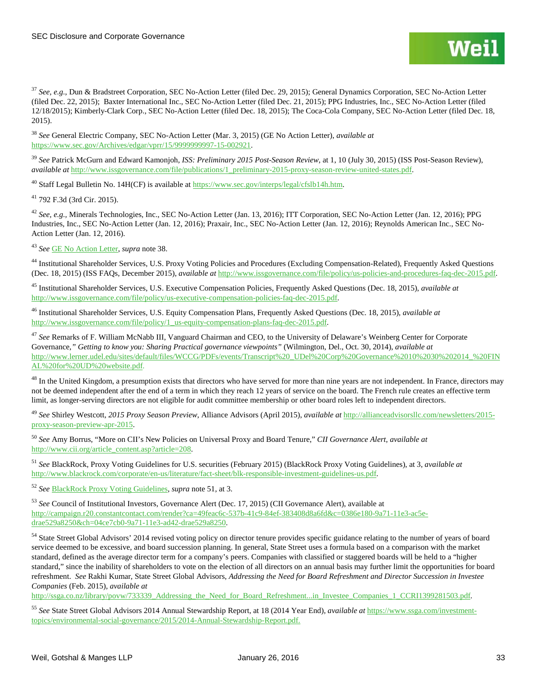<span id="page-32-6"></span><sup>37</sup> *See, e.g.*, Dun & Bradstreet Corporation, SEC No-Action Letter (filed Dec. 29, 2015); General Dynamics Corporation, SEC No-Action Letter (filed Dec. 22, 2015); Baxter International Inc., SEC No-Action Letter (filed Dec. 21, 2015); PPG Industries, Inc., SEC No-Action Letter (filed 12/18/2015); Kimberly-Clark Corp., SEC No-Action Letter (filed Dec. 18, 2015); The Coca-Cola Company, SEC No-Action Letter (filed Dec. 18, 2015).

<span id="page-32-8"></span><span id="page-32-7"></span><sup>38</sup> *See* General Electric Company, SEC No-Action Letter (Mar. 3, 2015) (GE No Action Letter), *available at* [https://www.sec.gov/Archives/edgar/vprr/15/9999999997-15-002921.](https://www.sec.gov/Archives/edgar/vprr/15/9999999997-15-002921)

<sup>39</sup> *See* Patrick McGurn and Edward Kamonjoh, *ISS: Preliminary 2015 Post-Season Review*, at 1, 10 (July 30, 2015) (ISS Post-Season Review), *available at* [http://www.issgovernance.com/file/publications/1\\_preliminary-2015-proxy-season-review-united-states.pdf.](http://www.issgovernance.com/file/publications/1_preliminary-2015-proxy-season-review-united-states.pdf) 

<sup>40</sup> Staff Legal Bulletin No. 14H(CF) is available at [https://www.sec.gov/interps/legal/cfslb14h.htm.](https://www.sec.gov/interps/legal/cfslb14h.htm)

<sup>41</sup> 792 F.3d (3rd Cir. 2015).

<sup>42</sup> *See, e.g.,* Minerals Technologies, Inc., SEC No-Action Letter (Jan. 13, 2016); ITT Corporation, SEC No-Action Letter (Jan. 12, 2016); PPG Industries, Inc., SEC No-Action Letter (Jan. 12, 2016); Praxair, Inc., SEC No-Action Letter (Jan. 12, 2016); Reynolds American Inc., SEC No-Action Letter (Jan. 12, 2016).

<sup>43</sup> *See* [GE No Action Letter,](https://www.sec.gov/Archives/edgar/vprr/15/9999999997-15-002921) *supra* note 38.

<sup>44</sup> Institutional Shareholder Services, U.S. Proxy Voting Policies and Procedures (Excluding Compensation-Related), Frequently Asked Questions (Dec. 18, 2015) (ISS FAQs, December 2015), *available at* [http://www.issgovernance.com/file/policy/us-policies-and-procedures-faq-dec-2015.pdf.](http://www.issgovernance.com/file/policy/us-policies-and-procedures-faq-dec-2015.pdf) 

<sup>45</sup> Institutional Shareholder Services, U.S. Executive Compensation Policies, Frequently Asked Questions (Dec. 18, 2015), *available at* [http://www.issgovernance.com/file/policy/us-executive-compensation-policies-faq-dec-2015.pdf.](http://www.issgovernance.com/file/policy/us-executive-compensation-policies-faq-dec-2015.pdf) 

<sup>46</sup> Institutional Shareholder Services, U.S. Equity Compensation Plans, Frequently Asked Questions (Dec. 18, 2015), *available at* [http://www.issgovernance.com/file/policy/1\\_us-equity-compensation-plans-faq-dec-2015.pdf.](http://www.issgovernance.com/file/policy/1_us-equity-compensation-plans-faq-dec-2015.pdf) 

<sup>47</sup> *See* Remarks of F. William McNabb III, Vanguard Chairman and CEO, to the University of Delaware's Weinberg Center for Corporate Governance,*" Getting to know you: Sharing Practical governance viewpoints"* (Wilmington, Del., Oct. 30, 2014), *available at*  [http://www.lerner.udel.edu/sites/default/files/WCCG/PDFs/events/Transcript%20\\_UDel%20Corp%20Governance%2010%2030%202014\\_%20FIN](http://www.lerner.udel.edu/sites/default/files/WCCG/PDFs/events/Transcript%20_UDel%20Corp%20Governance%2010%2030%202014_%20FINAL%20for%20UD%20website.pdf) [AL%20for%20UD%20website.pdf.](http://www.lerner.udel.edu/sites/default/files/WCCG/PDFs/events/Transcript%20_UDel%20Corp%20Governance%2010%2030%202014_%20FINAL%20for%20UD%20website.pdf) 

<sup>48</sup> In the United Kingdom, a presumption exists that directors who have served for more than nine years are not independent. In France, directors may not be deemed independent after the end of a term in which they reach 12 years of service on the board. The French rule creates an effective term limit, as longer-serving directors are not eligible for audit committee membership or other board roles left to independent directors.

<sup>49</sup> *See* Shirley Westcott, *2015 Proxy Season Preview*, Alliance Advisors (April 2015), *available at* [http://allianceadvisorsllc.com/newsletters/2015](http://allianceadvisorsllc.com/newsletters/2015-proxy-season-preview-apr-2015) [proxy-season-preview-apr-2015.](http://allianceadvisorsllc.com/newsletters/2015-proxy-season-preview-apr-2015) 

<sup>50</sup> *See* Amy Borrus, "More on CII's New Policies on Universal Proxy and Board Tenure," *CII Governance Alert*, *available at* [http://www.cii.org/article\\_content.asp?article=208.](http://www.cii.org/article_content.asp?article=208)

<sup>51</sup> *See* BlackRock, Proxy Voting Guidelines for U.S. securities (February 2015) (BlackRock Proxy Voting Guidelines), at 3, *available at* [http://www.blackrock.com/corporate/en-us/literature/fact-sheet/blk-responsible-investment-guidelines-us.pdf.](http://www.blackrock.com/corporate/en-us/literature/fact-sheet/blk-responsible-investment-guidelines-us.pdf)

<span id="page-32-0"></span><sup>52</sup> *See* [BlackRock Proxy Voting Guidelines,](http://www.blackrock.com/corporate/en-us/literature/fact-sheet/blk-responsible-investment-guidelines-us.pdf) *supra* note 51, at 3.

<span id="page-32-1"></span><sup>53</sup> *See* Council of Institutional Investors, Governance Alert (Dec. 17, 2015) (CII Governance Alert), available at [http://campaign.r20.constantcontact.com/render?ca=49feac6c-537b-41c9-84ef-383408d8a6fd&c=0386e180-9a71-11e3-ac5e](http://campaign.r20.constantcontact.com/render?ca=49feac6c-537b-41c9-84ef-383408d8a6fd&c=0386e180-9a71-11e3-ac5e-drae529a8250&ch=04ce7cb0-9a71-11e3-ad42-drae529a8250)[drae529a8250&ch=04ce7cb0-9a71-11e3-ad42-drae529a8250.](http://campaign.r20.constantcontact.com/render?ca=49feac6c-537b-41c9-84ef-383408d8a6fd&c=0386e180-9a71-11e3-ac5e-drae529a8250&ch=04ce7cb0-9a71-11e3-ad42-drae529a8250) 

<span id="page-32-3"></span><span id="page-32-2"></span><sup>54</sup> State Street Global Advisors' 2014 revised voting policy on director tenure provides specific guidance relating to the number of years of board service deemed to be excessive, and board succession planning. In general, State Street uses a formula based on a comparison with the market standard, defined as the average director term for a company's peers. Companies with classified or staggered boards will be held to a "higher standard," since the inability of shareholders to vote on the election of all directors on an annual basis may further limit the opportunities for board refreshment. *See* Rakhi Kumar, State Street Global Advisors, *Addressing the Need for Board Refreshment and Director Succession in Investee Companies* (Feb. 2015), *available at* 

<span id="page-32-4"></span>http://ssga.co.nz/library/povw/733339\_Addressing\_the\_Need\_for\_Board\_Refreshment...in\_Investee\_Companies\_1\_CCRI1399281503.pdf.

<span id="page-32-5"></span><sup>55</sup> *See* State Street Global Advisors 2014 Annual Stewardship Report, at 18 (2014 Year End), *available at* [https://www.ssga.com/investment](https://www.ssga.com/investment-topics/environmental-social-governance/2015/2014-Annual-Stewardship-Report.pdf)[topics/environmental-social-governance/2015/2014-Annual-Stewardship-Report.pdf.](https://www.ssga.com/investment-topics/environmental-social-governance/2015/2014-Annual-Stewardship-Report.pdf)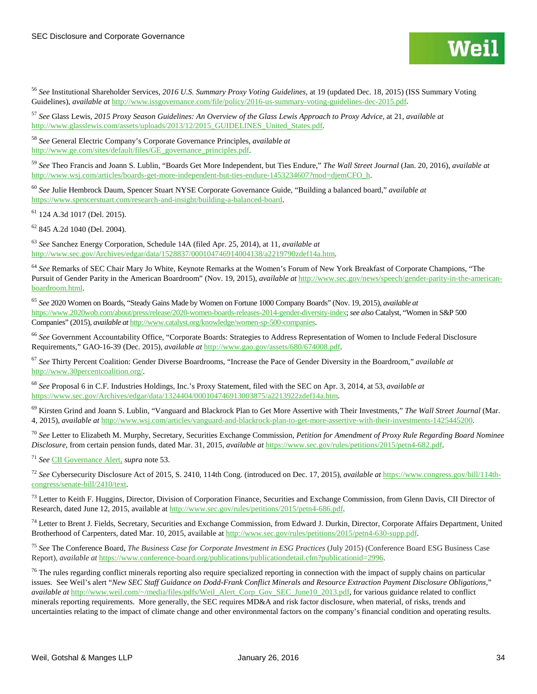

<sup>56</sup> *See* Institutional Shareholder Services, *2016 U.S. Summary Proxy Voting Guidelines*, at 19 (updated Dec. 18, 2015) (ISS Summary Voting Guidelines), *available at* [http://www.issgovernance.com/file/policy/2016-us-summary-voting-guidelines-dec-2015.pdf.](http://www.issgovernance.com/file/policy/2016-us-summary-voting-guidelines-dec-2015.pdf)

<sup>57</sup> *See* Glass Lewis, *2015 Proxy Season Guidelines: An Overview of the Glass Lewis Approach to Proxy Advice*, at 21, *available at* [http://www.glasslewis.com/assets/uploads/2013/12/2015\\_GUIDELINES\\_United\\_States.pdf.](http://www.glasslewis.com/assets/uploads/2013/12/2015_GUIDELINES_United_States.pdf)

<sup>58</sup> *See* General Electric Company's Corporate Governance Principles, *available at*  [http://www.ge.com/sites/default/files/GE\\_governance\\_principles.pdf.](http://www.ge.com/sites/default/files/GE_governance_principles.pdf)

<span id="page-33-0"></span><sup>59</sup> *See* Theo Francis and Joann S. Lublin, "Boards Get More Independent, but Ties Endure," *The Wall Street Journal* (Jan. 20, 2016), *available at* [http://www.wsj.com/articles/boards-get-more-independent-but-ties-endure-1453234607?mod=djemCFO\\_h.](http://www.wsj.com/articles/boards-get-more-independent-but-ties-endure-1453234607?mod=djemCFO_h)

<span id="page-33-1"></span><sup>60</sup> *See* Julie Hembrock Daum, Spencer Stuart NYSE Corporate Governance Guide, "Building a balanced board," *available at* [https://www.spencerstuart.com/research-and-insight/building-a-balanced-board.](https://www.spencerstuart.com/research-and-insight/building-a-balanced-board)

<span id="page-33-2"></span><sup>61</sup> 124 A.3d 1017 (Del. 2015).

 $62$  845 A.2d 1040 (Del. 2004).

<span id="page-33-3"></span><sup>63</sup> *See* Sanchez Energy Corporation, Schedule 14A (filed Apr. 25, 2014), at 11, *available at*  [http://www.sec.gov/Archives/edgar/data/1528837/000104746914004138/a2219790zdef14a.htm.](http://www.sec.gov/Archives/edgar/data/1528837/000104746914004138/a2219790zdef14a.htm) 

<span id="page-33-4"></span><sup>64</sup> *See* Remarks of SEC Chair Mary Jo White, Keynote Remarks at the Women's Forum of New York Breakfast of Corporate Champions, "The Pursuit of Gender Parity in the American Boardroom" (Nov. 19, 2015), *available at* [http://www.sec.gov/news/speech/gender-parity-in-the-american](http://www.sec.gov/news/speech/gender-parity-in-the-american-boardroom.html)[boardroom.html.](http://www.sec.gov/news/speech/gender-parity-in-the-american-boardroom.html)

<sup>65</sup> *See* 2020 Women on Boards, "Steady Gains Made by Women on Fortune 1000 Company Boards" (Nov. 19, 2015), *available at* [https://www.2020wob.com/about/press/release/2020-women-boards-releases-2014-gender-diversity-index;](https://www.2020wob.com/about/press/release/2020-women-boards-releases-2014-gender-diversity-index)*see also* Catalyst, "Women in S&P 500 Companies" (2015), *available at* [http://www.catalyst.org/knowledge/women-sp-500-companies.](http://www.catalyst.org/knowledge/women-sp-500-companies)

<sup>66</sup> *See* Government Accountability Office, "Corporate Boards: Strategies to Address Representation of Women to Include Federal Disclosure Requirements," GAO-16-39 (Dec. 2015), *available at* [http://www.gao.gov/assets/680/674008.pdf.](http://www.gao.gov/assets/680/674008.pdf)

<sup>67</sup> *See* Thirty Percent Coalition: Gender Diverse Boardrooms, "Increase the Pace of Gender Diversity in the Boardroom," *available at* [http://www.30percentcoalition.org/.](http://www.30percentcoalition.org/)

<sup>68</sup> *See* Proposal 6 in C.F. Industries Holdings, Inc.'s Proxy Statement, filed with the SEC on Apr. 3, 2014, at 53, *available at*  [https://www.sec.gov/Archives/edgar/data/1324404/000104746913003875/a2213922zdef14a.htm.](https://www.sec.gov/Archives/edgar/data/1324404/000104746913003875/a2213922zdef14a.htm)

<sup>69</sup> Kirsten Grind and Joann S. Lublin, "Vanguard and Blackrock Plan to Get More Assertive with Their Investments," *The Wall Street Journal* (Mar. 4, 2015)*, available at* [http://www.wsj.com/articles/vanguard-and-blackrock-plan-to-get-more-assertive-with-their-investments-1425445200.](http://www.wsj.com/articles/vanguard-and-blackrock-plan-to-get-more-assertive-with-their-investments-1425445200)

<sup>70</sup> *See* Letter to Elizabeth M. Murphy, Secretary, Securities Exchange Commission, *Petition for Amendment of Proxy Rule Regarding Board Nominee Disclosure*, from certain pension funds, dated Mar. 31, 2015, *available at* [https://www.sec.gov/rules/petitions/2015/petn4-682.pdf.](https://www.sec.gov/rules/petitions/2015/petn4-682.pdf)

<sup>71</sup> *See* [CII Governance Alert,](http://campaign.r20.constantcontact.com/render?ca=49feac6c-537b-41c9-84ef-383408d8a6fd&c=0386e180-9a71-11e3-ac5e-drae529a8250&ch=04ce7cb0-9a71-11e3-ad42-drae529a8250) *supra* note 53.

<sup>72</sup> *See* Cybersecurity Disclosure Act of 2015, S. 2410, 114th Cong. (introduced on Dec. 17, 2015), *available at* [https://www.congress.gov/bill/114th](https://www.congress.gov/bill/114th-congress/senate-bill/2410/text)[congress/senate-bill/2410/text.](https://www.congress.gov/bill/114th-congress/senate-bill/2410/text)

<sup>73</sup> Letter to Keith F. Huggins, Director, Division of Corporation Finance, Securities and Exchange Commission, from Glenn Davis, CII Director of Research, dated June 12, 2015, available a[t http://www.sec.gov/rules/petitions/2015/petn4-686.pdf.](http://www.sec.gov/rules/petitions/2015/petn4-686.pdf)

<sup>74</sup> Letter to Brent J. Fields, Secretary, Securities and Exchange Commission, from Edward J. Durkin, Director, Corporate Affairs Department, United Brotherhood of Carpenters, dated Mar. 10, 2015, available a[t http://www.sec.gov/rules/petitions/2015/petn4-630-supp.pdf.](http://www.sec.gov/rules/petitions/2015/petn4-630-supp.pdf) 

<sup>75</sup> *See* The Conference Board, *The Business Case for Corporate Investment in ESG Practices* (July 2015) (Conference Board ESG Business Case Report), *available at* [https://www.conference-board.org/publications/publicationdetail.cfm?publicationid=2996.](https://www.conference-board.org/publications/publicationdetail.cfm?publicationid=2996)

 $76$  The rules regarding conflict minerals reporting also require specialized reporting in connection with the impact of supply chains on particular issues. See Weil's alert "*New SEC Staff Guidance on Dodd-Frank Conflict Minerals and Resource Extraction Payment Disclosure Obligations*," *available at* [http://www.weil.com/~/media/files/pdfs/Weil\\_Alert\\_Corp\\_Gov\\_SEC\\_June10\\_2013.pdf,](http://www.weil.com/%7E/media/files/pdfs/Weil_Alert_Corp_Gov_SEC_June10_2013.pdf) for various guidance related to conflict minerals reporting requirements. More generally, the SEC requires MD&A and risk factor disclosure, when material, of risks, trends and uncertainties relating to the impact of climate change and other environmental factors on the company's financial condition and operating results.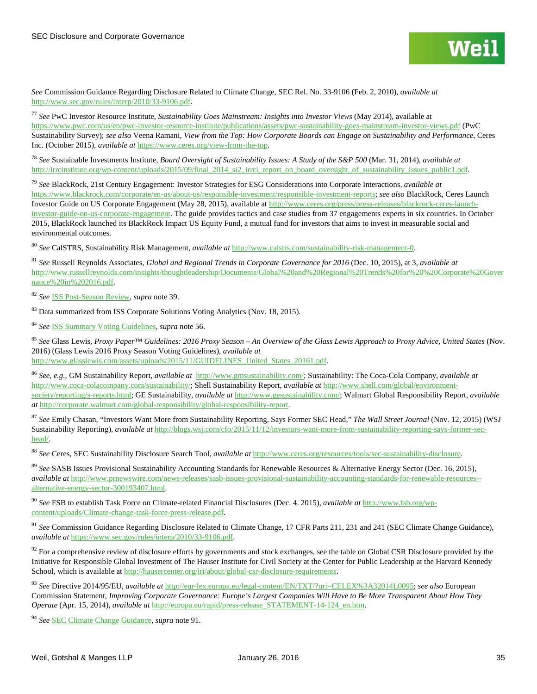*See* Commission Guidance Regarding Disclosure Related to Climate Change, SEC Rel. No. 33-9106 (Feb. 2, 2010), *available at*  [http://www.sec.gov/rules/interp/2010/33-9106.pdf.](http://www.sec.gov/rules/interp/2010/33-9106.pdf)

<sup>77</sup> *See* PwC Investor Resource Institute, *Sustainability Goes Mainstream: Insights into Investor Views* (May 2014), available at <https://www.pwc.com/us/en/pwc-investor-resource-institute/publications/assets/pwc-sustainability-goes-mainstream-investor-views.pdf> (PwC Sustainability Survey); *see also* Veena Ramani, *View from the Top: How Corporate Boards can Engage on Sustainability and Performance*, Ceres Inc. (October 2015), *available at* [https://www.ceres.org/view-from-the-top.](https://www.ceres.org/view-from-the-top)

<sup>78</sup> *See* Sustainable Investments Institute, *Board Oversight of Sustainability Issues: A Study of the S&P 500* (Mar. 31, 2014), *available at* http://irrcinstitute.org/wp-content/uploads/2015/09/final\_2014\_si2\_irrci\_report\_on\_board\_oversight\_of\_sustainability\_issues\_public1.pdf.

<sup>79</sup> *See* BlackRock, 21st Century Engagement: Investor Strategies for ESG Considerations into Corporate Interactions, *available at*  [https://www.blackrock.com/corporate/en-us/about-us/responsible-investment/responsible-investment-reports;](https://www.blackrock.com/corporate/en-us/about-us/responsible-investment/responsible-investment-reports) *see also* BlackRock, Ceres Launch Investor Guide on US Corporate Engagement (May 28, 2015), available a[t http://www.ceres.org/press/press-releases/blackrock-ceres-launch](http://www.ceres.org/press/press-releases/blackrock-ceres-launch-investor-guide-on-us-corporate-engagement)[investor-guide-on-us-corporate-engagement.](http://www.ceres.org/press/press-releases/blackrock-ceres-launch-investor-guide-on-us-corporate-engagement) The guide provides tactics and case studies from 37 engagements experts in six countries. In October 2015, BlackRock launched its BlackRock Impact US Equity Fund, a mutual fund for investors that aims to invest in measurable social and environmental outcomes.

<sup>80</sup> *See* CalSTRS, Sustainability Risk Management, *available at* [http://www.calstrs.com/sustainability-risk-management-0.](http://www.calstrs.com/sustainability-risk-management-0)

<sup>81</sup> *See* Russell Reynolds Associates, *Global and Regional Trends in Corporate Governance for 2016* (Dec. 10, 2015), at 3, *available at*  [http://www.russellreynolds.com/insights/thoughtleadership/Documents/Global%20and%20Regional%20Trends%20for%20%20Corporate%20Gover](http://www.russellreynolds.com/insights/thoughtleadership/Documents/Global%20and%20Regional%20Trends%20for%20%20Corporate%20Governance%20in%202016.pdf) [nance%20in%202016.pdf.](http://www.russellreynolds.com/insights/thoughtleadership/Documents/Global%20and%20Regional%20Trends%20for%20%20Corporate%20Governance%20in%202016.pdf)

<span id="page-34-0"></span><sup>82</sup> *See* [ISS Post-Season Review,](http://www.issgovernance.com/file/publications/1_preliminary-2015-proxy-season-review-united-states.pdf) *supra* note 39.

<sup>83</sup> Data summarized from ISS Corporate Solutions Voting Analytics (Nov. 18, 2015).

<sup>84</sup> *See* [ISS Summary Voting Guidelines,](http://www.issgovernance.com/file/policy/2016-us-summary-voting-guidelines-dec-2015.pdf) *supra* note 56.

<span id="page-34-1"></span><sup>85</sup> *See* Glass Lewis, *Proxy Paper™ Guidelines: 2016 Proxy Season – An Overview of the Glass Lewis Approach to Proxy Advice, United States* (Nov. 2016) (Glass Lewis 2016 Proxy Season Voting Guidelines), *available at*  [http://www.glasslewis.com/assets/uploads/2015/11/GUIDELINES\\_United\\_States\\_20161.pdf.](http://www.glasslewis.com/assets/uploads/2015/11/GUIDELINES_United_States_20161.pdf)

<span id="page-34-2"></span><sup>86</sup> *See, e.g.,* GM Sustainability Report, *available at* [http://www.gmsustainability.com/;](http://www.gmsustainability.com/) Sustainability: The Coca-Cola Company, *available at* [http://www.coca-colacompany.com/sustainability/;](http://www.coca-colacompany.com/sustainability/) Shell Sustainability Report, *available at* [http://www.shell.com/global/environment](http://www.shell.com/global/environment-society/reporting/s-reports.html)[society/reporting/s-reports.html;](http://www.shell.com/global/environment-society/reporting/s-reports.html) GE Sustainability, *available at* [http://www.gesustainability.com/;](http://www.gesustainability.com/) Walmart Global Responsibility Report, *available at* [http://corporate.walmart.com/global-responsibility/global-responsibility-report.](http://corporate.walmart.com/global-responsibility/global-responsibility-report)

<span id="page-34-4"></span><span id="page-34-3"></span><sup>87</sup> *See* Emily Chasan, "Investors Want More from Sustainability Reporting, Says Former SEC Head," *The Wall Street Journal* (Nov. 12, 2015) (WSJ Sustainability Reporting), *available at* [http://blogs.wsj.com/cfo/2015/11/12/investors-want-more-from-sustainability-reporting-says-former-sec](http://blogs.wsj.com/cfo/2015/11/12/investors-want-more-from-sustainability-reporting-says-former-sec-head/)[head/.](http://blogs.wsj.com/cfo/2015/11/12/investors-want-more-from-sustainability-reporting-says-former-sec-head/)

<span id="page-34-5"></span><sup>88</sup> *See* Ceres, SEC Sustainability Disclosure Search Tool, *available at* [http://www.ceres.org/resources/tools/sec-sustainability-disclosure.](http://www.ceres.org/resources/tools/sec-sustainability-disclosure) 

<span id="page-34-6"></span><sup>89</sup> *See* SASB Issues Provisional Sustainability Accounting Standards for Renewable Resources & Alternative Energy Sector (Dec. 16, 2015), *available at* [http://www.prnewswire.com/news-releases/sasb-issues-provisional-sustainability-accounting-standards-for-renewable-resources-](http://www.prnewswire.com/news-releases/sasb-issues-provisional-sustainability-accounting-standards-for-renewable-resources--alternative-energy-sector-300193407.html) [alternative-energy-sector-300193407.html.](http://www.prnewswire.com/news-releases/sasb-issues-provisional-sustainability-accounting-standards-for-renewable-resources--alternative-energy-sector-300193407.html)

<span id="page-34-7"></span><sup>90</sup> *See* FSB to establish Task Force on Climate-related Financial Disclosures (Dec. 4. 2015), *available at* [http://www.fsb.org/wp](http://www.fsb.org/wp-content/uploads/Climate-change-task-force-press-release.pdf)[content/uploads/Climate-change-task-force-press-release.pdf.](http://www.fsb.org/wp-content/uploads/Climate-change-task-force-press-release.pdf)

<sup>91</sup> *See* Commission Guidance Regarding Disclosure Related to Climate Change, 17 CFR Parts 211, 231 and 241 (SEC Climate Change Guidance), *available at* [https://www.sec.gov/rules/interp/2010/33-9106.pdf.](https://www.sec.gov/rules/interp/2010/33-9106.pdf)

 $92$  For a comprehensive review of disclosure efforts by governments and stock exchanges, see the table on Global CSR Disclosure provided by the Initiative for Responsible Global Investment of The Hauser Institute for Civil Society at the Center for Public Leadership at the Harvard Kennedy School, which is available a[t http://hausercenter.org/iri/about/global-csr-disclosure-requirements.](http://hausercenter.org/iri/about/global-csr-disclosure-requirements)

<sup>93</sup> *See* Directive 2014/95/EU, *available at* [http://eur-lex.europa.eu/legal-content/EN/TXT/?uri=CELEX%3A32014L0095;](http://eur-lex.europa.eu/legal-content/EN/TXT/?uri=CELEX%3A32014L0095) *see also* European Commission Statement, *Improving Corporate Governance: Europe's Largest Companies Will Have to Be More Transparent About How They Operate* (Apr. 15, 2014), *available at* [http://europa.eu/rapid/press-release\\_STATEMENT-14-124\\_en.htm.](http://europa.eu/rapid/press-release_STATEMENT-14-124_en.htm) 

<sup>94</sup> *See* [SEC Climate Change Guidance,](https://www.sec.gov/rules/interp/2010/33-9106.pdf) *supra* note 91.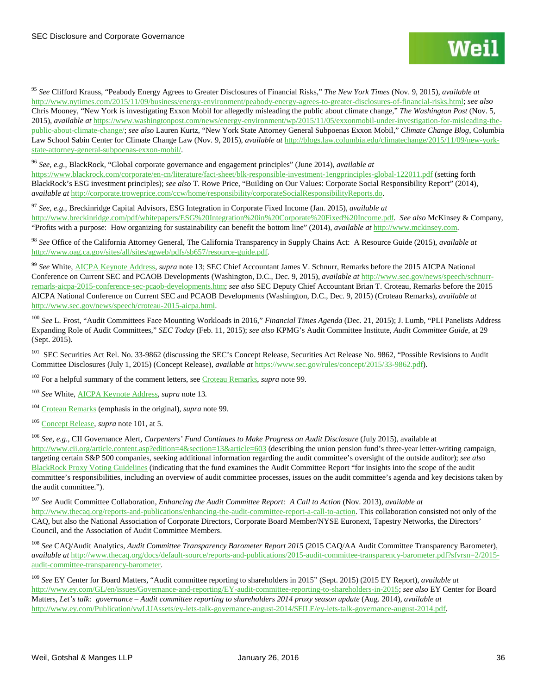<sup>95</sup> *See* Clifford Krauss, "Peabody Energy Agrees to Greater Disclosures of Financial Risks," *The New York Times* (Nov. 9, 2015), *available at* [http://www.nytimes.com/2015/11/09/business/energy-environment/peabody-energy-agrees-to-greater-disclosures-of-financial-risks.html;](http://www.nytimes.com/2015/11/09/business/energy-environment/peabody-energy-agrees-to-greater-disclosures-of-financial-risks.html) *see also*  Chris Mooney, "New York is investigating Exxon Mobil for allegedly misleading the public about climate change," *The Washington Post* (Nov. 5, 2015), *available at* [https://www.washingtonpost.com/news/energy-environment/wp/2015/11/05/exxonmobil-under-investigation-for-misleading-the](https://www.washingtonpost.com/news/energy-environment/wp/2015/11/05/exxonmobil-under-investigation-for-misleading-the-public-about-climate-change/)[public-about-climate-change/;](https://www.washingtonpost.com/news/energy-environment/wp/2015/11/05/exxonmobil-under-investigation-for-misleading-the-public-about-climate-change/) *see also* Lauren Kurtz, "New York State Attorney General Subpoenas Exxon Mobil," *Climate Change Blog*, Columbia Law School Sabin Center for Climate Change Law (Nov. 9, 2015), *available at* [http://blogs.law.columbia.edu/climatechange/2015/11/09/new-york](http://blogs.law.columbia.edu/climatechange/2015/11/09/new-york-state-attorney-general-subpoenas-exxon-mobil/)[state-attorney-general-subpoenas-exxon-mobil/.](http://blogs.law.columbia.edu/climatechange/2015/11/09/new-york-state-attorney-general-subpoenas-exxon-mobil/)

<sup>96</sup> *See, e.g.*, BlackRock, "Global corporate governance and engagement principles" (June 2014), *available at*

<https://www.blackrock.com/corporate/en-cn/literature/fact-sheet/blk-responsible-investment-1engprinciples-global-122011.pdf> (setting forth BlackRock's ESG investment principles); *see also* T. Rowe Price, "Building on Our Values: Corporate Social Responsibility Report" (2014), *available at* [http://corporate.troweprice.com/ccw/home/responsibility/corporateSocialResponsibilityReports.do.](http://corporate.troweprice.com/ccw/home/responsibility/corporateSocialResponsibilityReports.do)

<sup>97</sup> *See, e.g.,* Breckinridge Capital Advisors, ESG Integration in Corporate Fixed Income (Jan. 2015), *available at*  [http://www.breckinridge.com/pdf/whitepapers/ESG%20Integration%20in%20Corporate%20Fixed%20Income.pdf.](http://www.breckinridge.com/pdf/whitepapers/ESG%20Integration%20in%20Corporate%20Fixed%20Income.pdf) *See also* McKinsey & Company, "Profits with a purpose: How organizing for sustainability can benefit the bottom line" (2014), *available at* [http://www.mckinsey.com.](http://www.mckinsey.com/) 

<sup>98</sup> *See* Office of the California Attorney General, The California Transparency in Supply Chains Act: A Resource Guide (2015), *available at* [http://www.oag.ca.gov/sites/all/sites/agweb/pdfs/sb657/resource-guide.pdf.](http://www.oag.ca.gov/sites/all/sites/agweb/pdfs/sb657/resource-guide.pdf)

<sup>99</sup> *See* White[, AICPA Keynote Address,](http://www.sec.gov/news/speech/keynote-2015-aicpa-white.html) *supra* note 13; SEC Chief Accountant James V. Schnurr, Remarks before the 2015 AICPA National Conference on Current SEC and PCAOB Developments (Washington, D.C., Dec. 9, 2015), *available at* [http://www.sec.gov/news/speech/schnurr](http://www.sec.gov/news/speech/schnurr-remarls-aicpa-2015-conference-sec-pcaob-developments.htm)[remarls-aicpa-2015-conference-sec-pcaob-developments.htm;](http://www.sec.gov/news/speech/schnurr-remarls-aicpa-2015-conference-sec-pcaob-developments.htm) *see also* SEC Deputy Chief Accountant Brian T. Croteau, Remarks before the 2015 AICPA National Conference on Current SEC and PCAOB Developments (Washington, D.C., Dec. 9, 2015) (Croteau Remarks), *available at*  [http://www.sec.gov/news/speech/croteau-2015-aicpa.html.](http://www.sec.gov/news/speech/croteau-2015-aicpa.html)

<sup>100</sup> *See* L. Frost, "Audit Committees Face Mounting Workloads in 2016," *Financial Times Agenda* (Dec. 21, 2015); J. Lumb, "PLI Panelists Address Expanding Role of Audit Committees," *SEC Today* (Feb. 11, 2015); *see also* KPMG's Audit Committee Institute, *Audit Committee Guide*, at 29 (Sept. 2015).

<sup>101</sup> SEC Securities Act Rel. No. 33-9862 (discussing the SEC's Concept Release, Securities Act Release No. 9862, "Possible Revisions to Audit Committee Disclosures (July 1, 2015) (Concept Release), *available at* [https://www.sec.gov/rules/concept/2015/33-9862.pdf\)](https://www.sec.gov/rules/concept/2015/33-9862.pdf).

<sup>102</sup> For a helpful summary of the comment letters, se[e Croteau Remarks,](http://www.sec.gov/news/speech/croteau-2015-aicpa.html) *supra* note 99.

<sup>103</sup> *See* White[, AICPA Keynote Address,](http://www.sec.gov/news/speech/keynote-2015-aicpa-white.html) *supra* note 13*.* 

<sup>104</sup> Croteau [Remarks](http://www.sec.gov/news/speech/croteau-2015-aicpa.html) (emphasis in the original), *supra* note 99.

<sup>105</sup> [Concept Release,](https://www.sec.gov/rules/concept/2015/33-9862.pdf) *supra* note 101, at 5.

<sup>106</sup> See, e.g., CII Governance Alert, Carpenters' Fund Continues to Make Progress on Audit Disclosure (July 2015), available at [http://www.cii.org/article.content.asp?edition=4&section=13&article=603](http://www.cii.org/article.content.asp?edition=4§ion=13&article=603) (describing the union pension fund's three-year letter-writing campaign, targeting certain S&P 500 companies, seeking additional information regarding the audit committee's oversight of the outside auditor); *see also*  [BlackRock Proxy Voting Guidelines](http://www.blackrock.com/corporate/en-us/literature/fact-sheet/blk-responsible-investment-guidelines-us.p) (indicating that the fund examines the Audit Committee Report "for insights into the scope of the audit committee's responsibilities, including an overview of audit committee processes, issues on the audit committee's agenda and key decisions taken by the audit committee.").

<sup>107</sup> *See* Audit Committee Collaboration, *Enhancing the Audit Committee Report: A Call to Action* (Nov. 2013), *available at*  [http://www.thecaq.org/reports-and-publications/enhancing-the-audit-committee-report-a-call-to-action.](http://www.thecaq.org/reports-and-publications/enhancing-the-audit-committee-report-a-call-to-action) This collaboration consisted not only of the CAQ, but also the National Association of Corporate Directors, Corporate Board Member/NYSE Euronext, Tapestry Networks, the Directors' Council, and the Association of Audit Committee Members.

<span id="page-35-1"></span><span id="page-35-0"></span><sup>108</sup> *See* CAQ/Audit Analytics, *Audit Committee Transparency Barometer Report 2015* (2015 CAQ/AA Audit Committee Transparency Barometer), *available at* [http://www.thecaq.org/docs/default-source/reports-and-publications/2015-audit-committee-transparency-barometer.pdf?sfvrsn=2/2015](http://www.thecaq.org/docs/default-source/reports-and-publications/2015-audit-committee-transparency-barometer.pdf?sfvrsn=2/2015-audit-committee-transparency-barometer) [audit-committee-transparency-barometer.](http://www.thecaq.org/docs/default-source/reports-and-publications/2015-audit-committee-transparency-barometer.pdf?sfvrsn=2/2015-audit-committee-transparency-barometer) 

<span id="page-35-2"></span><sup>109</sup> *See* EY Center for Board Matters, "Audit committee reporting to shareholders in 2015" (Sept. 2015) (2015 EY Report), *available at* [http://www.ey.com/GL/en/issues/Governance-and-reporting/EY-audit-committee-reporting-to-shareholders-in-2015;](http://www.ey.com/GL/en/issues/Governance-and-reporting/EY-audit-committee-reporting-to-shareholders-in-2015) *see also* EY Center for Board Matters, *Let's talk: governance – Audit committee reporting to shareholders 2014 proxy season update* (Aug. 2014), *available at*  [http://www.ey.com/Publication/vwLUAssets/ey-lets-talk-governance-august-2014/\\$FILE/ey-lets-talk-governance-august-2014.pdf.](http://www.ey.com/Publication/vwLUAssets/ey-lets-talk-governance-august-2014/$FILE/ey-lets-talk-governance-august-2014.pdf)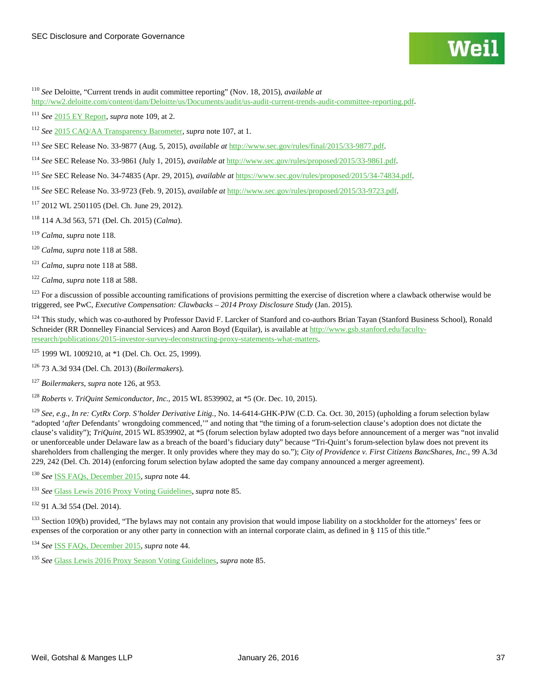<span id="page-36-1"></span> *See* Deloitte, "Current trends in audit committee reporting" (Nov. 18, 2015), *available at*  [http://ww2.deloitte.com/content/dam/Deloitte/us/Documents/audit/us-audit-current-trends-audit-committee-reporting.pdf.](http://ww2.deloitte.com/content/dam/Deloitte/us/Documents/audit/us-audit-current-trends-audit-committee-reporting.pdf)

*See* [2015 EY Report,](http://www.ey.com/GL/en/issues/Governance-and-reporting/EY-audit-committee-reporting-to-shareholders-in-2015) *supra* note 109, at 2.

*See* [2015 CAQ/AA Transparency Barometer,](http://www.thecaq.org/docs/default-source/reports-and-publications/2015-audit-committee-transparency-barometer.pdf?sfvrsn=2/2015-audit-committee-transparency-barometer) *supra* note 107, at 1.

<span id="page-36-2"></span>*See* SEC Release No. 33-9877 (Aug. 5, 2015), *available at* [http://www.sec.gov/rules/final/2015/33-9877.pdf.](http://www.sec.gov/rules/final/2015/33-9877.pdf)

<span id="page-36-3"></span>*See* SEC Release No. 33-9861 (July 1, 2015), *available at* [http://www.sec.gov/rules/proposed/2015/33-9861.pdf.](http://www.sec.gov/rules/proposed/2015/33-9861.pdf) 

*See* SEC Release No. 34-74835 (Apr. 29, 2015), *available at* [https://www.sec.gov/rules/proposed/2015/34-74834.pdf.](https://www.sec.gov/rules/proposed/2015/34-74834.pdf)

<span id="page-36-4"></span>*See* SEC Release No. 33-9723 (Feb. 9, 2015), *available at* [http://www.sec.gov/rules/proposed/2015/33-9723.pdf.](http://www.sec.gov/rules/proposed/2015/33-9723.pdf) 

2012 WL 2501105 (Del. Ch. June 29, 2012).

114 A.3d 563, 571 (Del. Ch. 2015) (*Calma*).

*Calma, supra* note 118.

*Calma, supra* note 118 at 588.

*Calma, supra* note 118 at 588.

*Calma, supra* note 118 at 588.

 For a discussion of possible accounting ramifications of provisions permitting the exercise of discretion where a clawback otherwise would be triggered, see PwC, *Executive Compensation: Clawbacks – 2014 Proxy Disclosure Study* (Jan. 2015).

<sup>124</sup> This study, which was co-authored by Professor David F. Larcker of Stanford and co-authors Brian Tayan (Stanford Business School), Ronald Schneider (RR Donnelley Financial Services) and Aaron Boyd (Equilar), is available a[t http://www.gsb.stanford.edu/faculty](http://www.gsb.stanford.edu/faculty-research/publications/2015-investor-survey-deconstructing-proxy-statements-what-matters)[research/publications/2015-investor-survey-deconstructing-proxy-statements-what-matters.](http://www.gsb.stanford.edu/faculty-research/publications/2015-investor-survey-deconstructing-proxy-statements-what-matters)

1999 WL 1009210, at  $*1$  (Del. Ch. Oct. 25, 1999).

73 A.3d 934 (Del. Ch. 2013) (*Boilermakers*).

*Boilermakers*, *supra* note 126, at 953.

*Roberts v. TriQuint Semiconductor, Inc.*, 2015 WL 8539902, at \*5 (Or. Dec. 10, 2015).

 *See, e.g.*, *In re: CytRx Corp. S'holder Derivative Litig.*, No. 14-6414-GHK-PJW (C.D. Ca. Oct. 30, 2015) (upholding a forum selection bylaw "adopted '*after* Defendants' wrongdoing commenced,'" and noting that "the timing of a forum-selection clause's adoption does not dictate the clause's validity"); *TriQuint*, 2015 WL 8539902, at \*5 (forum selection bylaw adopted two days before announcement of a merger was "not invalid or unenforceable under Delaware law as a breach of the board's fiduciary duty" because "Tri-Quint's forum-selection bylaw does not prevent its shareholders from challenging the merger. It only provides where they may do so."); *City of Providence v. First Citizens BancShares, Inc.*, 99 A.3d 229, 242 (Del. Ch. 2014) (enforcing forum selection bylaw adopted the same day company announced a merger agreement).

*See* [ISS FAQs, December 2015,](http://www.issgovernance.com/file/policy/us-policies-and-procedures-faq-dec-2015.pdf) *supra* note 44.

*See* [Glass Lewis 2016 Proxy Voting Guidelines,](http://www.glasslewis.com/assets/uploads/2015/11/GUIDELINES_United_States_20161.pdf) *supra* note 85.

91 A.3d 554 (Del. 2014).

<sup>133</sup> Section 109(b) provided, "The bylaws may not contain any provision that would impose liability on a stockholder for the attorneys' fees or expenses of the corporation or any other party in connection with an internal corporate claim, as defined in § 115 of this title."

*See* [ISS FAQs, December 2015,](http://www.issgovernance.com/file/policy/us-policies-and-procedures-faq-dec-2015.pdf) *supra* note 44.

<span id="page-36-0"></span>*See* [Glass Lewis 2016 Proxy Season Voting Guidelines,](http://www.glasslewis.com/assets/uploads/2015/11/GUIDELINES_United_States_20161.pdf) *supra* note 85.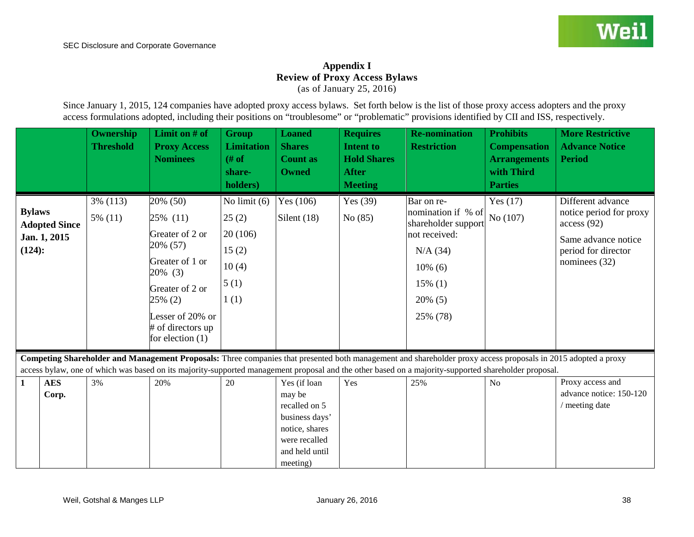## **Appendix I Review of Proxy Access Bylaws**

(as of January 25, 2016)

Since January 1, 2015, 124 companies have adopted proxy access bylaws. Set forth below is the list of those proxy access adopters and the proxy access formulations adopted, including their positions on "troublesome" or "problematic" provisions identified by CII and ISS, respectively.

<span id="page-37-1"></span><span id="page-37-0"></span>

|                         |                                      | Ownership<br><b>Threshold</b> | Limit on $#$ of<br><b>Proxy Access</b><br><b>Nominees</b>                                                                           | <b>Group</b><br><b>Limitation</b><br>$#$ of<br>share-<br>holders)    | <b>Loaned</b><br><b>Shares</b><br><b>Count as</b><br><b>Owned</b>                                                          | <b>Requires</b><br><b>Intent to</b><br><b>Hold Shares</b><br><b>After</b><br><b>Meeting</b> | <b>Re-nomination</b><br><b>Restriction</b>                                                                                                                    | <b>Prohibits</b><br><b>Compensation</b><br><b>Arrangements</b><br>with Third<br><b>Parties</b> | <b>More Restrictive</b><br><b>Advance Notice</b><br><b>Period</b>                                                         |
|-------------------------|--------------------------------------|-------------------------------|-------------------------------------------------------------------------------------------------------------------------------------|----------------------------------------------------------------------|----------------------------------------------------------------------------------------------------------------------------|---------------------------------------------------------------------------------------------|---------------------------------------------------------------------------------------------------------------------------------------------------------------|------------------------------------------------------------------------------------------------|---------------------------------------------------------------------------------------------------------------------------|
| <b>Bylaws</b><br>(124): | <b>Adopted Since</b><br>Jan. 1, 2015 | $3\%$ (113)<br>$5\%$ (11)     | 20% (50)<br>25% (11)<br>Greater of 2 or<br>20% (57)<br>Greater of 1 or<br>20% (3)<br>Greater of 2 or<br>25% (2)<br>Lesser of 20% or | No limit $(6)$<br>25(2)<br>20(106)<br>15(2)<br>10(4)<br>5(1)<br>1(1) | Yes $(106)$<br>Silent $(18)$                                                                                               | Yes $(39)$<br>No(85)                                                                        | Bar on re-<br>nomination if % of<br>shareholder support<br>not received:<br>$N/A$ (34)<br>$10\%$ (6)<br>$15\%$ (1)<br>$20\%$ (5)<br>25% (78)                  | Yes $(17)$<br>No (107)                                                                         | Different advance<br>notice period for proxy<br>access(92)<br>Same advance notice<br>period for director<br>nominees (32) |
|                         |                                      |                               | # of directors up<br>for election $(1)$                                                                                             |                                                                      |                                                                                                                            |                                                                                             | Competing Shareholder and Management Proposals: Three companies that presented both management and shareholder proxy access proposals in 2015 adopted a proxy |                                                                                                |                                                                                                                           |
| $\mathbf{1}$            | <b>AES</b><br>Corp.                  | 3%                            | 20%                                                                                                                                 | 20                                                                   | Yes (if loan<br>may be<br>recalled on 5<br>business days'<br>notice, shares<br>were recalled<br>and held until<br>meeting) | Yes                                                                                         | access bylaw, one of which was based on its majority-supported management proposal and the other based on a majority-supported shareholder proposal.<br>25%   | No                                                                                             | Proxy access and<br>advance notice: 150-120<br>/ meeting date                                                             |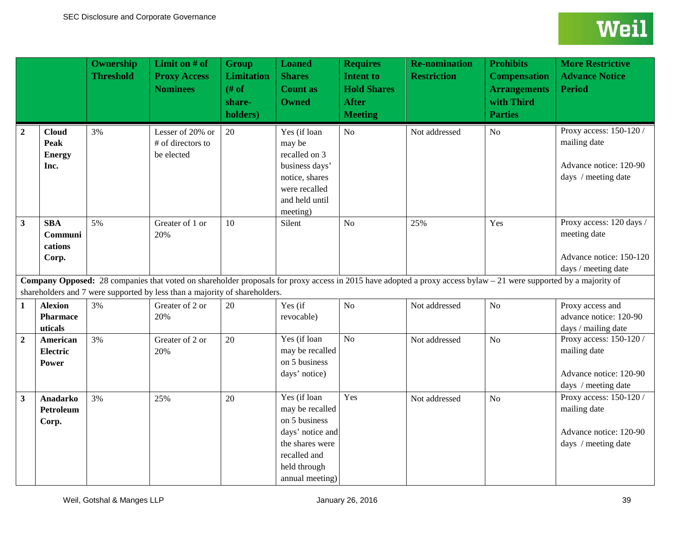<span id="page-38-9"></span><span id="page-38-8"></span><span id="page-38-7"></span><span id="page-38-6"></span><span id="page-38-5"></span><span id="page-38-4"></span><span id="page-38-3"></span><span id="page-38-2"></span><span id="page-38-1"></span><span id="page-38-0"></span>

|                |                                                      | <b>Ownership</b><br><b>Threshold</b> | Limit on # of<br><b>Proxy Access</b><br><b>Nominees</b>                    | <b>Group</b><br><b>Limitation</b><br># of<br>share-<br>holders) | <b>Loaned</b><br><b>Shares</b><br><b>Count as</b><br><b>Owned</b>                                                                          | <b>Requires</b><br><b>Intent to</b><br><b>Hold Shares</b><br><b>After</b><br><b>Meeting</b> | <b>Re-nomination</b><br><b>Restriction</b>                                                                                                                        | <b>Prohibits</b><br><b>Compensation</b><br><b>Arrangements</b><br>with Third<br><b>Parties</b> | <b>More Restrictive</b><br><b>Advance Notice</b><br><b>Period</b>                          |
|----------------|------------------------------------------------------|--------------------------------------|----------------------------------------------------------------------------|-----------------------------------------------------------------|--------------------------------------------------------------------------------------------------------------------------------------------|---------------------------------------------------------------------------------------------|-------------------------------------------------------------------------------------------------------------------------------------------------------------------|------------------------------------------------------------------------------------------------|--------------------------------------------------------------------------------------------|
| $\overline{2}$ | <b>Cloud</b><br><b>Peak</b><br><b>Energy</b><br>Inc. | 3%                                   | Lesser of 20% or<br># of directors to<br>be elected                        | 20                                                              | Yes (if loan<br>may be<br>recalled on 3<br>business days'<br>notice, shares<br>were recalled<br>and held until<br>meeting)                 | No                                                                                          | Not addressed                                                                                                                                                     | No                                                                                             | Proxy access: 150-120 /<br>mailing date<br>Advance notice: 120-90<br>days / meeting date   |
| $\mathbf{3}$   | <b>SBA</b><br>Communi<br>cations<br>Corp.            | 5%                                   | Greater of 1 or<br>20%                                                     | 10                                                              | Silent                                                                                                                                     | N <sub>o</sub>                                                                              | 25%                                                                                                                                                               | Yes                                                                                            | Proxy access: 120 days /<br>meeting date<br>Advance notice: 150-120<br>days / meeting date |
|                |                                                      |                                      | shareholders and 7 were supported by less than a majority of shareholders. |                                                                 |                                                                                                                                            |                                                                                             | Company Opposed: 28 companies that voted on shareholder proposals for proxy access in 2015 have adopted a proxy access bylaw - 21 were supported by a majority of |                                                                                                |                                                                                            |
| 1              | <b>Alexion</b><br><b>Pharmace</b><br>uticals         | 3%                                   | Greater of 2 or<br>20%                                                     | 20                                                              | Yes (if<br>revocable)                                                                                                                      | No                                                                                          | Not addressed                                                                                                                                                     | N <sub>o</sub>                                                                                 | Proxy access and<br>advance notice: 120-90<br>days / mailing date                          |
| $\overline{2}$ | American<br><b>Electric</b><br>Power                 | 3%                                   | Greater of 2 or<br>20%                                                     | 20                                                              | Yes (if loan<br>may be recalled<br>on 5 business<br>days' notice)                                                                          | $\overline{No}$                                                                             | Not addressed                                                                                                                                                     | No                                                                                             | Proxy access: 150-120 /<br>mailing date<br>Advance notice: 120-90<br>days / meeting date   |
| 3              | <b>Anadarko</b><br><b>Petroleum</b><br>Corp.         | 3%                                   | 25%                                                                        | 20                                                              | Yes (if loan<br>may be recalled<br>on 5 business<br>days' notice and<br>the shares were<br>recalled and<br>held through<br>annual meeting) | Yes                                                                                         | Not addressed                                                                                                                                                     | N <sub>o</sub>                                                                                 | Proxy access: 150-120 /<br>mailing date<br>Advance notice: 120-90<br>days / meeting date   |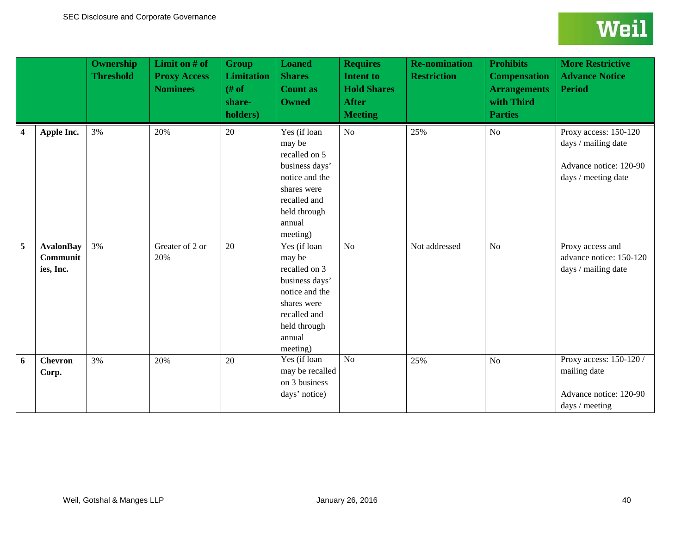<span id="page-39-8"></span><span id="page-39-7"></span><span id="page-39-6"></span><span id="page-39-5"></span><span id="page-39-4"></span><span id="page-39-3"></span><span id="page-39-2"></span><span id="page-39-1"></span><span id="page-39-0"></span>

|                         |                                           | <b>Ownership</b><br><b>Threshold</b> | <b>Limit on # of</b><br><b>Proxy Access</b><br><b>Nominees</b> | <b>Group</b><br><b>Limitation</b><br>$#$ of<br>share-<br>holders) | <b>Loaned</b><br><b>Shares</b><br><b>Count as</b><br><b>Owned</b>                                                                                | <b>Requires</b><br><b>Intent to</b><br><b>Hold Shares</b><br><b>After</b><br><b>Meeting</b> | <b>Re-nomination</b><br><b>Restriction</b> | <b>Prohibits</b><br><b>Compensation</b><br><b>Arrangements</b><br>with Third<br><b>Parties</b> | <b>More Restrictive</b><br><b>Advance Notice</b><br><b>Period</b>                             |
|-------------------------|-------------------------------------------|--------------------------------------|----------------------------------------------------------------|-------------------------------------------------------------------|--------------------------------------------------------------------------------------------------------------------------------------------------|---------------------------------------------------------------------------------------------|--------------------------------------------|------------------------------------------------------------------------------------------------|-----------------------------------------------------------------------------------------------|
| $\overline{\mathbf{4}}$ | Apple Inc.                                | 3%                                   | 20%                                                            | 20                                                                | Yes (if loan<br>may be<br>recalled on 5<br>business days'<br>notice and the<br>shares were<br>recalled and<br>held through<br>annual<br>meeting) | No                                                                                          | 25%                                        | N <sub>o</sub>                                                                                 | Proxy access: 150-120<br>days / mailing date<br>Advance notice: 120-90<br>days / meeting date |
| 5                       | <b>AvalonBay</b><br>Communit<br>ies, Inc. | 3%                                   | Greater of 2 or<br>20%                                         | 20                                                                | Yes (if loan<br>may be<br>recalled on 3<br>business days'<br>notice and the<br>shares were<br>recalled and<br>held through<br>annual<br>meeting) | No                                                                                          | Not addressed                              | N <sub>o</sub>                                                                                 | Proxy access and<br>advance notice: 150-120<br>days / mailing date                            |
| 6                       | <b>Chevron</b><br>Corp.                   | 3%                                   | 20%                                                            | 20                                                                | Yes (if loan<br>may be recalled<br>on 3 business<br>days' notice)                                                                                | N <sub>o</sub>                                                                              | 25%                                        | N <sub>o</sub>                                                                                 | Proxy access: 150-120 /<br>mailing date<br>Advance notice: 120-90<br>days / meeting           |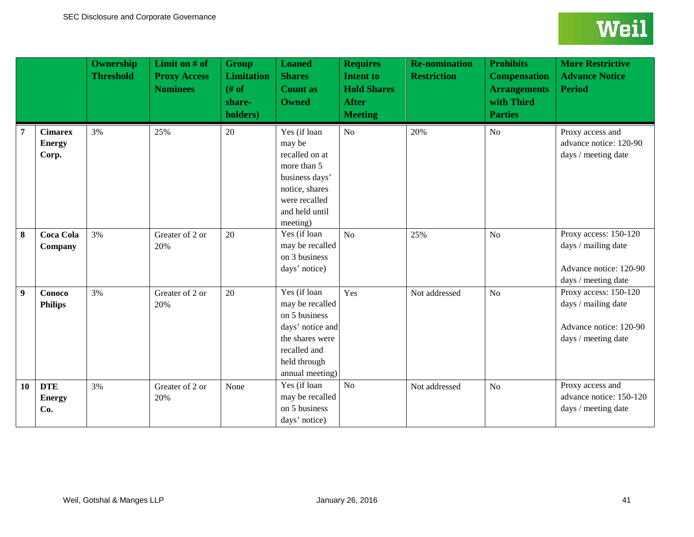<span id="page-40-5"></span><span id="page-40-4"></span><span id="page-40-3"></span><span id="page-40-2"></span><span id="page-40-1"></span><span id="page-40-0"></span>

|    |                                          | <b>Ownership</b><br><b>Threshold</b> | Limit on # of<br><b>Proxy Access</b><br><b>Nominees</b> | <b>Group</b><br><b>Limitation</b><br># of<br>share-<br>holders) | <b>Loaned</b><br><b>Shares</b><br><b>Count as</b><br><b>Owned</b>                                                                          | <b>Requires</b><br><b>Intent to</b><br><b>Hold Shares</b><br><b>After</b><br><b>Meeting</b> | <b>Re-nomination</b><br><b>Restriction</b> | <b>Prohibits</b><br><b>Compensation</b><br><b>Arrangements</b><br>with Third<br><b>Parties</b> | <b>More Restrictive</b><br><b>Advance Notice</b><br><b>Period</b>                             |
|----|------------------------------------------|--------------------------------------|---------------------------------------------------------|-----------------------------------------------------------------|--------------------------------------------------------------------------------------------------------------------------------------------|---------------------------------------------------------------------------------------------|--------------------------------------------|------------------------------------------------------------------------------------------------|-----------------------------------------------------------------------------------------------|
| 7  | <b>Cimarex</b><br><b>Energy</b><br>Corp. | 3%                                   | 25%                                                     | 20                                                              | Yes (if loan<br>may be<br>recalled on at<br>more than 5<br>business days'<br>notice, shares<br>were recalled<br>and held until<br>meeting) | No                                                                                          | 20%                                        | No                                                                                             | Proxy access and<br>advance notice: 120-90<br>days / meeting date                             |
| 8  | <b>Coca Cola</b><br>Company              | 3%                                   | Greater of 2 or<br>20%                                  | 20                                                              | Yes (if loan<br>may be recalled<br>on 3 business<br>days' notice)                                                                          | No                                                                                          | 25%                                        | No                                                                                             | Proxy access: 150-120<br>days / mailing date<br>Advance notice: 120-90<br>days / meeting date |
| 9  | Conoco<br><b>Philips</b>                 | 3%                                   | Greater of 2 or<br>20%                                  | 20                                                              | Yes (if loan<br>may be recalled<br>on 5 business<br>days' notice and<br>the shares were<br>recalled and<br>held through<br>annual meeting) | Yes                                                                                         | Not addressed                              | N <sub>o</sub>                                                                                 | Proxy access: 150-120<br>days / mailing date<br>Advance notice: 120-90<br>days / meeting date |
| 10 | <b>DTE</b><br><b>Energy</b><br>Co.       | 3%                                   | Greater of 2 or<br>20%                                  | None                                                            | Yes (if loan<br>may be recalled<br>on 5 business<br>days' notice)                                                                          | $\overline{No}$                                                                             | Not addressed                              | N <sub>o</sub>                                                                                 | Proxy access and<br>advance notice: 150-120<br>days / meeting date                            |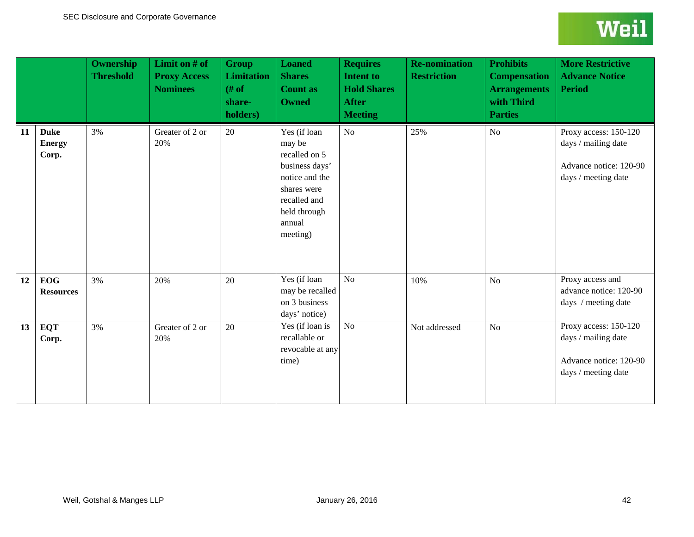<span id="page-41-4"></span><span id="page-41-3"></span><span id="page-41-2"></span><span id="page-41-1"></span><span id="page-41-0"></span>

|    |                                       | <b>Ownership</b><br><b>Threshold</b> | Limit on # of<br><b>Proxy Access</b><br><b>Nominees</b> | <b>Group</b><br><b>Limitation</b><br># of<br>share-<br>holders) | <b>Loaned</b><br><b>Shares</b><br><b>Count as</b><br><b>Owned</b>                                                                                | <b>Requires</b><br><b>Intent to</b><br><b>Hold Shares</b><br><b>After</b><br><b>Meeting</b> | <b>Re-nomination</b><br><b>Restriction</b> | <b>Prohibits</b><br><b>Compensation</b><br><b>Arrangements</b><br>with Third<br><b>Parties</b> | <b>More Restrictive</b><br><b>Advance Notice</b><br><b>Period</b>                             |
|----|---------------------------------------|--------------------------------------|---------------------------------------------------------|-----------------------------------------------------------------|--------------------------------------------------------------------------------------------------------------------------------------------------|---------------------------------------------------------------------------------------------|--------------------------------------------|------------------------------------------------------------------------------------------------|-----------------------------------------------------------------------------------------------|
| 11 | <b>Duke</b><br><b>Energy</b><br>Corp. | 3%                                   | Greater of 2 or<br>20%                                  | 20                                                              | Yes (if loan<br>may be<br>recalled on 5<br>business days'<br>notice and the<br>shares were<br>recalled and<br>held through<br>annual<br>meeting) | No                                                                                          | 25%                                        | N <sub>o</sub>                                                                                 | Proxy access: 150-120<br>days / mailing date<br>Advance notice: 120-90<br>days / meeting date |
| 12 | <b>EOG</b><br><b>Resources</b>        | 3%                                   | 20%                                                     | 20                                                              | Yes (if loan<br>may be recalled<br>on 3 business<br>days' notice)                                                                                | N <sub>o</sub>                                                                              | 10%                                        | N <sub>o</sub>                                                                                 | Proxy access and<br>advance notice: 120-90<br>days / meeting date                             |
| 13 | <b>EQT</b><br>Corp.                   | 3%                                   | Greater of 2 or<br>20%                                  | 20                                                              | Yes (if loan is<br>recallable or<br>revocable at any<br>time)                                                                                    | $\overline{No}$                                                                             | Not addressed                              | N <sub>o</sub>                                                                                 | Proxy access: 150-120<br>days / mailing date<br>Advance notice: 120-90<br>days / meeting date |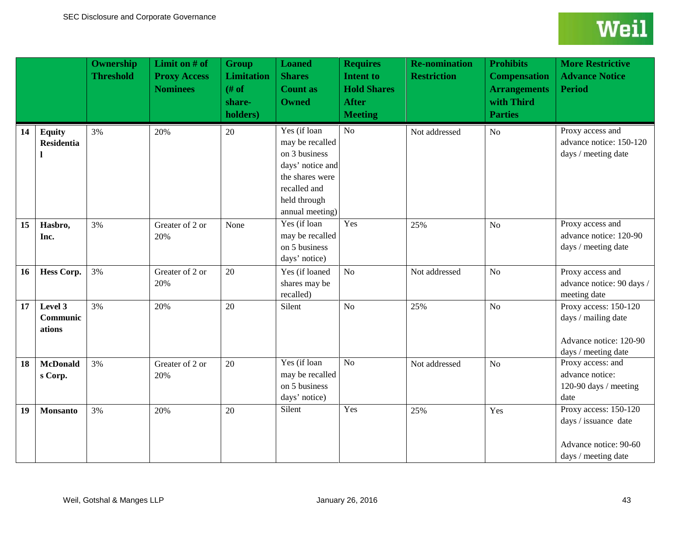<span id="page-42-5"></span><span id="page-42-4"></span><span id="page-42-3"></span><span id="page-42-2"></span><span id="page-42-1"></span><span id="page-42-0"></span>

|    |                                    | <b>Ownership</b><br><b>Threshold</b> | Limit on # of<br><b>Proxy Access</b><br><b>Nominees</b> | <b>Group</b><br><b>Limitation</b><br># of<br>share-<br>holders) | <b>Loaned</b><br><b>Shares</b><br><b>Count as</b><br><b>Owned</b>                                                                          | <b>Requires</b><br><b>Intent to</b><br><b>Hold Shares</b><br><b>After</b><br><b>Meeting</b> | <b>Re-nomination</b><br><b>Restriction</b> | <b>Prohibits</b><br><b>Compensation</b><br><b>Arrangements</b><br>with Third<br><b>Parties</b> | <b>More Restrictive</b><br><b>Advance Notice</b><br><b>Period</b>                             |
|----|------------------------------------|--------------------------------------|---------------------------------------------------------|-----------------------------------------------------------------|--------------------------------------------------------------------------------------------------------------------------------------------|---------------------------------------------------------------------------------------------|--------------------------------------------|------------------------------------------------------------------------------------------------|-----------------------------------------------------------------------------------------------|
| 14 | <b>Equity</b><br><b>Residentia</b> | 3%                                   | 20%                                                     | 20                                                              | Yes (if loan<br>may be recalled<br>on 3 business<br>days' notice and<br>the shares were<br>recalled and<br>held through<br>annual meeting) | $\overline{No}$                                                                             | Not addressed                              | N <sub>o</sub>                                                                                 | Proxy access and<br>advance notice: 150-120<br>days / meeting date                            |
| 15 | Hasbro,<br>Inc.                    | 3%                                   | Greater of 2 or<br>20%                                  | None                                                            | Yes (if loan<br>may be recalled<br>on 5 business<br>days' notice)                                                                          | Yes                                                                                         | 25%                                        | N <sub>o</sub>                                                                                 | Proxy access and<br>advance notice: 120-90<br>days / meeting date                             |
| 16 | <b>Hess Corp.</b>                  | 3%                                   | Greater of 2 or<br>20%                                  | 20                                                              | Yes (if loaned<br>shares may be<br>recalled)                                                                                               | No                                                                                          | Not addressed                              | No                                                                                             | Proxy access and<br>advance notice: 90 days /<br>meeting date                                 |
| 17 | Level 3<br>Communic<br>ations      | 3%                                   | 20%                                                     | 20                                                              | Silent                                                                                                                                     | No                                                                                          | 25%                                        | No                                                                                             | Proxy access: 150-120<br>days / mailing date<br>Advance notice: 120-90<br>days / meeting date |
| 18 | <b>McDonald</b><br>s Corp.         | 3%                                   | Greater of 2 or<br>20%                                  | 20                                                              | Yes (if loan<br>may be recalled<br>on 5 business<br>days' notice)                                                                          | No                                                                                          | Not addressed                              | No                                                                                             | Proxy access: and<br>advance notice:<br>120-90 days / meeting<br>date                         |
| 19 | <b>Monsanto</b>                    | 3%                                   | 20%                                                     | 20                                                              | Silent                                                                                                                                     | Yes                                                                                         | 25%                                        | Yes                                                                                            | Proxy access: 150-120<br>days / issuance date<br>Advance notice: 90-60<br>days / meeting date |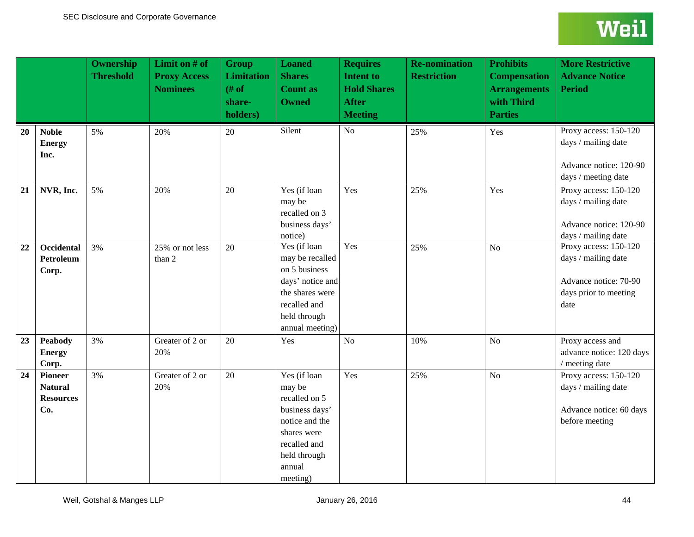<span id="page-43-13"></span><span id="page-43-12"></span><span id="page-43-11"></span><span id="page-43-10"></span><span id="page-43-9"></span><span id="page-43-8"></span><span id="page-43-7"></span><span id="page-43-6"></span><span id="page-43-5"></span><span id="page-43-4"></span><span id="page-43-3"></span><span id="page-43-2"></span><span id="page-43-1"></span><span id="page-43-0"></span>

|    |                                                      | Ownership<br><b>Threshold</b> | Limit on # of<br><b>Proxy Access</b><br><b>Nominees</b> | <b>Group</b><br><b>Limitation</b><br># of<br>share-<br>holders) | <b>Loaned</b><br><b>Shares</b><br><b>Count as</b><br><b>Owned</b>                                                                                | <b>Requires</b><br><b>Intent to</b><br><b>Hold Shares</b><br><b>After</b><br><b>Meeting</b> | <b>Re-nomination</b><br><b>Restriction</b> | <b>Prohibits</b><br><b>Compensation</b><br><b>Arrangements</b><br>with Third<br><b>Parties</b> | <b>More Restrictive</b><br><b>Advance Notice</b><br><b>Period</b>                                      |
|----|------------------------------------------------------|-------------------------------|---------------------------------------------------------|-----------------------------------------------------------------|--------------------------------------------------------------------------------------------------------------------------------------------------|---------------------------------------------------------------------------------------------|--------------------------------------------|------------------------------------------------------------------------------------------------|--------------------------------------------------------------------------------------------------------|
| 20 | <b>Noble</b><br><b>Energy</b><br>Inc.                | 5%                            | 20%                                                     | 20                                                              | Silent                                                                                                                                           | No                                                                                          | 25%                                        | Yes                                                                                            | Proxy access: 150-120<br>days / mailing date<br>Advance notice: 120-90<br>days / meeting date          |
| 21 | NVR, Inc.                                            | 5%                            | 20%                                                     | 20                                                              | Yes (if loan<br>may be<br>recalled on 3<br>business days'<br>notice)                                                                             | Yes                                                                                         | 25%                                        | Yes                                                                                            | Proxy access: 150-120<br>days / mailing date<br>Advance notice: 120-90<br>days / mailing date          |
| 22 | Occidental<br>Petroleum<br>Corp.                     | 3%                            | 25% or not less<br>than 2                               | 20                                                              | Yes (if loan<br>may be recalled<br>on 5 business<br>days' notice and<br>the shares were<br>recalled and<br>held through<br>annual meeting)       | Yes                                                                                         | 25%                                        | No                                                                                             | Proxy access: 150-120<br>days / mailing date<br>Advance notice: 70-90<br>days prior to meeting<br>date |
| 23 | <b>Peabody</b><br><b>Energy</b><br>Corp.             | 3%                            | Greater of 2 or<br>20%                                  | 20                                                              | Yes                                                                                                                                              | N <sub>o</sub>                                                                              | 10%                                        | No                                                                                             | Proxy access and<br>advance notice: 120 days<br>/ meeting date                                         |
| 24 | Pioneer<br><b>Natural</b><br><b>Resources</b><br>Co. | 3%                            | Greater of 2 or<br>20%                                  | 20                                                              | Yes (if loan<br>may be<br>recalled on 5<br>business days'<br>notice and the<br>shares were<br>recalled and<br>held through<br>annual<br>meeting) | Yes                                                                                         | 25%                                        | N <sub>o</sub>                                                                                 | Proxy access: 150-120<br>days / mailing date<br>Advance notice: 60 days<br>before meeting              |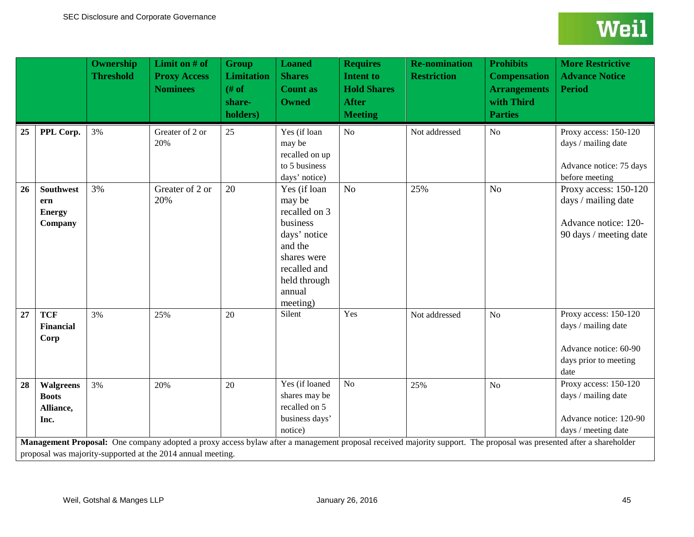<span id="page-44-5"></span><span id="page-44-4"></span><span id="page-44-3"></span><span id="page-44-2"></span><span id="page-44-1"></span><span id="page-44-0"></span>

|    |                                                       | <b>Ownership</b><br><b>Threshold</b> | Limit on # of<br><b>Proxy Access</b><br><b>Nominees</b> | <b>Group</b><br><b>Limitation</b><br>$#$ of<br>share-<br>holders) | <b>Loaned</b><br><b>Shares</b><br><b>Count as</b><br><b>Owned</b>                                                                                   | <b>Requires</b><br><b>Intent to</b><br><b>Hold Shares</b><br><b>After</b><br><b>Meeting</b> | <b>Re-nomination</b><br><b>Restriction</b> | <b>Prohibits</b><br><b>Compensation</b><br><b>Arrangements</b><br>with Third<br><b>Parties</b> | <b>More Restrictive</b><br><b>Advance Notice</b><br><b>Period</b>                                                                                                                                                                                                    |
|----|-------------------------------------------------------|--------------------------------------|---------------------------------------------------------|-------------------------------------------------------------------|-----------------------------------------------------------------------------------------------------------------------------------------------------|---------------------------------------------------------------------------------------------|--------------------------------------------|------------------------------------------------------------------------------------------------|----------------------------------------------------------------------------------------------------------------------------------------------------------------------------------------------------------------------------------------------------------------------|
| 25 | PPL Corp.                                             | 3%                                   | Greater of 2 or<br>20%                                  | 25                                                                | Yes (if loan<br>may be<br>recalled on up<br>to 5 business<br>days' notice)                                                                          | No                                                                                          | Not addressed                              | N <sub>o</sub>                                                                                 | Proxy access: 150-120<br>days / mailing date<br>Advance notice: 75 days<br>before meeting                                                                                                                                                                            |
| 26 | <b>Southwest</b><br>ern<br><b>Energy</b><br>Company   | 3%                                   | Greater of 2 or<br>20%                                  | 20                                                                | Yes (if loan<br>may be<br>recalled on 3<br>business<br>days' notice<br>and the<br>shares were<br>recalled and<br>held through<br>annual<br>meeting) | N <sub>o</sub>                                                                              | 25%                                        | N <sub>o</sub>                                                                                 | Proxy access: 150-120<br>days / mailing date<br>Advance notice: 120-<br>90 days / meeting date                                                                                                                                                                       |
| 27 | <b>TCF</b><br><b>Financial</b><br>Corp                | 3%                                   | 25%                                                     | 20                                                                | Silent                                                                                                                                              | Yes                                                                                         | Not addressed                              | N <sub>o</sub>                                                                                 | Proxy access: 150-120<br>days / mailing date<br>Advance notice: 60-90<br>days prior to meeting<br>date                                                                                                                                                               |
| 28 | <b>Walgreens</b><br><b>Boots</b><br>Alliance,<br>Inc. | 3%                                   | 20%                                                     | 20                                                                | Yes (if loaned<br>shares may be<br>recalled on 5<br>business days'<br>notice)                                                                       | No                                                                                          | 25%                                        | N <sub>o</sub>                                                                                 | Proxy access: 150-120<br>days / mailing date<br>Advance notice: 120-90<br>days / meeting date<br>Management Proposal: One company adopted a proxy access bylaw after a management proposal received majority support. The proposal was presented after a shareholder |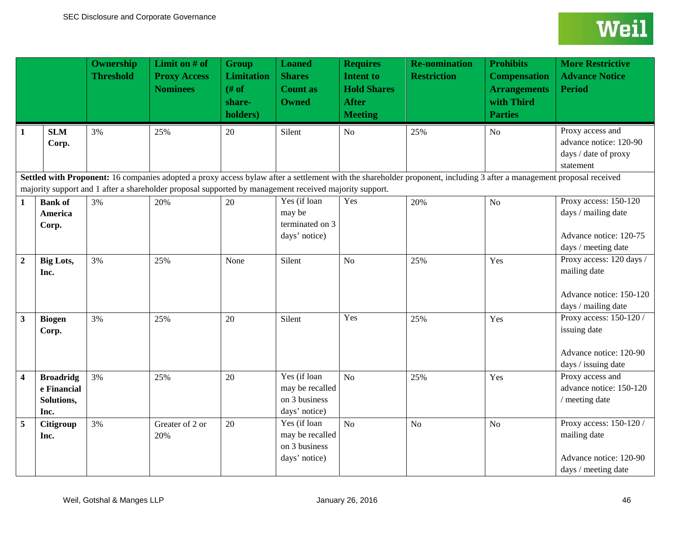<span id="page-45-2"></span><span id="page-45-1"></span><span id="page-45-0"></span>

|                         |                                                       | <b>Ownership</b><br><b>Threshold</b> | Limit on # of<br><b>Proxy Access</b><br><b>Nominees</b>                                                | <b>Group</b><br><b>Limitation</b><br># of<br>share-<br>holders) | <b>Loaned</b><br><b>Shares</b><br><b>Count as</b><br><b>Owned</b> | <b>Requires</b><br><b>Intent to</b><br><b>Hold Shares</b><br><b>After</b><br><b>Meeting</b> | <b>Re-nomination</b><br><b>Restriction</b>                                                                                                                            | <b>Prohibits</b><br><b>Compensation</b><br><b>Arrangements</b><br>with Third<br><b>Parties</b> | <b>More Restrictive</b><br><b>Advance Notice</b><br><b>Period</b>                             |
|-------------------------|-------------------------------------------------------|--------------------------------------|--------------------------------------------------------------------------------------------------------|-----------------------------------------------------------------|-------------------------------------------------------------------|---------------------------------------------------------------------------------------------|-----------------------------------------------------------------------------------------------------------------------------------------------------------------------|------------------------------------------------------------------------------------------------|-----------------------------------------------------------------------------------------------|
| $\mathbf{1}$            | <b>SLM</b><br>Corp.                                   | 3%                                   | 25%                                                                                                    | 20                                                              | Silent                                                            | No                                                                                          | 25%                                                                                                                                                                   | N <sub>o</sub>                                                                                 | Proxy access and<br>advance notice: 120-90<br>days / date of proxy<br>statement               |
|                         |                                                       |                                      | majority support and 1 after a shareholder proposal supported by management received majority support. |                                                                 |                                                                   |                                                                                             | Settled with Proponent: 16 companies adopted a proxy access bylaw after a settlement with the shareholder proponent, including 3 after a management proposal received |                                                                                                |                                                                                               |
| $\mathbf{1}$            | <b>Bank of</b><br>America<br>Corp.                    | 3%                                   | 20%                                                                                                    | 20                                                              | Yes (if loan<br>may be<br>terminated on 3<br>days' notice)        | Yes                                                                                         | 20%                                                                                                                                                                   | N <sub>o</sub>                                                                                 | Proxy access: 150-120<br>days / mailing date<br>Advance notice: 120-75<br>days / meeting date |
| $\boldsymbol{2}$        | <b>Big Lots,</b><br>Inc.                              | 3%                                   | 25%                                                                                                    | None                                                            | Silent                                                            | N <sub>o</sub>                                                                              | 25%                                                                                                                                                                   | Yes                                                                                            | Proxy access: 120 days /<br>mailing date<br>Advance notice: 150-120<br>days / mailing date    |
| 3                       | <b>Biogen</b><br>Corp.                                | 3%                                   | 25%                                                                                                    | 20                                                              | Silent                                                            | Yes                                                                                         | 25%                                                                                                                                                                   | Yes                                                                                            | Proxy access: 150-120 /<br>issuing date<br>Advance notice: 120-90<br>days / issuing date      |
| $\overline{\mathbf{4}}$ | <b>Broadridg</b><br>e Financial<br>Solutions,<br>Inc. | 3%                                   | 25%                                                                                                    | 20                                                              | Yes (if loan<br>may be recalled<br>on 3 business<br>days' notice) | No                                                                                          | 25%                                                                                                                                                                   | Yes                                                                                            | Proxy access and<br>advance notice: 150-120<br>/ meeting date                                 |
| 5                       | Citigroup<br>Inc.                                     | 3%                                   | Greater of 2 or<br>20%                                                                                 | 20                                                              | Yes (if loan<br>may be recalled<br>on 3 business<br>days' notice) | No                                                                                          | N <sub>o</sub>                                                                                                                                                        | N <sub>o</sub>                                                                                 | Proxy access: 150-120 /<br>mailing date<br>Advance notice: 120-90<br>days / meeting date      |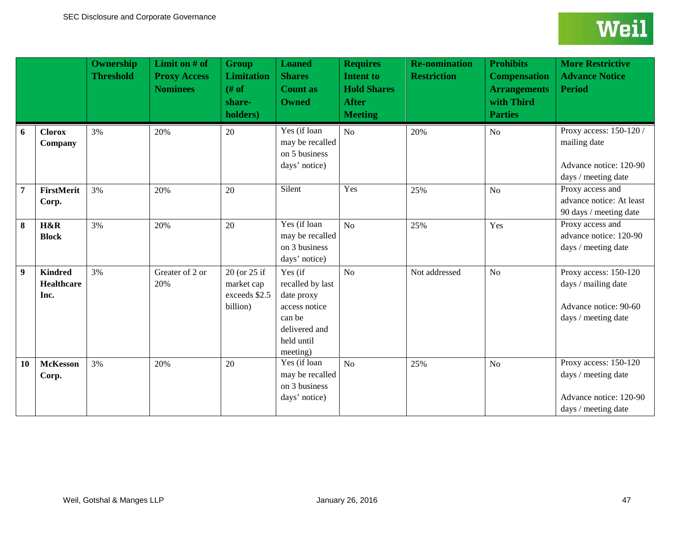<span id="page-46-9"></span><span id="page-46-8"></span><span id="page-46-7"></span><span id="page-46-6"></span><span id="page-46-5"></span><span id="page-46-4"></span><span id="page-46-3"></span><span id="page-46-2"></span><span id="page-46-1"></span><span id="page-46-0"></span>

|                  |                                             | <b>Ownership</b><br><b>Threshold</b> | Limit on # of<br><b>Proxy Access</b><br><b>Nominees</b> | <b>Group</b><br><b>Limitation</b><br># of<br>share-<br>holders) | <b>Loaned</b><br><b>Shares</b><br><b>Count as</b><br><b>Owned</b>                                               | <b>Requires</b><br><b>Intent to</b><br><b>Hold Shares</b><br><b>After</b><br><b>Meeting</b> | <b>Re-nomination</b><br><b>Restriction</b> | <b>Prohibits</b><br><b>Compensation</b><br><b>Arrangements</b><br>with Third<br><b>Parties</b> | <b>More Restrictive</b><br><b>Advance Notice</b><br><b>Period</b>                             |
|------------------|---------------------------------------------|--------------------------------------|---------------------------------------------------------|-----------------------------------------------------------------|-----------------------------------------------------------------------------------------------------------------|---------------------------------------------------------------------------------------------|--------------------------------------------|------------------------------------------------------------------------------------------------|-----------------------------------------------------------------------------------------------|
| 6                | <b>Clorox</b><br>Company                    | 3%                                   | 20%                                                     | 20                                                              | Yes (if loan<br>may be recalled<br>on 5 business<br>days' notice)                                               | No                                                                                          | 20%                                        | N <sub>o</sub>                                                                                 | Proxy access: 150-120 /<br>mailing date<br>Advance notice: 120-90<br>days / meeting date      |
| $\overline{7}$   | FirstMerit<br>Corp.                         | 3%                                   | 20%                                                     | 20                                                              | Silent                                                                                                          | Yes                                                                                         | 25%                                        | No                                                                                             | Proxy access and<br>advance notice: At least<br>90 days / meeting date                        |
| 8                | H&R<br><b>Block</b>                         | 3%                                   | 20%                                                     | 20                                                              | Yes (if loan<br>may be recalled<br>on 3 business<br>days' notice)                                               | No                                                                                          | 25%                                        | Yes                                                                                            | Proxy access and<br>advance notice: 120-90<br>days / meeting date                             |
| $\boldsymbol{9}$ | <b>Kindred</b><br><b>Healthcare</b><br>Inc. | 3%                                   | Greater of 2 or<br>20%                                  | 20 (or 25 if<br>market cap<br>exceeds \$2.5<br>billion)         | Yes (if<br>recalled by last<br>date proxy<br>access notice<br>can be<br>delivered and<br>held until<br>meeting) | No                                                                                          | Not addressed                              | No                                                                                             | Proxy access: 150-120<br>days / mailing date<br>Advance notice: 90-60<br>days / meeting date  |
| 10               | <b>McKesson</b><br>Corp.                    | 3%                                   | 20%                                                     | 20                                                              | Yes (if loan<br>may be recalled<br>on 3 business<br>days' notice)                                               | No                                                                                          | 25%                                        | N <sub>o</sub>                                                                                 | Proxy access: 150-120<br>days / meeting date<br>Advance notice: 120-90<br>days / meeting date |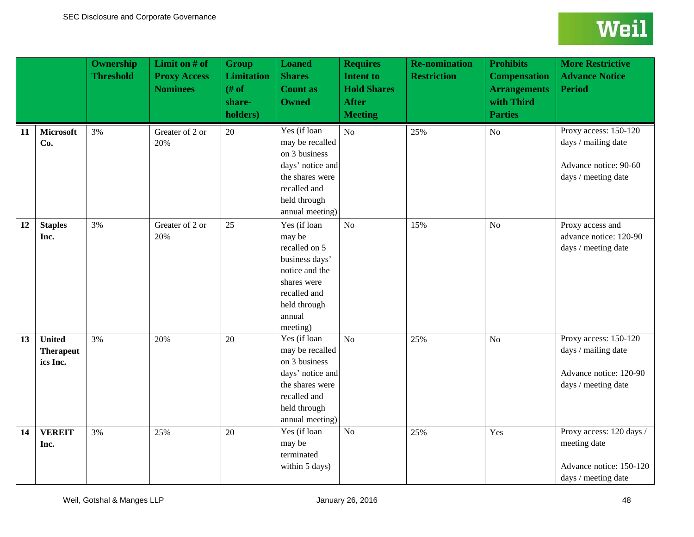<span id="page-47-2"></span><span id="page-47-1"></span><span id="page-47-0"></span>

|    |                                               | <b>Ownership</b><br><b>Threshold</b> | Limit on # of<br><b>Proxy Access</b><br><b>Nominees</b> | <b>Group</b><br><b>Limitation</b><br>$#$ of<br>share-<br>holders) | <b>Loaned</b><br><b>Shares</b><br><b>Count as</b><br><b>Owned</b>                                                                                | <b>Requires</b><br><b>Intent to</b><br><b>Hold Shares</b><br><b>After</b><br><b>Meeting</b> | <b>Re-nomination</b><br><b>Restriction</b> | <b>Prohibits</b><br><b>Compensation</b><br><b>Arrangements</b><br>with Third<br><b>Parties</b> | <b>More Restrictive</b><br><b>Advance Notice</b><br><b>Period</b>                             |
|----|-----------------------------------------------|--------------------------------------|---------------------------------------------------------|-------------------------------------------------------------------|--------------------------------------------------------------------------------------------------------------------------------------------------|---------------------------------------------------------------------------------------------|--------------------------------------------|------------------------------------------------------------------------------------------------|-----------------------------------------------------------------------------------------------|
| 11 | Microsoft<br>Co.                              | 3%                                   | Greater of 2 or<br>20%                                  | 20                                                                | Yes (if loan<br>may be recalled<br>on 3 business<br>days' notice and<br>the shares were<br>recalled and<br>held through<br>annual meeting)       | No                                                                                          | 25%                                        | N <sub>o</sub>                                                                                 | Proxy access: 150-120<br>days / mailing date<br>Advance notice: 90-60<br>days / meeting date  |
| 12 | <b>Staples</b><br>Inc.                        | 3%                                   | Greater of 2 or<br>20%                                  | 25                                                                | Yes (if loan<br>may be<br>recalled on 5<br>business days'<br>notice and the<br>shares were<br>recalled and<br>held through<br>annual<br>meeting) | No                                                                                          | 15%                                        | N <sub>o</sub>                                                                                 | Proxy access and<br>advance notice: 120-90<br>days / meeting date                             |
| 13 | <b>United</b><br><b>Therapeut</b><br>ics Inc. | 3%                                   | 20%                                                     | 20                                                                | $Yes$ (if loan<br>may be recalled<br>on 3 business<br>days' notice and<br>the shares were<br>recalled and<br>held through<br>annual meeting)     | No                                                                                          | 25%                                        | No                                                                                             | Proxy access: 150-120<br>days / mailing date<br>Advance notice: 120-90<br>days / meeting date |
| 14 | <b>VEREIT</b><br>Inc.                         | 3%                                   | 25%                                                     | 20                                                                | Yes (if loan<br>may be<br>terminated<br>within 5 days)                                                                                           | $\overline{No}$                                                                             | 25%                                        | Yes                                                                                            | Proxy access: 120 days /<br>meeting date<br>Advance notice: 150-120<br>days / meeting date    |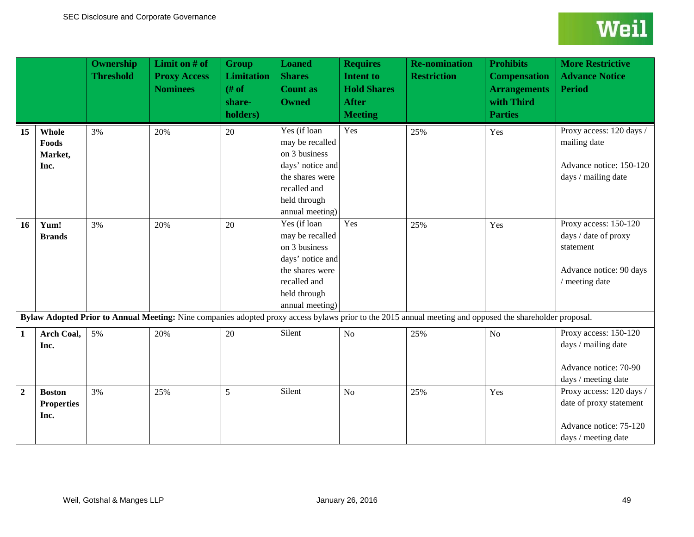<span id="page-48-0"></span>

|                  |                                            | <b>Ownership</b><br><b>Threshold</b> | Limit on # of<br><b>Proxy Access</b><br><b>Nominees</b> | <b>Group</b><br><b>Limitation</b><br># of<br>share-<br>holders) | <b>Loaned</b><br><b>Shares</b><br><b>Count as</b><br><b>Owned</b>                                                                          | <b>Requires</b><br>Intent to<br><b>Hold Shares</b><br><b>After</b><br><b>Meeting</b> | <b>Re-nomination</b><br><b>Restriction</b>                                                                                                               | <b>Prohibits</b><br><b>Compensation</b><br><b>Arrangements</b><br>with Third<br><b>Parties</b> | <b>More Restrictive</b><br><b>Advance Notice</b><br><b>Period</b>                                       |
|------------------|--------------------------------------------|--------------------------------------|---------------------------------------------------------|-----------------------------------------------------------------|--------------------------------------------------------------------------------------------------------------------------------------------|--------------------------------------------------------------------------------------|----------------------------------------------------------------------------------------------------------------------------------------------------------|------------------------------------------------------------------------------------------------|---------------------------------------------------------------------------------------------------------|
| 15               | Whole<br>Foods<br>Market,<br>Inc.          | 3%                                   | 20%                                                     | 20                                                              | Yes (if loan<br>may be recalled<br>on 3 business<br>days' notice and<br>the shares were<br>recalled and<br>held through<br>annual meeting) | Yes                                                                                  | 25%                                                                                                                                                      | Yes                                                                                            | Proxy access: 120 days /<br>mailing date<br>Advance notice: 150-120<br>days / mailing date              |
| 16               | Yum!<br><b>Brands</b>                      | 3%                                   | 20%                                                     | 20                                                              | Yes (if loan<br>may be recalled<br>on 3 business<br>days' notice and<br>the shares were<br>recalled and<br>held through<br>annual meeting) | Yes                                                                                  | 25%                                                                                                                                                      | Yes                                                                                            | Proxy access: 150-120<br>days / date of proxy<br>statement<br>Advance notice: 90 days<br>/ meeting date |
|                  |                                            |                                      |                                                         |                                                                 |                                                                                                                                            |                                                                                      | Bylaw Adopted Prior to Annual Meeting: Nine companies adopted proxy access bylaws prior to the 2015 annual meeting and opposed the shareholder proposal. |                                                                                                |                                                                                                         |
| 1                | <b>Arch Coal,</b><br>Inc.                  | 5%                                   | 20%                                                     | 20                                                              | Silent                                                                                                                                     | No                                                                                   | 25%                                                                                                                                                      | N <sub>o</sub>                                                                                 | Proxy access: 150-120<br>days / mailing date<br>Advance notice: 70-90<br>days / meeting date            |
| $\boldsymbol{2}$ | <b>Boston</b><br><b>Properties</b><br>Inc. | 3%                                   | 25%                                                     | 5                                                               | Silent                                                                                                                                     | N <sub>o</sub>                                                                       | 25%                                                                                                                                                      | Yes                                                                                            | Proxy access: 120 days /<br>date of proxy statement<br>Advance notice: 75-120<br>days / meeting date    |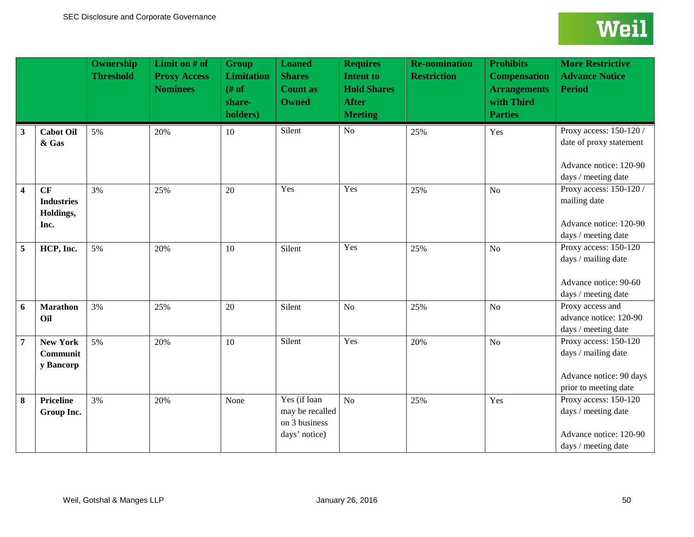<span id="page-49-5"></span><span id="page-49-4"></span><span id="page-49-3"></span><span id="page-49-2"></span><span id="page-49-1"></span><span id="page-49-0"></span>

|                         |                                              | <b>Ownership</b><br><b>Threshold</b> | Limit on $#$ of<br><b>Proxy Access</b><br><b>Nominees</b> | <b>Group</b><br><b>Limitation</b><br># of<br>share-<br>holders) | <b>Loaned</b><br><b>Shares</b><br><b>Count as</b><br><b>Owned</b> | <b>Requires</b><br><b>Intent to</b><br><b>Hold Shares</b><br><b>After</b><br><b>Meeting</b> | <b>Re-nomination</b><br><b>Restriction</b> | <b>Prohibits</b><br><b>Compensation</b><br><b>Arrangements</b><br>with Third<br><b>Parties</b> | <b>More Restrictive</b><br><b>Advance Notice</b><br><b>Period</b>                                   |
|-------------------------|----------------------------------------------|--------------------------------------|-----------------------------------------------------------|-----------------------------------------------------------------|-------------------------------------------------------------------|---------------------------------------------------------------------------------------------|--------------------------------------------|------------------------------------------------------------------------------------------------|-----------------------------------------------------------------------------------------------------|
| $\mathbf{3}$            | <b>Cabot Oil</b><br>& Gas                    | 5%                                   | 20%                                                       | 10                                                              | Silent                                                            | No                                                                                          | 25%                                        | Yes                                                                                            | Proxy access: 150-120 /<br>date of proxy statement<br>Advance notice: 120-90<br>days / meeting date |
| $\overline{\mathbf{4}}$ | CF<br><b>Industries</b><br>Holdings,<br>Inc. | 3%                                   | 25%                                                       | 20                                                              | Yes                                                               | Yes                                                                                         | 25%                                        | N <sub>o</sub>                                                                                 | Proxy access: 150-120 /<br>mailing date<br>Advance notice: 120-90<br>days / meeting date            |
| 5                       | HCP, Inc.                                    | 5%                                   | 20%                                                       | 10                                                              | Silent                                                            | Yes                                                                                         | 25%                                        | N <sub>o</sub>                                                                                 | Proxy access: 150-120<br>days / mailing date<br>Advance notice: 90-60<br>days / meeting date        |
| 6                       | <b>Marathon</b><br>Oil                       | 3%                                   | 25%                                                       | 20                                                              | Silent                                                            | N <sub>o</sub>                                                                              | 25%                                        | N <sub>o</sub>                                                                                 | Proxy access and<br>advance notice: 120-90<br>days / meeting date                                   |
| $\overline{7}$          | <b>New York</b><br>Communit<br>y Bancorp     | 5%                                   | 20%                                                       | 10                                                              | Silent                                                            | Yes                                                                                         | 20%                                        | No                                                                                             | Proxy access: 150-120<br>days / mailing date<br>Advance notice: 90 days<br>prior to meeting date    |
| 8                       | <b>Priceline</b><br>Group Inc.               | 3%                                   | 20%                                                       | None                                                            | Yes (if loan<br>may be recalled<br>on 3 business<br>days' notice) | No                                                                                          | 25%                                        | Yes                                                                                            | Proxy access: 150-120<br>days / meeting date<br>Advance notice: 120-90<br>days / meeting date       |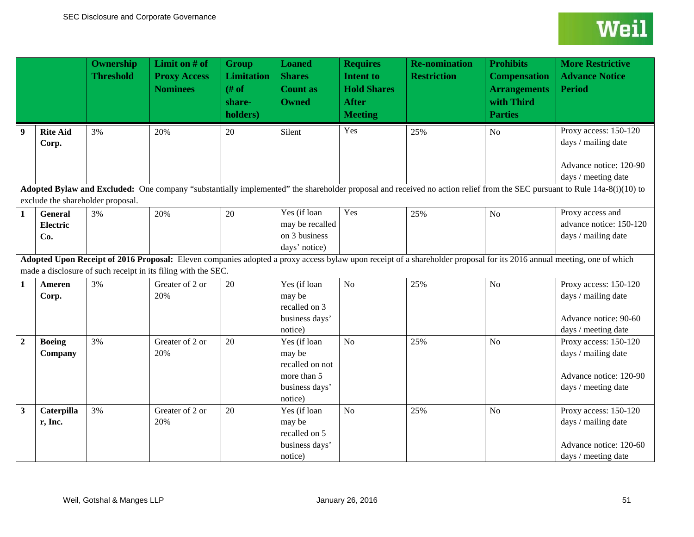<span id="page-50-1"></span><span id="page-50-0"></span>

|                |                                   | <b>Ownership</b><br><b>Threshold</b>    | Limit on # of<br><b>Proxy Access</b><br><b>Nominees</b>       | <b>Group</b><br><b>Limitation</b><br># of<br>share-<br>holders) | <b>Loaned</b><br><b>Shares</b><br><b>Count as</b><br><b>Owned</b>                     | <b>Requires</b><br><b>Intent to</b><br><b>Hold Shares</b><br><b>After</b><br><b>Meeting</b> | <b>Re-nomination</b><br><b>Restriction</b> | <b>Prohibits</b><br><b>Compensation</b><br><b>Arrangements</b><br>with Third<br><b>Parties</b> | <b>More Restrictive</b><br><b>Advance Notice</b><br><b>Period</b>                                                                                                        |
|----------------|-----------------------------------|-----------------------------------------|---------------------------------------------------------------|-----------------------------------------------------------------|---------------------------------------------------------------------------------------|---------------------------------------------------------------------------------------------|--------------------------------------------|------------------------------------------------------------------------------------------------|--------------------------------------------------------------------------------------------------------------------------------------------------------------------------|
| 9              | <b>Rite Aid</b><br>Corp.          | 3%                                      | 20%                                                           | 20                                                              | Silent                                                                                | Yes                                                                                         | 25%                                        | N <sub>o</sub>                                                                                 | Proxy access: 150-120<br>days / mailing date<br>Advance notice: 120-90<br>days / meeting date                                                                            |
|                |                                   |                                         |                                                               |                                                                 |                                                                                       |                                                                                             |                                            |                                                                                                | Adopted Bylaw and Excluded: One company "substantially implemented" the shareholder proposal and received no action relief from the SEC pursuant to Rule 14a-8(i)(10) to |
| $\mathbf{1}$   | <b>General</b><br>Electric<br>Co. | exclude the shareholder proposal.<br>3% | 20%                                                           | 20                                                              | Yes (if loan<br>may be recalled<br>on 3 business<br>days' notice)                     | Yes                                                                                         | 25%                                        | No                                                                                             | Proxy access and<br>advance notice: 150-120<br>days / mailing date                                                                                                       |
|                |                                   |                                         | made a disclosure of such receipt in its filing with the SEC. |                                                                 |                                                                                       |                                                                                             |                                            |                                                                                                | Adopted Upon Receipt of 2016 Proposal: Eleven companies adopted a proxy access bylaw upon receipt of a shareholder proposal for its 2016 annual meeting, one of which    |
| $\mathbf{1}$   | Ameren<br>Corp.                   | 3%                                      | Greater of 2 or<br>20%                                        | 20                                                              | Yes (if loan<br>may be<br>recalled on 3<br>business days'<br>notice)                  | No                                                                                          | 25%                                        | N <sub>o</sub>                                                                                 | Proxy access: 150-120<br>days / mailing date<br>Advance notice: 90-60<br>days / meeting date                                                                             |
| $\overline{2}$ | <b>Boeing</b><br>Company          | 3%                                      | Greater of 2 or<br>20%                                        | 20                                                              | Yes (if loan<br>may be<br>recalled on not<br>more than 5<br>business days'<br>notice) | No                                                                                          | 25%                                        | N <sub>o</sub>                                                                                 | Proxy access: 150-120<br>days / mailing date<br>Advance notice: 120-90<br>days / meeting date                                                                            |
| $\mathbf{3}$   | Caterpilla<br>r, Inc.             | 3%                                      | Greater of 2 or<br>20%                                        | 20                                                              | Yes (if loan<br>may be<br>recalled on 5<br>business days'<br>notice)                  | No                                                                                          | 25%                                        | N <sub>o</sub>                                                                                 | Proxy access: 150-120<br>days / mailing date<br>Advance notice: 120-60<br>days / meeting date                                                                            |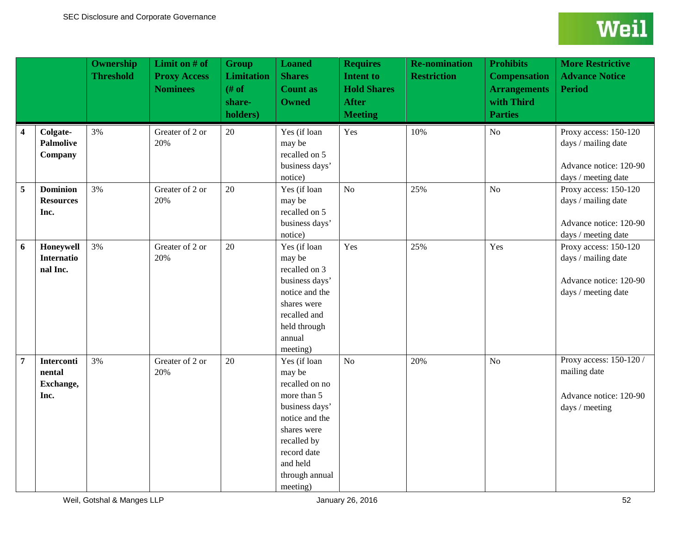<span id="page-51-1"></span><span id="page-51-0"></span>

|                |                                                  | <b>Ownership</b><br><b>Threshold</b> | Limit on $#$ of<br><b>Proxy Access</b><br><b>Nominees</b> | <b>Group</b><br><b>Limitation</b><br># of<br>share-<br>holders) | <b>Loaned</b><br><b>Shares</b><br><b>Count as</b><br><b>Owned</b>                                                                                                                  | <b>Requires</b><br><b>Intent to</b><br><b>Hold Shares</b><br><b>After</b><br><b>Meeting</b> | <b>Re-nomination</b><br><b>Restriction</b> | <b>Prohibits</b><br><b>Compensation</b><br><b>Arrangements</b><br>with Third<br><b>Parties</b> | <b>More Restrictive</b><br><b>Advance Notice</b><br><b>Period</b>                             |
|----------------|--------------------------------------------------|--------------------------------------|-----------------------------------------------------------|-----------------------------------------------------------------|------------------------------------------------------------------------------------------------------------------------------------------------------------------------------------|---------------------------------------------------------------------------------------------|--------------------------------------------|------------------------------------------------------------------------------------------------|-----------------------------------------------------------------------------------------------|
| 4              | Colgate-<br><b>Palmolive</b><br>Company          | 3%                                   | Greater of 2 or<br>20%                                    | 20                                                              | Yes (if loan<br>may be<br>recalled on 5<br>business days'<br>notice)                                                                                                               | Yes                                                                                         | 10%                                        | No                                                                                             | Proxy access: 150-120<br>days / mailing date<br>Advance notice: 120-90<br>days / meeting date |
| 5              | <b>Dominion</b><br><b>Resources</b><br>Inc.      | 3%                                   | Greater of 2 or<br>20%                                    | 20                                                              | Yes (if loan<br>may be<br>recalled on 5<br>business days'<br>notice)                                                                                                               | No                                                                                          | 25%                                        | N <sub>o</sub>                                                                                 | Proxy access: 150-120<br>days / mailing date<br>Advance notice: 120-90<br>days / meeting date |
| 6              | Honeywell<br><b>Internatio</b><br>nal Inc.       | 3%                                   | Greater of 2 or<br>20%                                    | 20                                                              | Yes (if loan<br>may be<br>recalled on 3<br>business days'<br>notice and the<br>shares were<br>recalled and<br>held through<br>annual<br>meeting)                                   | Yes                                                                                         | 25%                                        | Yes                                                                                            | Proxy access: 150-120<br>days / mailing date<br>Advance notice: 120-90<br>days / meeting date |
| $\overline{7}$ | <b>Interconti</b><br>nental<br>Exchange,<br>Inc. | 3%                                   | Greater of 2 or<br>20%                                    | 20                                                              | Yes (if loan<br>may be<br>recalled on no<br>more than 5<br>business days'<br>notice and the<br>shares were<br>recalled by<br>record date<br>and held<br>through annual<br>meeting) | N <sub>o</sub>                                                                              | 20%                                        | N <sub>o</sub>                                                                                 | Proxy access: 150-120 /<br>mailing date<br>Advance notice: 120-90<br>days / meeting           |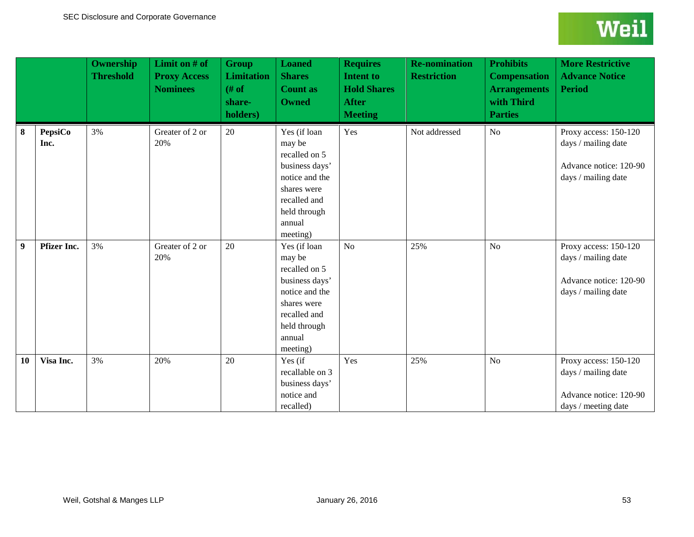<span id="page-52-6"></span><span id="page-52-5"></span><span id="page-52-4"></span><span id="page-52-3"></span><span id="page-52-2"></span><span id="page-52-1"></span><span id="page-52-0"></span>

|                  |                        | <b>Ownership</b><br><b>Threshold</b> | Limit on $#$ of<br><b>Proxy Access</b><br><b>Nominees</b> | <b>Group</b><br><b>Limitation</b><br># of<br>share-<br>holders) | <b>Loaned</b><br><b>Shares</b><br><b>Count as</b><br><b>Owned</b>                                                                                | <b>Requires</b><br><b>Intent to</b><br><b>Hold Shares</b><br><b>After</b><br><b>Meeting</b> | <b>Re-nomination</b><br><b>Restriction</b> | <b>Prohibits</b><br><b>Compensation</b><br><b>Arrangements</b><br>with Third<br><b>Parties</b> | <b>More Restrictive</b><br><b>Advance Notice</b><br><b>Period</b>                             |
|------------------|------------------------|--------------------------------------|-----------------------------------------------------------|-----------------------------------------------------------------|--------------------------------------------------------------------------------------------------------------------------------------------------|---------------------------------------------------------------------------------------------|--------------------------------------------|------------------------------------------------------------------------------------------------|-----------------------------------------------------------------------------------------------|
| 8                | <b>PepsiCo</b><br>Inc. | 3%                                   | Greater of 2 or<br>20%                                    | 20                                                              | Yes (if loan<br>may be<br>recalled on 5<br>business days'<br>notice and the<br>shares were<br>recalled and<br>held through<br>annual<br>meeting) | Yes                                                                                         | Not addressed                              | N <sub>o</sub>                                                                                 | Proxy access: 150-120<br>days / mailing date<br>Advance notice: 120-90<br>days / mailing date |
| $\boldsymbol{9}$ | <b>Pfizer Inc.</b>     | 3%                                   | Greater of 2 or<br>20%                                    | 20                                                              | Yes (if loan<br>may be<br>recalled on 5<br>business days'<br>notice and the<br>shares were<br>recalled and<br>held through<br>annual<br>meeting) | N <sub>o</sub>                                                                              | 25%                                        | N <sub>o</sub>                                                                                 | Proxy access: 150-120<br>days / mailing date<br>Advance notice: 120-90<br>days / mailing date |
| 10               | Visa Inc.              | 3%                                   | 20%                                                       | 20                                                              | Yes (if<br>recallable on 3<br>business days'<br>notice and<br>recalled)                                                                          | Yes                                                                                         | 25%                                        | N <sub>o</sub>                                                                                 | Proxy access: 150-120<br>days / mailing date<br>Advance notice: 120-90<br>days / meeting date |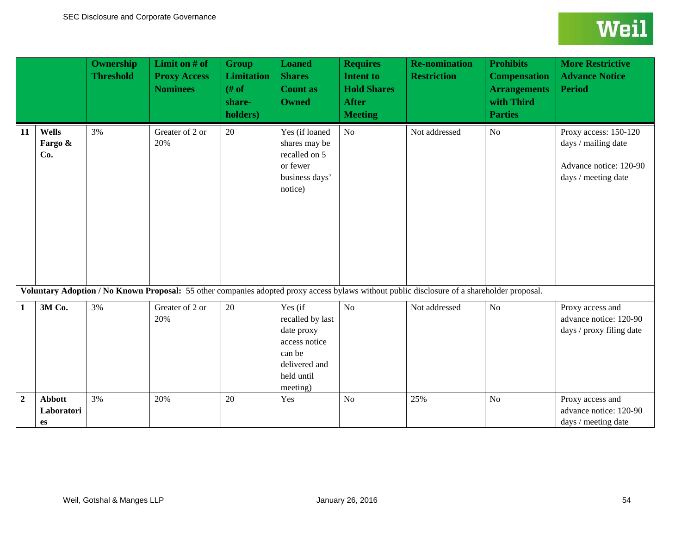<span id="page-53-2"></span><span id="page-53-1"></span><span id="page-53-0"></span>

|                  |                                   | <b>Ownership</b><br><b>Threshold</b> | Limit on # of<br><b>Proxy Access</b><br><b>Nominees</b> | <b>Group</b><br><b>Limitation</b><br># of<br>share-<br>holders) | <b>Loaned</b><br><b>Shares</b><br><b>Count as</b><br><b>Owned</b>                                               | <b>Requires</b><br><b>Intent to</b><br><b>Hold Shares</b><br><b>After</b><br><b>Meeting</b> | <b>Re-nomination</b><br><b>Restriction</b>                                                                                                  | <b>Prohibits</b><br><b>Compensation</b><br><b>Arrangements</b><br>with Third<br><b>Parties</b> | <b>More Restrictive</b><br><b>Advance Notice</b><br><b>Period</b>                             |
|------------------|-----------------------------------|--------------------------------------|---------------------------------------------------------|-----------------------------------------------------------------|-----------------------------------------------------------------------------------------------------------------|---------------------------------------------------------------------------------------------|---------------------------------------------------------------------------------------------------------------------------------------------|------------------------------------------------------------------------------------------------|-----------------------------------------------------------------------------------------------|
| 11               | Wells<br>Fargo &<br>Co.           | 3%                                   | Greater of 2 or<br>20%                                  | 20                                                              | Yes (if loaned<br>shares may be<br>recalled on 5<br>or fewer<br>business days'<br>notice)                       | No                                                                                          | Not addressed                                                                                                                               | No                                                                                             | Proxy access: 150-120<br>days / mailing date<br>Advance notice: 120-90<br>days / meeting date |
|                  |                                   |                                      |                                                         |                                                                 |                                                                                                                 |                                                                                             | Voluntary Adoption / No Known Proposal: 55 other companies adopted proxy access bylaws without public disclosure of a shareholder proposal. |                                                                                                |                                                                                               |
| 1                | 3M Co.                            | 3%                                   | Greater of 2 or<br>20%                                  | 20                                                              | Yes (if<br>recalled by last<br>date proxy<br>access notice<br>can be<br>delivered and<br>held until<br>meeting) | No                                                                                          | Not addressed                                                                                                                               | No                                                                                             | Proxy access and<br>advance notice: 120-90<br>days / proxy filing date                        |
| $\boldsymbol{2}$ | <b>Abbott</b><br>Laboratori<br>es | 3%                                   | 20%                                                     | 20                                                              | Yes                                                                                                             | N <sub>o</sub>                                                                              | 25%                                                                                                                                         | N <sub>o</sub>                                                                                 | Proxy access and<br>advance notice: 120-90<br>days / meeting date                             |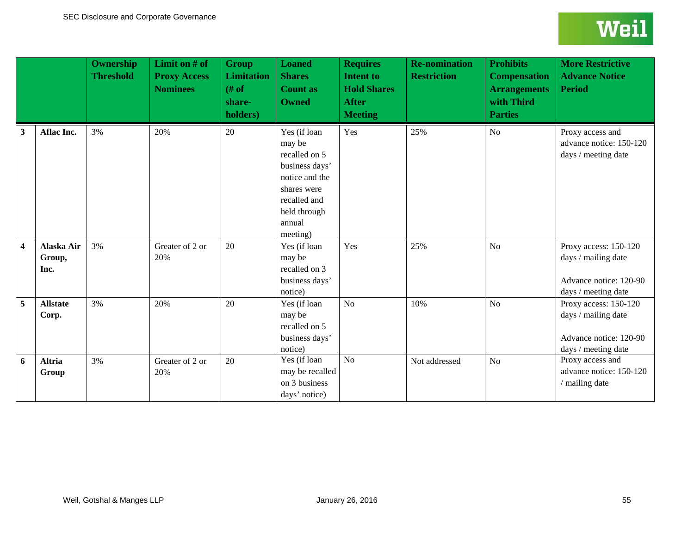|                         |                              | Ownership<br><b>Threshold</b> | Limit on $#$ of<br><b>Proxy Access</b><br><b>Nominees</b> | <b>Group</b><br><b>Limitation</b><br>$#$ of<br>share-<br>holders) | <b>Loaned</b><br><b>Shares</b><br><b>Count as</b><br><b>Owned</b>                                                                                | <b>Requires</b><br><b>Intent to</b><br><b>Hold Shares</b><br><b>After</b><br><b>Meeting</b> | <b>Re-nomination</b><br><b>Restriction</b> | <b>Prohibits</b><br><b>Compensation</b><br><b>Arrangements</b><br>with Third<br><b>Parties</b> | <b>More Restrictive</b><br><b>Advance Notice</b><br><b>Period</b>                             |
|-------------------------|------------------------------|-------------------------------|-----------------------------------------------------------|-------------------------------------------------------------------|--------------------------------------------------------------------------------------------------------------------------------------------------|---------------------------------------------------------------------------------------------|--------------------------------------------|------------------------------------------------------------------------------------------------|-----------------------------------------------------------------------------------------------|
| 3                       | Aflac Inc.                   | 3%                            | 20%                                                       | 20                                                                | Yes (if loan<br>may be<br>recalled on 5<br>business days'<br>notice and the<br>shares were<br>recalled and<br>held through<br>annual<br>meeting) | Yes                                                                                         | 25%                                        | No                                                                                             | Proxy access and<br>advance notice: 150-120<br>days / meeting date                            |
| $\overline{\mathbf{4}}$ | Alaska Air<br>Group,<br>Inc. | 3%                            | Greater of 2 or<br>20%                                    | 20                                                                | Yes (if loan<br>may be<br>recalled on 3<br>business days'<br>notice)                                                                             | Yes                                                                                         | 25%                                        | N <sub>o</sub>                                                                                 | Proxy access: 150-120<br>days / mailing date<br>Advance notice: 120-90<br>days / meeting date |
| 5                       | <b>Allstate</b><br>Corp.     | 3%                            | 20%                                                       | 20                                                                | Yes (if loan<br>may be<br>recalled on 5<br>business days'<br>notice)                                                                             | No                                                                                          | 10%                                        | No                                                                                             | Proxy access: 150-120<br>days / mailing date<br>Advance notice: 120-90<br>days / meeting date |
| 6                       | <b>Altria</b><br>Group       | 3%                            | Greater of 2 or<br>20%                                    | 20                                                                | Yes (if loan<br>may be recalled<br>on 3 business<br>days' notice)                                                                                | N <sub>o</sub>                                                                              | Not addressed                              | No                                                                                             | Proxy access and<br>advance notice: 150-120<br>/ mailing date                                 |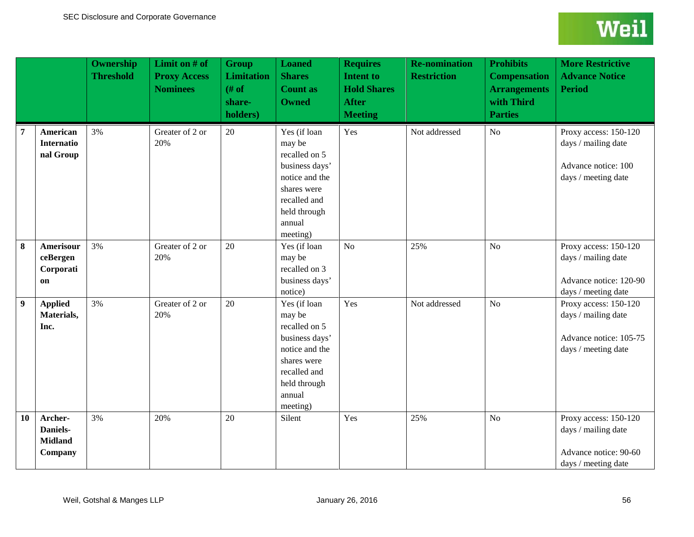|                  |                                                  | <b>Ownership</b><br><b>Threshold</b> | Limit on # of<br><b>Proxy Access</b><br><b>Nominees</b> | <b>Group</b><br><b>Limitation</b><br># of<br>share-<br>holders) | <b>Loaned</b><br><b>Shares</b><br><b>Count as</b><br><b>Owned</b>                                                                                | <b>Requires</b><br><b>Intent to</b><br><b>Hold Shares</b><br><b>After</b><br><b>Meeting</b> | <b>Re-nomination</b><br><b>Restriction</b> | <b>Prohibits</b><br><b>Compensation</b><br><b>Arrangements</b><br>with Third<br><b>Parties</b> | <b>More Restrictive</b><br><b>Advance Notice</b><br><b>Period</b>                             |
|------------------|--------------------------------------------------|--------------------------------------|---------------------------------------------------------|-----------------------------------------------------------------|--------------------------------------------------------------------------------------------------------------------------------------------------|---------------------------------------------------------------------------------------------|--------------------------------------------|------------------------------------------------------------------------------------------------|-----------------------------------------------------------------------------------------------|
| 7                | American<br><b>Internatio</b><br>nal Group       | 3%                                   | Greater of 2 or<br>20%                                  | 20                                                              | Yes (if loan<br>may be<br>recalled on 5<br>business days'<br>notice and the<br>shares were<br>recalled and<br>held through<br>annual<br>meeting) | Yes                                                                                         | Not addressed                              | No                                                                                             | Proxy access: 150-120<br>days / mailing date<br>Advance notice: 100<br>days / meeting date    |
| 8                | Amerisour<br>ceBergen<br>Corporati<br>on         | 3%                                   | Greater of 2 or<br>20%                                  | 20                                                              | Yes (if loan<br>may be<br>recalled on 3<br>business days'<br>notice)                                                                             | N <sub>o</sub>                                                                              | 25%                                        | N <sub>o</sub>                                                                                 | Proxy access: 150-120<br>days / mailing date<br>Advance notice: 120-90<br>days / meeting date |
| $\boldsymbol{9}$ | <b>Applied</b><br>Materials,<br>Inc.             | 3%                                   | Greater of 2 or<br>20%                                  | 20                                                              | Yes (if loan<br>may be<br>recalled on 5<br>business days'<br>notice and the<br>shares were<br>recalled and<br>held through<br>annual<br>meeting) | Yes                                                                                         | Not addressed                              | N <sub>o</sub>                                                                                 | Proxy access: 150-120<br>days / mailing date<br>Advance notice: 105-75<br>days / meeting date |
| 10               | Archer-<br>Daniels-<br><b>Midland</b><br>Company | 3%                                   | 20%                                                     | 20                                                              | Silent                                                                                                                                           | Yes                                                                                         | 25%                                        | No                                                                                             | Proxy access: 150-120<br>days / mailing date<br>Advance notice: 90-60<br>days / meeting date  |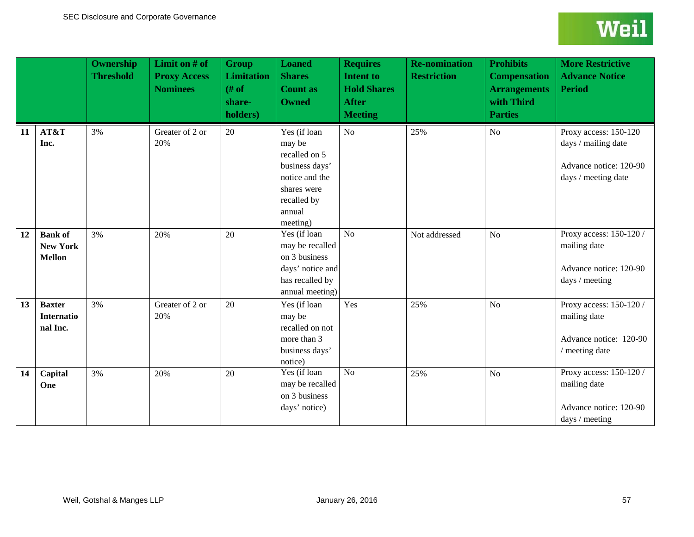|    |                                                    | <b>Ownership</b><br><b>Threshold</b> | Limit on # of<br><b>Proxy Access</b><br><b>Nominees</b> | <b>Group</b><br><b>Limitation</b><br># of<br>share-<br>holders) | <b>Loaned</b><br><b>Shares</b><br><b>Count as</b><br><b>Owned</b>                                                               | <b>Requires</b><br><b>Intent to</b><br><b>Hold Shares</b><br><b>After</b><br><b>Meeting</b> | <b>Re-nomination</b><br><b>Restriction</b> | <b>Prohibits</b><br><b>Compensation</b><br><b>Arrangements</b><br>with Third<br><b>Parties</b> | <b>More Restrictive</b><br><b>Advance Notice</b><br><b>Period</b>                             |
|----|----------------------------------------------------|--------------------------------------|---------------------------------------------------------|-----------------------------------------------------------------|---------------------------------------------------------------------------------------------------------------------------------|---------------------------------------------------------------------------------------------|--------------------------------------------|------------------------------------------------------------------------------------------------|-----------------------------------------------------------------------------------------------|
| 11 | AT&T<br>Inc.                                       | 3%                                   | Greater of 2 or<br>20%                                  | 20                                                              | Yes (if loan<br>may be<br>recalled on 5<br>business days'<br>notice and the<br>shares were<br>recalled by<br>annual<br>meeting) | No                                                                                          | 25%                                        | No                                                                                             | Proxy access: 150-120<br>days / mailing date<br>Advance notice: 120-90<br>days / meeting date |
| 12 | <b>Bank</b> of<br><b>New York</b><br><b>Mellon</b> | 3%                                   | 20%                                                     | 20                                                              | Yes (if loan<br>may be recalled<br>on 3 business<br>days' notice and<br>has recalled by<br>annual meeting)                      | $\overline{No}$                                                                             | Not addressed                              | N <sub>o</sub>                                                                                 | Proxy access: 150-120 /<br>mailing date<br>Advance notice: 120-90<br>days / meeting           |
| 13 | <b>Baxter</b><br><b>Internatio</b><br>nal Inc.     | 3%                                   | Greater of 2 or<br>20%                                  | 20                                                              | Yes (if loan<br>may be<br>recalled on not<br>more than 3<br>business days'<br>notice)                                           | Yes                                                                                         | 25%                                        | No                                                                                             | Proxy access: 150-120 /<br>mailing date<br>Advance notice: 120-90<br>/ meeting date           |
| 14 | Capital<br>One                                     | 3%                                   | 20%                                                     | 20                                                              | Yes (if loan<br>may be recalled<br>on 3 business<br>days' notice)                                                               | $\overline{No}$                                                                             | 25%                                        | No                                                                                             | Proxy access: 150-120 /<br>mailing date<br>Advance notice: 120-90<br>days / meeting           |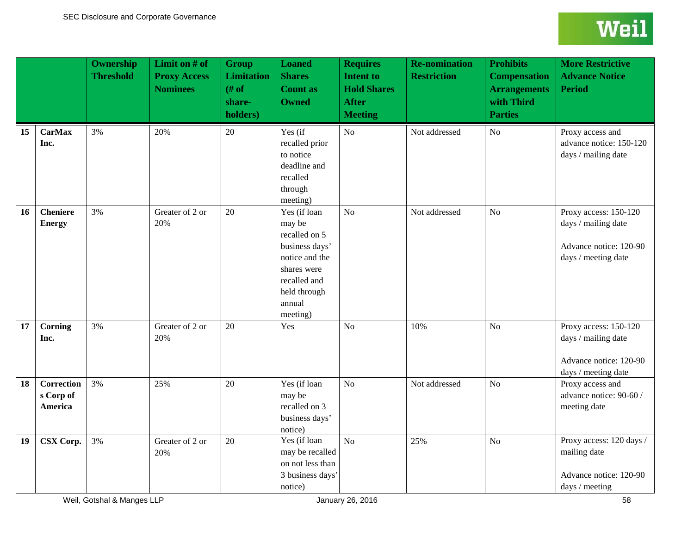|    |                                    | <b>Ownership</b><br><b>Threshold</b> | Limit on # of<br><b>Proxy Access</b><br><b>Nominees</b> | <b>Group</b><br><b>Limitation</b><br># of<br>share-<br>holders) | <b>Loaned</b><br><b>Shares</b><br><b>Count as</b><br><b>Owned</b>                                                                                | <b>Requires</b><br><b>Intent to</b><br><b>Hold Shares</b><br><b>After</b><br><b>Meeting</b> | <b>Re-nomination</b><br><b>Restriction</b> | <b>Prohibits</b><br><b>Compensation</b><br><b>Arrangements</b><br>with Third<br><b>Parties</b> | <b>More Restrictive</b><br><b>Advance Notice</b><br><b>Period</b>                             |
|----|------------------------------------|--------------------------------------|---------------------------------------------------------|-----------------------------------------------------------------|--------------------------------------------------------------------------------------------------------------------------------------------------|---------------------------------------------------------------------------------------------|--------------------------------------------|------------------------------------------------------------------------------------------------|-----------------------------------------------------------------------------------------------|
| 15 | <b>CarMax</b><br>Inc.              | 3%                                   | 20%                                                     | 20                                                              | Yes (if<br>recalled prior<br>to notice<br>deadline and<br>recalled<br>through<br>meeting)                                                        | N <sub>o</sub>                                                                              | Not addressed                              | N <sub>o</sub>                                                                                 | Proxy access and<br>advance notice: 150-120<br>days / mailing date                            |
| 16 | <b>Cheniere</b><br><b>Energy</b>   | 3%                                   | Greater of 2 or<br>20%                                  | 20                                                              | Yes (if loan<br>may be<br>recalled on 5<br>business days'<br>notice and the<br>shares were<br>recalled and<br>held through<br>annual<br>meeting) | No                                                                                          | Not addressed                              | N <sub>o</sub>                                                                                 | Proxy access: 150-120<br>days / mailing date<br>Advance notice: 120-90<br>days / meeting date |
| 17 | Corning<br>Inc.                    | 3%                                   | Greater of 2 or<br>20%                                  | 20                                                              | Yes                                                                                                                                              | No                                                                                          | 10%                                        | N <sub>o</sub>                                                                                 | Proxy access: 150-120<br>days / mailing date<br>Advance notice: 120-90<br>days / meeting date |
| 18 | Correction<br>s Corp of<br>America | 3%                                   | 25%                                                     | 20                                                              | Yes (if loan<br>may be<br>recalled on 3<br>business days'<br>notice)                                                                             | N <sub>o</sub>                                                                              | Not addressed                              | N <sub>o</sub>                                                                                 | Proxy access and<br>advance notice: 90-60 /<br>meeting date                                   |
| 19 | CSX Corp.                          | 3%                                   | Greater of 2 or<br>20%                                  | 20                                                              | Yes (if loan<br>may be recalled<br>on not less than<br>3 business days'<br>notice)                                                               | No                                                                                          | 25%                                        | N <sub>o</sub>                                                                                 | Proxy access: 120 days /<br>mailing date<br>Advance notice: 120-90<br>days / meeting          |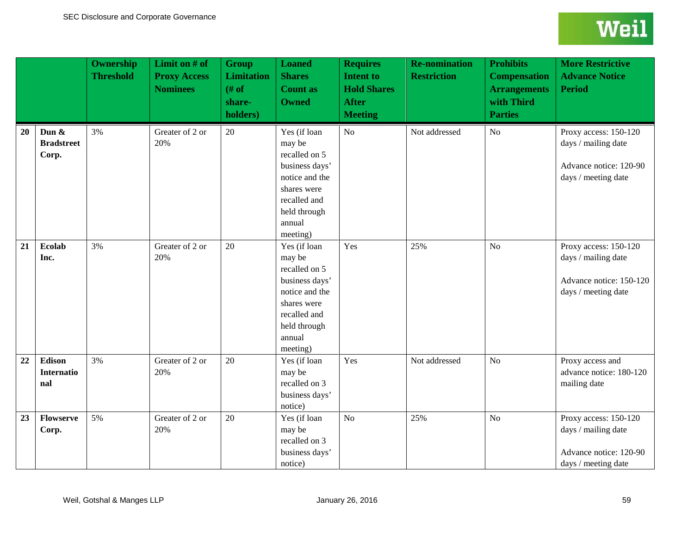|    |                                        | <b>Ownership</b><br><b>Threshold</b> | Limit on # of<br><b>Proxy Access</b><br><b>Nominees</b> | <b>Group</b><br><b>Limitation</b><br># of<br>share-<br>holders) | <b>Loaned</b><br><b>Shares</b><br><b>Count as</b><br><b>Owned</b>                                                                                | <b>Requires</b><br><b>Intent to</b><br><b>Hold Shares</b><br><b>After</b><br><b>Meeting</b> | <b>Re-nomination</b><br><b>Restriction</b> | <b>Prohibits</b><br><b>Compensation</b><br><b>Arrangements</b><br>with Third<br><b>Parties</b> | <b>More Restrictive</b><br><b>Advance Notice</b><br><b>Period</b>                              |
|----|----------------------------------------|--------------------------------------|---------------------------------------------------------|-----------------------------------------------------------------|--------------------------------------------------------------------------------------------------------------------------------------------------|---------------------------------------------------------------------------------------------|--------------------------------------------|------------------------------------------------------------------------------------------------|------------------------------------------------------------------------------------------------|
| 20 | Dun $\&$<br><b>Bradstreet</b><br>Corp. | 3%                                   | Greater of 2 or<br>20%                                  | 20                                                              | Yes (if loan<br>may be<br>recalled on 5<br>business days'<br>notice and the<br>shares were<br>recalled and<br>held through<br>annual<br>meeting) | No                                                                                          | Not addressed                              | N <sub>o</sub>                                                                                 | Proxy access: 150-120<br>days / mailing date<br>Advance notice: 120-90<br>days / meeting date  |
| 21 | <b>Ecolab</b><br>Inc.                  | 3%                                   | Greater of 2 or<br>20%                                  | 20                                                              | Yes (if loan<br>may be<br>recalled on 5<br>business days'<br>notice and the<br>shares were<br>recalled and<br>held through<br>annual<br>meeting) | Yes                                                                                         | 25%                                        | N <sub>o</sub>                                                                                 | Proxy access: 150-120<br>days / mailing date<br>Advance notice: 150-120<br>days / meeting date |
| 22 | Edison<br><b>Internatio</b><br>nal     | 3%                                   | Greater of 2 or<br>20%                                  | 20                                                              | Yes (if loan<br>may be<br>recalled on 3<br>business days'<br>notice)                                                                             | Yes                                                                                         | Not addressed                              | N <sub>o</sub>                                                                                 | Proxy access and<br>advance notice: 180-120<br>mailing date                                    |
| 23 | <b>Flowserve</b><br>Corp.              | 5%                                   | Greater of 2 or<br>20%                                  | 20                                                              | Yes (if loan<br>may be<br>recalled on 3<br>business days'<br>notice)                                                                             | No                                                                                          | 25%                                        | No                                                                                             | Proxy access: 150-120<br>days / mailing date<br>Advance notice: 120-90<br>days / meeting date  |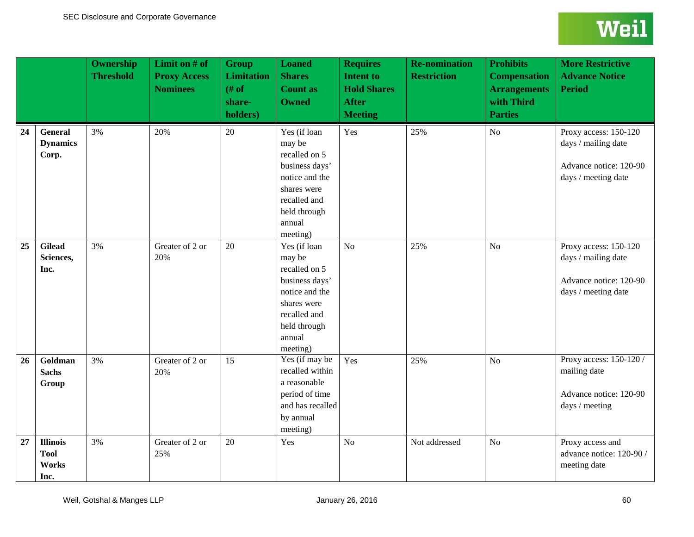|    |                                                 | <b>Ownership</b><br><b>Threshold</b> | Limit on # of<br><b>Proxy Access</b><br><b>Nominees</b> | <b>Group</b><br><b>Limitation</b><br># of<br>share-<br>holders) | <b>Loaned</b><br><b>Shares</b><br><b>Count as</b><br><b>Owned</b>                                                                                | <b>Requires</b><br><b>Intent to</b><br><b>Hold Shares</b><br><b>After</b><br><b>Meeting</b> | <b>Re-nomination</b><br><b>Restriction</b> | <b>Prohibits</b><br><b>Compensation</b><br><b>Arrangements</b><br>with Third<br><b>Parties</b> | <b>More Restrictive</b><br><b>Advance Notice</b><br><b>Period</b>                             |
|----|-------------------------------------------------|--------------------------------------|---------------------------------------------------------|-----------------------------------------------------------------|--------------------------------------------------------------------------------------------------------------------------------------------------|---------------------------------------------------------------------------------------------|--------------------------------------------|------------------------------------------------------------------------------------------------|-----------------------------------------------------------------------------------------------|
| 24 | <b>General</b><br><b>Dynamics</b><br>Corp.      | 3%                                   | 20%                                                     | 20                                                              | Yes (if loan<br>may be<br>recalled on 5<br>business days'<br>notice and the<br>shares were<br>recalled and<br>held through<br>annual<br>meeting) | Yes                                                                                         | 25%                                        | N <sub>o</sub>                                                                                 | Proxy access: 150-120<br>days / mailing date<br>Advance notice: 120-90<br>days / meeting date |
| 25 | <b>Gilead</b><br>Sciences,<br>Inc.              | 3%                                   | Greater of 2 or<br>20%                                  | 20                                                              | Yes (if loan<br>may be<br>recalled on 5<br>business days'<br>notice and the<br>shares were<br>recalled and<br>held through<br>annual<br>meeting) | No                                                                                          | 25%                                        | No                                                                                             | Proxy access: 150-120<br>days / mailing date<br>Advance notice: 120-90<br>days / meeting date |
| 26 | Goldman<br><b>Sachs</b><br>Group                | 3%                                   | Greater of 2 or<br>20%                                  | 15                                                              | Yes (if may be<br>recalled within<br>a reasonable<br>period of time<br>and has recalled<br>by annual<br>meeting)                                 | Yes                                                                                         | 25%                                        | N <sub>o</sub>                                                                                 | Proxy access: 150-120 /<br>mailing date<br>Advance notice: 120-90<br>days / meeting           |
| 27 | <b>Illinois</b><br><b>Tool</b><br>Works<br>Inc. | 3%                                   | Greater of 2 or<br>25%                                  | 20                                                              | Yes                                                                                                                                              | N <sub>o</sub>                                                                              | Not addressed                              | N <sub>o</sub>                                                                                 | Proxy access and<br>advance notice: 120-90 /<br>meeting date                                  |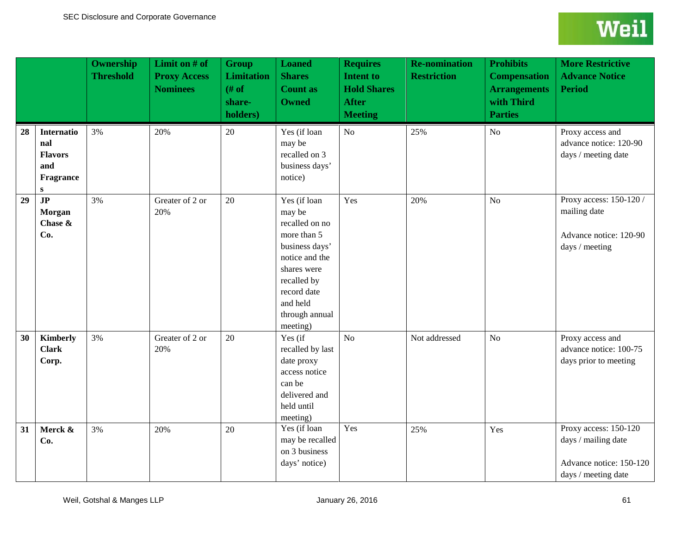|    |                                                                             | <b>Ownership</b><br><b>Threshold</b> | Limit on $#$ of<br><b>Proxy Access</b><br><b>Nominees</b> | <b>Group</b><br><b>Limitation</b><br>$#$ of<br>share-<br>holders) | <b>Loaned</b><br><b>Shares</b><br><b>Count as</b><br><b>Owned</b>                                                                                                                  | <b>Requires</b><br><b>Intent to</b><br><b>Hold Shares</b><br><b>After</b><br><b>Meeting</b> | <b>Re-nomination</b><br><b>Restriction</b> | <b>Prohibits</b><br><b>Compensation</b><br><b>Arrangements</b><br>with Third<br><b>Parties</b> | <b>More Restrictive</b><br><b>Advance Notice</b><br><b>Period</b>                              |
|----|-----------------------------------------------------------------------------|--------------------------------------|-----------------------------------------------------------|-------------------------------------------------------------------|------------------------------------------------------------------------------------------------------------------------------------------------------------------------------------|---------------------------------------------------------------------------------------------|--------------------------------------------|------------------------------------------------------------------------------------------------|------------------------------------------------------------------------------------------------|
| 28 | <b>Internatio</b><br>nal<br><b>Flavors</b><br>and<br>Fragrance<br>${\bf S}$ | 3%                                   | 20%                                                       | 20                                                                | Yes (if loan<br>may be<br>recalled on 3<br>business days'<br>notice)                                                                                                               | No                                                                                          | 25%                                        | N <sub>o</sub>                                                                                 | Proxy access and<br>advance notice: 120-90<br>days / meeting date                              |
| 29 | $\overline{JP}$<br>Morgan<br>Chase &<br>Co.                                 | 3%                                   | Greater of 2 or<br>20%                                    | 20                                                                | Yes (if loan<br>may be<br>recalled on no<br>more than 5<br>business days'<br>notice and the<br>shares were<br>recalled by<br>record date<br>and held<br>through annual<br>meeting) | Yes                                                                                         | 20%                                        | N <sub>o</sub>                                                                                 | Proxy access: 150-120 /<br>mailing date<br>Advance notice: 120-90<br>days / meeting            |
| 30 | <b>Kimberly</b><br><b>Clark</b><br>Corp.                                    | 3%                                   | Greater of 2 or<br>20%                                    | 20                                                                | Yes (if<br>recalled by last<br>date proxy<br>access notice<br>can be<br>delivered and<br>held until<br>meeting)                                                                    | No                                                                                          | Not addressed                              | N <sub>o</sub>                                                                                 | Proxy access and<br>advance notice: 100-75<br>days prior to meeting                            |
| 31 | Merck &<br>Co.                                                              | 3%                                   | 20%                                                       | 20                                                                | Yes (if loan<br>may be recalled<br>on 3 business<br>days' notice)                                                                                                                  | Yes                                                                                         | 25%                                        | Yes                                                                                            | Proxy access: 150-120<br>days / mailing date<br>Advance notice: 150-120<br>days / meeting date |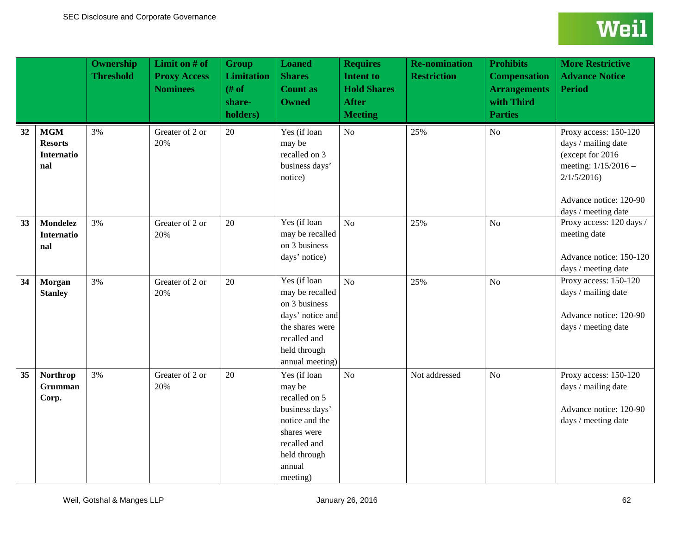|    |                                                          | <b>Ownership</b><br><b>Threshold</b> | Limit on # of<br><b>Proxy Access</b><br><b>Nominees</b> | <b>Group</b><br><b>Limitation</b><br># of<br>share-<br>holders) | <b>Loaned</b><br><b>Shares</b><br><b>Count as</b><br><b>Owned</b>                                                                                | <b>Requires</b><br><b>Intent to</b><br><b>Hold Shares</b><br><b>After</b><br><b>Meeting</b> | <b>Re-nomination</b><br><b>Restriction</b> | <b>Prohibits</b><br><b>Compensation</b><br><b>Arrangements</b><br>with Third<br><b>Parties</b> | <b>More Restrictive</b><br><b>Advance Notice</b><br><b>Period</b>                                                                                       |
|----|----------------------------------------------------------|--------------------------------------|---------------------------------------------------------|-----------------------------------------------------------------|--------------------------------------------------------------------------------------------------------------------------------------------------|---------------------------------------------------------------------------------------------|--------------------------------------------|------------------------------------------------------------------------------------------------|---------------------------------------------------------------------------------------------------------------------------------------------------------|
| 32 | <b>MGM</b><br><b>Resorts</b><br><b>Internatio</b><br>nal | 3%                                   | Greater of 2 or<br>20%                                  | 20                                                              | Yes (if loan<br>may be<br>recalled on 3<br>business days'<br>notice)                                                                             | No                                                                                          | 25%                                        | N <sub>o</sub>                                                                                 | Proxy access: 150-120<br>days / mailing date<br>(except for 2016<br>meeting: 1/15/2016 -<br>2/1/5/2016<br>Advance notice: 120-90<br>days / meeting date |
| 33 | <b>Mondelez</b><br><b>Internatio</b><br>nal              | 3%                                   | Greater of 2 or<br>20%                                  | 20                                                              | Yes (if loan<br>may be recalled<br>on 3 business<br>days' notice)                                                                                | No                                                                                          | 25%                                        | N <sub>o</sub>                                                                                 | Proxy access: 120 days /<br>meeting date<br>Advance notice: 150-120<br>days / meeting date                                                              |
| 34 | Morgan<br><b>Stanley</b>                                 | 3%                                   | Greater of 2 or<br>20%                                  | 20                                                              | Yes (if loan<br>may be recalled<br>on 3 business<br>days' notice and<br>the shares were<br>recalled and<br>held through<br>annual meeting)       | No                                                                                          | 25%                                        | No                                                                                             | Proxy access: 150-120<br>days / mailing date<br>Advance notice: 120-90<br>days / meeting date                                                           |
| 35 | <b>Northrop</b><br><b>Grumman</b><br>Corp.               | 3%                                   | Greater of 2 or<br>20%                                  | 20                                                              | Yes (if loan<br>may be<br>recalled on 5<br>business days'<br>notice and the<br>shares were<br>recalled and<br>held through<br>annual<br>meeting) | No                                                                                          | Not addressed                              | N <sub>o</sub>                                                                                 | Proxy access: 150-120<br>days / mailing date<br>Advance notice: 120-90<br>days / meeting date                                                           |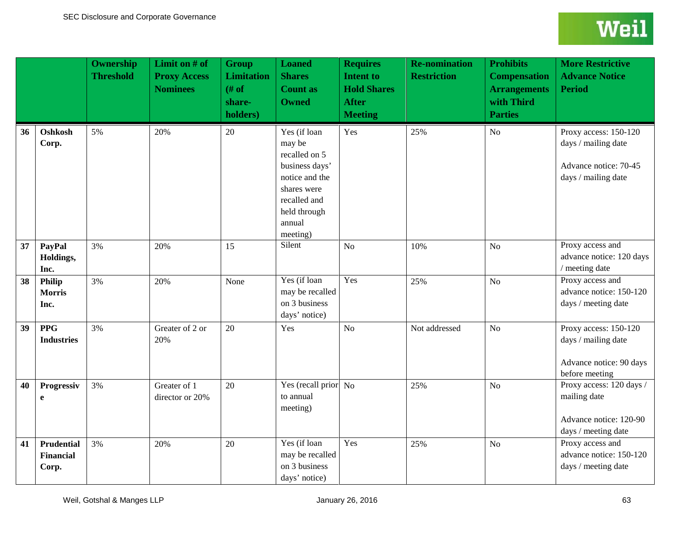|    |                                         | <b>Ownership</b><br><b>Threshold</b> | Limit on # of<br><b>Proxy Access</b><br><b>Nominees</b> | <b>Group</b><br><b>Limitation</b><br>$#$ of<br>share-<br>holders) | <b>Loaned</b><br><b>Shares</b><br><b>Count as</b><br><b>Owned</b>                                                                                | <b>Requires</b><br><b>Intent to</b><br><b>Hold Shares</b><br><b>After</b><br><b>Meeting</b> | <b>Re-nomination</b><br><b>Restriction</b> | <b>Prohibits</b><br><b>Compensation</b><br><b>Arrangements</b><br>with Third<br><b>Parties</b> | <b>More Restrictive</b><br><b>Advance Notice</b><br><b>Period</b>                            |
|----|-----------------------------------------|--------------------------------------|---------------------------------------------------------|-------------------------------------------------------------------|--------------------------------------------------------------------------------------------------------------------------------------------------|---------------------------------------------------------------------------------------------|--------------------------------------------|------------------------------------------------------------------------------------------------|----------------------------------------------------------------------------------------------|
| 36 | Oshkosh<br>Corp.                        | 5%                                   | 20%                                                     | 20                                                                | Yes (if loan<br>may be<br>recalled on 5<br>business days'<br>notice and the<br>shares were<br>recalled and<br>held through<br>annual<br>meeting) | Yes                                                                                         | 25%                                        | N <sub>o</sub>                                                                                 | Proxy access: 150-120<br>days / mailing date<br>Advance notice: 70-45<br>days / mailing date |
| 37 | PayPal<br>Holdings,<br>Inc.             | 3%                                   | 20%                                                     | 15                                                                | Silent                                                                                                                                           | N <sub>o</sub>                                                                              | 10%                                        | N <sub>o</sub>                                                                                 | Proxy access and<br>advance notice: 120 days<br>/ meeting date                               |
| 38 | Philip<br><b>Morris</b><br>Inc.         | 3%                                   | 20%                                                     | None                                                              | Yes (if loan<br>may be recalled<br>on 3 business<br>days' notice)                                                                                | Yes                                                                                         | 25%                                        | N <sub>o</sub>                                                                                 | Proxy access and<br>advance notice: 150-120<br>days / meeting date                           |
| 39 | <b>PPG</b><br><b>Industries</b>         | 3%                                   | Greater of 2 or<br>20%                                  | 20                                                                | Yes                                                                                                                                              | No                                                                                          | Not addressed                              | N <sub>o</sub>                                                                                 | Proxy access: 150-120<br>days / mailing date<br>Advance notice: 90 days<br>before meeting    |
| 40 | Progressiv<br>e                         | 3%                                   | Greater of 1<br>director or 20%                         | 20                                                                | Yes (recall prior No<br>to annual<br>meeting)                                                                                                    |                                                                                             | 25%                                        | No                                                                                             | Proxy access: 120 days /<br>mailing date<br>Advance notice: 120-90<br>days / meeting date    |
| 41 | Prudential<br><b>Financial</b><br>Corp. | 3%                                   | 20%                                                     | 20                                                                | Yes (if loan<br>may be recalled<br>on 3 business<br>days' notice)                                                                                | Yes                                                                                         | 25%                                        | No                                                                                             | Proxy access and<br>advance notice: 150-120<br>days / meeting date                           |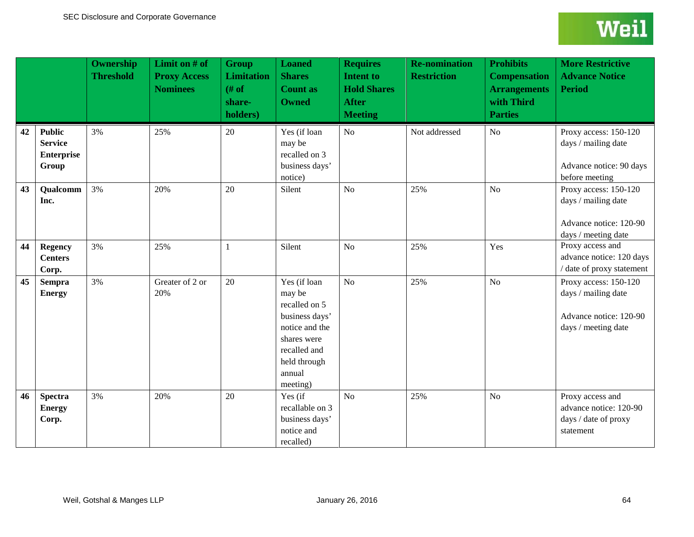|    |                                                               | <b>Ownership</b><br><b>Threshold</b> | Limit on $#$ of<br><b>Proxy Access</b><br><b>Nominees</b> | <b>Group</b><br><b>Limitation</b><br># of<br>share-<br>holders) | <b>Loaned</b><br><b>Shares</b><br><b>Count as</b><br><b>Owned</b>                                                                                | <b>Requires</b><br><b>Intent to</b><br><b>Hold Shares</b><br><b>After</b><br><b>Meeting</b> | <b>Re-nomination</b><br><b>Restriction</b> | <b>Prohibits</b><br><b>Compensation</b><br><b>Arrangements</b><br>with Third<br><b>Parties</b> | <b>More Restrictive</b><br><b>Advance Notice</b><br><b>Period</b>                             |
|----|---------------------------------------------------------------|--------------------------------------|-----------------------------------------------------------|-----------------------------------------------------------------|--------------------------------------------------------------------------------------------------------------------------------------------------|---------------------------------------------------------------------------------------------|--------------------------------------------|------------------------------------------------------------------------------------------------|-----------------------------------------------------------------------------------------------|
| 42 | <b>Public</b><br><b>Service</b><br><b>Enterprise</b><br>Group | 3%                                   | 25%                                                       | 20                                                              | Yes (if loan<br>may be<br>recalled on 3<br>business days'<br>notice)                                                                             | No                                                                                          | Not addressed                              | No                                                                                             | Proxy access: 150-120<br>days / mailing date<br>Advance notice: 90 days<br>before meeting     |
| 43 | Qualcomm<br>Inc.                                              | 3%                                   | 20%                                                       | 20                                                              | Silent                                                                                                                                           | No                                                                                          | 25%                                        | N <sub>o</sub>                                                                                 | Proxy access: 150-120<br>days / mailing date<br>Advance notice: 120-90<br>days / meeting date |
| 44 | <b>Regency</b><br><b>Centers</b><br>Corp.                     | 3%                                   | 25%                                                       | 1                                                               | Silent                                                                                                                                           | No                                                                                          | 25%                                        | Yes                                                                                            | Proxy access and<br>advance notice: 120 days<br>/ date of proxy statement                     |
| 45 | <b>Sempra</b><br><b>Energy</b>                                | 3%                                   | Greater of 2 or<br>20%                                    | 20                                                              | Yes (if loan<br>may be<br>recalled on 5<br>business days'<br>notice and the<br>shares were<br>recalled and<br>held through<br>annual<br>meeting) | No                                                                                          | 25%                                        | N <sub>o</sub>                                                                                 | Proxy access: 150-120<br>days / mailing date<br>Advance notice: 120-90<br>days / meeting date |
| 46 | <b>Spectra</b><br><b>Energy</b><br>Corp.                      | 3%                                   | 20%                                                       | 20                                                              | Yes (if<br>recallable on 3<br>business days'<br>notice and<br>recalled)                                                                          | No                                                                                          | 25%                                        | N <sub>o</sub>                                                                                 | Proxy access and<br>advance notice: 120-90<br>days / date of proxy<br>statement               |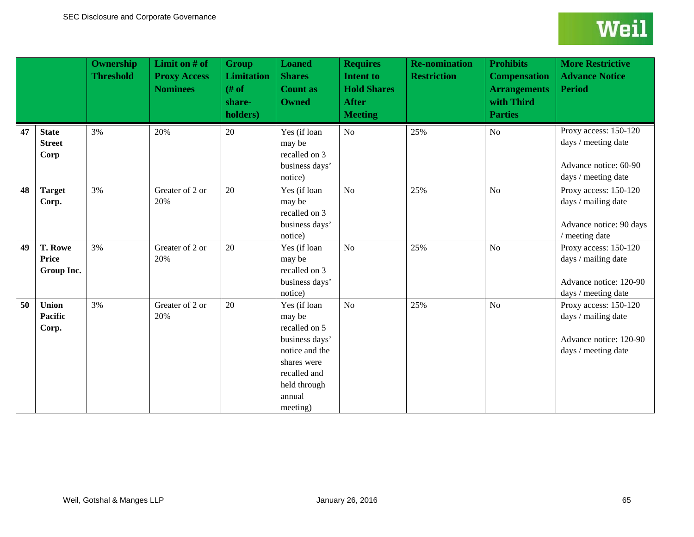|    |                                              | <b>Ownership</b><br><b>Threshold</b> | Limit on # of<br><b>Proxy Access</b><br><b>Nominees</b> | <b>Group</b><br><b>Limitation</b><br># of<br>share-<br>holders) | <b>Loaned</b><br><b>Shares</b><br><b>Count as</b><br><b>Owned</b>                                                                                | <b>Requires</b><br><b>Intent to</b><br><b>Hold Shares</b><br><b>After</b><br><b>Meeting</b> | <b>Re-nomination</b><br><b>Restriction</b> | <b>Prohibits</b><br><b>Compensation</b><br><b>Arrangements</b><br>with Third<br><b>Parties</b> | <b>More Restrictive</b><br><b>Advance Notice</b><br><b>Period</b>                             |
|----|----------------------------------------------|--------------------------------------|---------------------------------------------------------|-----------------------------------------------------------------|--------------------------------------------------------------------------------------------------------------------------------------------------|---------------------------------------------------------------------------------------------|--------------------------------------------|------------------------------------------------------------------------------------------------|-----------------------------------------------------------------------------------------------|
| 47 | <b>State</b><br><b>Street</b><br>Corp        | 3%                                   | 20%                                                     | 20                                                              | Yes (if loan<br>may be<br>recalled on 3<br>business days'<br>notice)                                                                             | No                                                                                          | 25%                                        | No                                                                                             | Proxy access: 150-120<br>days / meeting date<br>Advance notice: 60-90<br>days / meeting date  |
| 48 | <b>Target</b><br>Corp.                       | 3%                                   | Greater of 2 or<br>20%                                  | 20                                                              | Yes (if loan<br>may be<br>recalled on 3<br>business days'<br>notice)                                                                             | No                                                                                          | 25%                                        | N <sub>o</sub>                                                                                 | Proxy access: 150-120<br>days / mailing date<br>Advance notice: 90 days<br>/ meeting date     |
| 49 | <b>T. Rowe</b><br><b>Price</b><br>Group Inc. | 3%                                   | Greater of 2 or<br>20%                                  | 20                                                              | Yes (if loan<br>may be<br>recalled on 3<br>business days'<br>notice)                                                                             | No                                                                                          | 25%                                        | N <sub>o</sub>                                                                                 | Proxy access: 150-120<br>days / mailing date<br>Advance notice: 120-90<br>days / meeting date |
| 50 | <b>Union</b><br>Pacific<br>Corp.             | 3%                                   | Greater of 2 or<br>20%                                  | 20                                                              | Yes (if loan<br>may be<br>recalled on 5<br>business days'<br>notice and the<br>shares were<br>recalled and<br>held through<br>annual<br>meeting) | No                                                                                          | 25%                                        | N <sub>o</sub>                                                                                 | Proxy access: 150-120<br>days / mailing date<br>Advance notice: 120-90<br>days / meeting date |